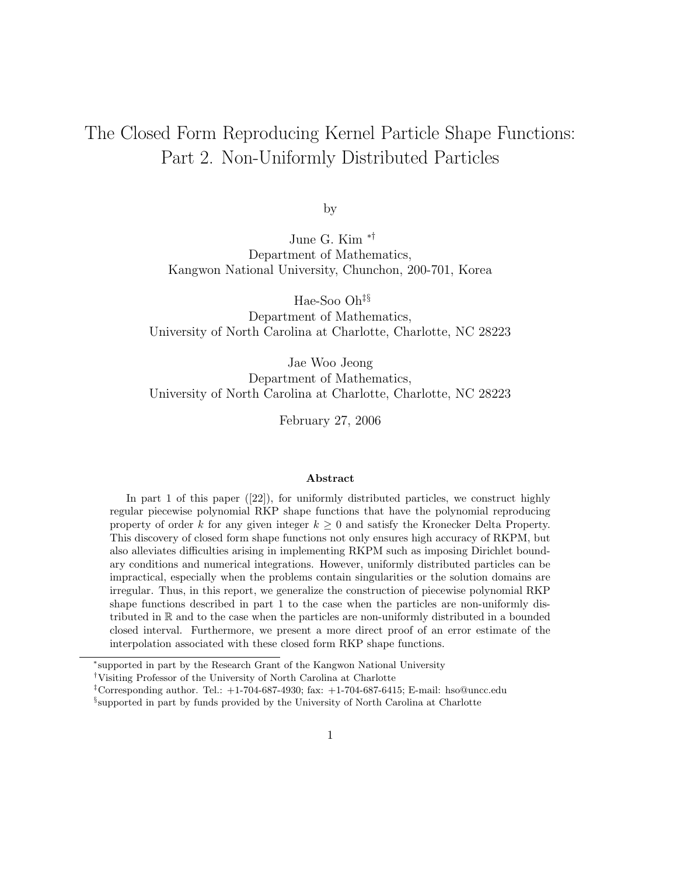# The Closed Form Reproducing Kernel Particle Shape Functions: Part 2. Non-Uniformly Distributed Particles

by

June G. Kim ∗† Department of Mathematics, Kangwon National University, Chunchon, 200-701, Korea

Hae-Soo Oh‡§

Department of Mathematics, University of North Carolina at Charlotte, Charlotte, NC 28223

Jae Woo Jeong Department of Mathematics, University of North Carolina at Charlotte, Charlotte, NC 28223

February 27, 2006

#### Abstract

In part 1 of this paper ([22]), for uniformly distributed particles, we construct highly regular piecewise polynomial RKP shape functions that have the polynomial reproducing property of order k for any given integer  $k \geq 0$  and satisfy the Kronecker Delta Property. This discovery of closed form shape functions not only ensures high accuracy of RKPM, but also alleviates difficulties arising in implementing RKPM such as imposing Dirichlet boundary conditions and numerical integrations. However, uniformly distributed particles can be impractical, especially when the problems contain singularities or the solution domains are irregular. Thus, in this report, we generalize the construction of piecewise polynomial RKP shape functions described in part 1 to the case when the particles are non-uniformly distributed in R and to the case when the particles are non-uniformly distributed in a bounded closed interval. Furthermore, we present a more direct proof of an error estimate of the interpolation associated with these closed form RKP shape functions.

<sup>∗</sup> supported in part by the Research Grant of the Kangwon National University

<sup>†</sup>Visiting Professor of the University of North Carolina at Charlotte

<sup>&</sup>lt;sup>‡</sup>Corresponding author. Tel.:  $+1-704-687-4930$ ; fax:  $+1-704-687-6415$ ; E-mail: hso@uncc.edu

<sup>§</sup> supported in part by funds provided by the University of North Carolina at Charlotte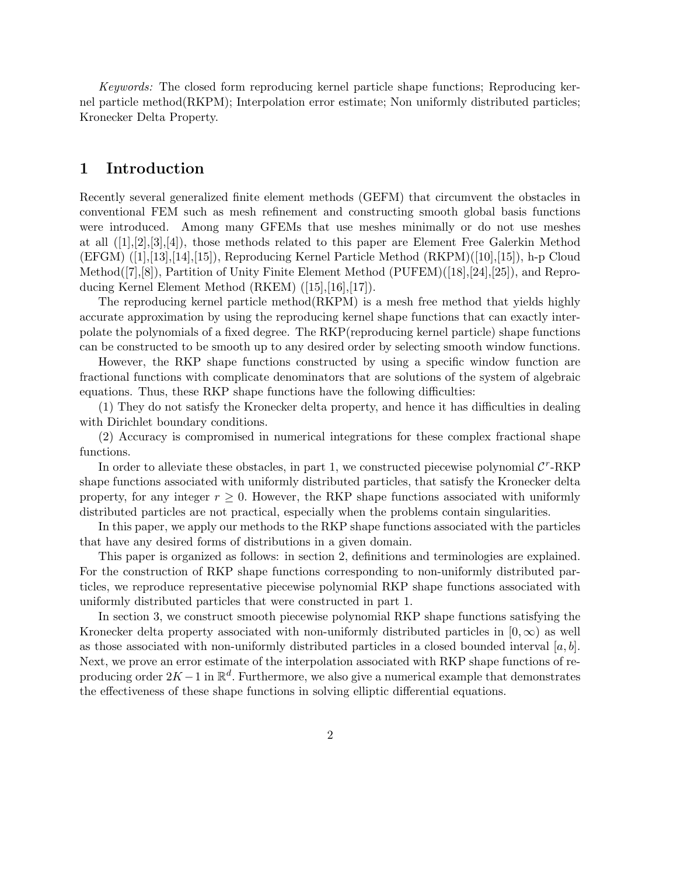Keywords: The closed form reproducing kernel particle shape functions; Reproducing kernel particle method(RKPM); Interpolation error estimate; Non uniformly distributed particles; Kronecker Delta Property.

# 1 Introduction

Recently several generalized finite element methods (GEFM) that circumvent the obstacles in conventional FEM such as mesh refinement and constructing smooth global basis functions were introduced. Among many GFEMs that use meshes minimally or do not use meshes at all ([1],[2],[3],[4]), those methods related to this paper are Element Free Galerkin Method  $(EFGM)$   $([1],[13],[14],[15])$ , Reproducing Kernel Particle Method  $(RKPM)([10],[15])$ , h-p Cloud Method([7],[8]), Partition of Unity Finite Element Method (PUFEM)([18],[24],[25]), and Reproducing Kernel Element Method (RKEM) ([15],[16],[17]).

The reproducing kernel particle method(RKPM) is a mesh free method that yields highly accurate approximation by using the reproducing kernel shape functions that can exactly interpolate the polynomials of a fixed degree. The RKP(reproducing kernel particle) shape functions can be constructed to be smooth up to any desired order by selecting smooth window functions.

However, the RKP shape functions constructed by using a specific window function are fractional functions with complicate denominators that are solutions of the system of algebraic equations. Thus, these RKP shape functions have the following difficulties:

(1) They do not satisfy the Kronecker delta property, and hence it has difficulties in dealing with Dirichlet boundary conditions.

(2) Accuracy is compromised in numerical integrations for these complex fractional shape functions.

In order to alleviate these obstacles, in part 1, we constructed piecewise polynomial  $\mathcal{C}^r$ -RKP shape functions associated with uniformly distributed particles, that satisfy the Kronecker delta property, for any integer  $r \geq 0$ . However, the RKP shape functions associated with uniformly distributed particles are not practical, especially when the problems contain singularities.

In this paper, we apply our methods to the RKP shape functions associated with the particles that have any desired forms of distributions in a given domain.

This paper is organized as follows: in section 2, definitions and terminologies are explained. For the construction of RKP shape functions corresponding to non-uniformly distributed particles, we reproduce representative piecewise polynomial RKP shape functions associated with uniformly distributed particles that were constructed in part 1.

In section 3, we construct smooth piecewise polynomial RKP shape functions satisfying the Kronecker delta property associated with non-uniformly distributed particles in  $[0, \infty)$  as well as those associated with non-uniformly distributed particles in a closed bounded interval  $[a, b]$ . Next, we prove an error estimate of the interpolation associated with RKP shape functions of reproducing order  $2K - 1$  in  $\mathbb{R}^d$ . Furthermore, we also give a numerical example that demonstrates the effectiveness of these shape functions in solving elliptic differential equations.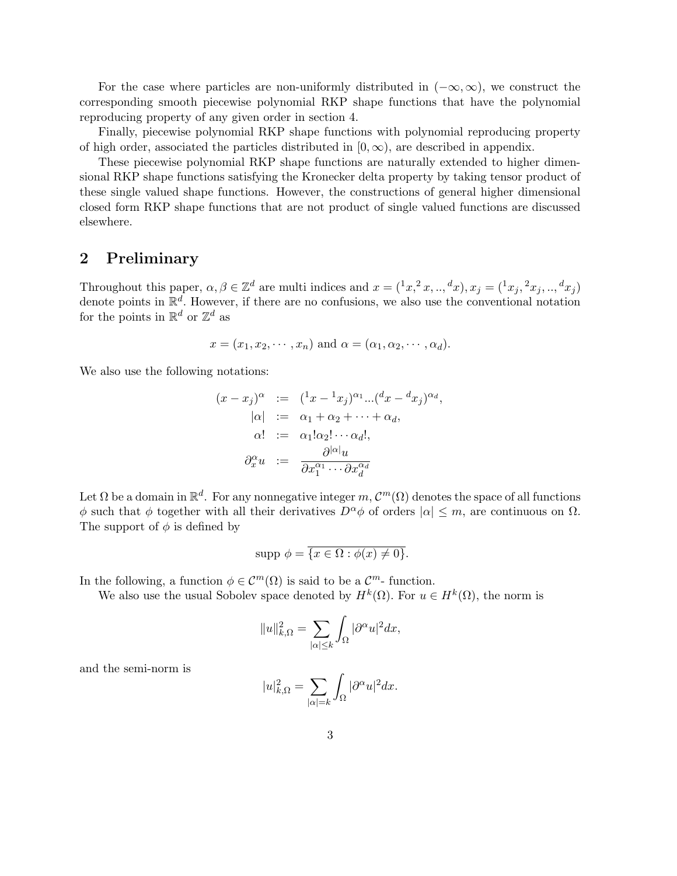For the case where particles are non-uniformly distributed in  $(-\infty, \infty)$ , we construct the corresponding smooth piecewise polynomial RKP shape functions that have the polynomial reproducing property of any given order in section 4.

Finally, piecewise polynomial RKP shape functions with polynomial reproducing property of high order, associated the particles distributed in  $[0, \infty)$ , are described in appendix.

These piecewise polynomial RKP shape functions are naturally extended to higher dimensional RKP shape functions satisfying the Kronecker delta property by taking tensor product of these single valued shape functions. However, the constructions of general higher dimensional closed form RKP shape functions that are not product of single valued functions are discussed elsewhere.

### 2 Preliminary

Throughout this paper,  $\alpha, \beta \in \mathbb{Z}^d$  are multi indices and  $x = (x^2, x_1, x_2, ..., x_d)$ ,  $x_j = (x_j, x_j, ..., x_d)$ denote points in  $\mathbb{R}^d$ . However, if there are no confusions, we also use the conventional notation for the points in  $\mathbb{R}^d$  or  $\mathbb{Z}^d$  as

$$
x = (x_1, x_2, \cdots, x_n)
$$
 and  $\alpha = (\alpha_1, \alpha_2, \cdots, \alpha_d)$ .

We also use the following notations:

$$
(x - x_j)^{\alpha} := (x - x_j)^{\alpha_1} ... (x - x_j)^{\alpha_d},
$$
  
\n
$$
|\alpha| := \alpha_1 + \alpha_2 + \dots + \alpha_d,
$$
  
\n
$$
\alpha! := \alpha_1! \alpha_2! \dots \alpha_d!,
$$
  
\n
$$
\partial_x^{\alpha} u := \frac{\partial^{|\alpha|} u}{\partial x_1^{\alpha_1} \dots \partial x_d^{\alpha_d}}
$$

Let  $\Omega$  be a domain in  $\mathbb{R}^d$ . For any nonnegative integer  $m, \mathcal{C}^m(\Omega)$  denotes the space of all functions φ such that φ together with all their derivatives  $D^{\alpha} \phi$  of orders  $|\alpha| \leq m$ , are continuous on  $\Omega$ . The support of  $\phi$  is defined by

$$
supp \phi = \overline{\{x \in \Omega : \phi(x) \neq 0\}}.
$$

In the following, a function  $\phi \in \mathcal{C}^m(\Omega)$  is said to be a  $\mathcal{C}^m$ -function.

We also use the usual Sobolev space denoted by  $H^k(\Omega)$ . For  $u \in H^k(\Omega)$ , the norm is

$$
||u||_{k,\Omega}^2 = \sum_{|\alpha| \le k} \int_{\Omega} |\partial^{\alpha} u|^2 dx,
$$

and the semi-norm is

$$
|u|_{k,\Omega}^2 = \sum_{|\alpha|=k} \int_{\Omega} |\partial^{\alpha} u|^2 dx.
$$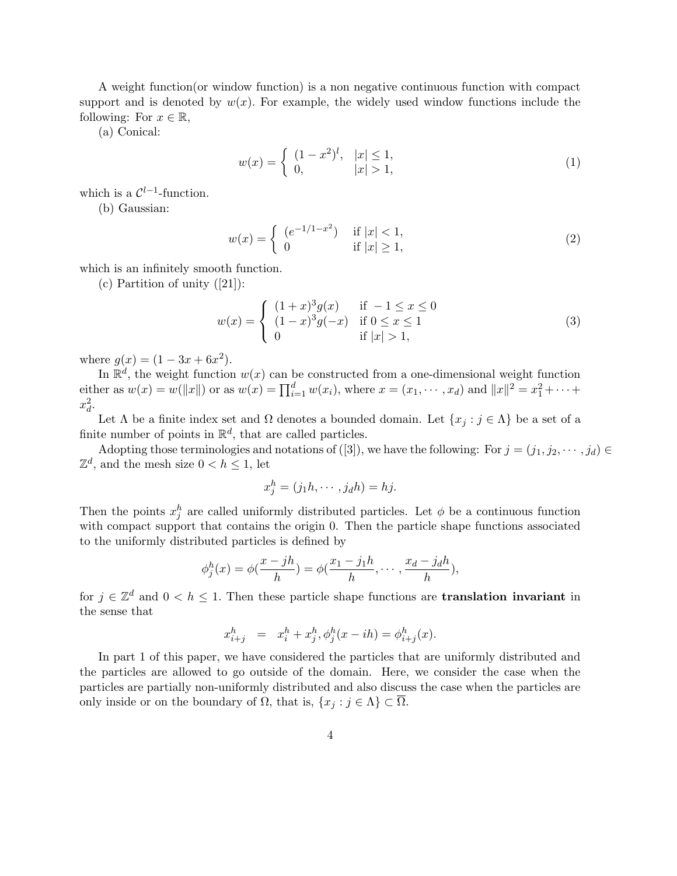A weight function(or window function) is a non negative continuous function with compact support and is denoted by  $w(x)$ . For example, the widely used window functions include the following: For  $x \in \mathbb{R}$ ,

(a) Conical:

$$
w(x) = \begin{cases} (1-x^2)^l, & |x| \le 1, \\ 0, & |x| > 1, \end{cases}
$$
 (1)

which is a  $\mathcal{C}^{l-1}$ -function.

(b) Gaussian:

$$
w(x) = \begin{cases} (e^{-1/1-x^2}) & \text{if } |x| < 1, \\ 0 & \text{if } |x| \ge 1, \end{cases}
$$
 (2)

which is an infinitely smooth function.

(c) Partition of unity  $([21])$ :

$$
w(x) = \begin{cases} (1+x)^{3}g(x) & \text{if } -1 \leq x \leq 0\\ (1-x)^{3}g(-x) & \text{if } 0 \leq x \leq 1\\ 0 & \text{if } |x| > 1, \end{cases}
$$
(3)

where  $g(x) = (1 - 3x + 6x^2)$ .

In  $\mathbb{R}^d$ , the weight function  $w(x)$  can be constructed from a one-dimensional weight function either as  $w(x) = w(||x||)$  or as  $w(x) = \prod_{i=1}^{d} w(x_i)$ , where  $x = (x_1, \dots, x_d)$  and  $||x||^2 = x_1^2 + \dots +$  $x_d^2$ .

Let  $\Lambda$  be a finite index set and  $\Omega$  denotes a bounded domain. Let  $\{x_j : j \in \Lambda\}$  be a set of a finite number of points in  $\mathbb{R}^d$ , that are called particles.

Adopting those terminologies and notations of ([3]), we have the following: For  $j = (j_1, j_2, \dots, j_d)$  $\mathbb{Z}^d$ , and the mesh size  $0 < h \leq 1$ , let

$$
x_j^h = (j_1h, \cdots, j_dh) = hj.
$$

Then the points  $x_j^h$  are called uniformly distributed particles. Let  $\phi$  be a continuous function with compact support that contains the origin 0. Then the particle shape functions associated to the uniformly distributed particles is defined by

$$
\phi_j^h(x) = \phi(\frac{x - jh}{h}) = \phi(\frac{x_1 - j_1h}{h}, \cdots, \frac{x_d - j_dh}{h}),
$$

for  $j \in \mathbb{Z}^d$  and  $0 < h \leq 1$ . Then these particle shape functions are **translation invariant** in the sense that

$$
x_{i+j}^h = x_i^h + x_j^h, \phi_j^h(x - ih) = \phi_{i+j}^h(x).
$$

In part 1 of this paper, we have considered the particles that are uniformly distributed and the particles are allowed to go outside of the domain. Here, we consider the case when the particles are partially non-uniformly distributed and also discuss the case when the particles are only inside or on the boundary of  $\Omega$ , that is,  $\{x_j : j \in \Lambda\} \subset \overline{\Omega}$ .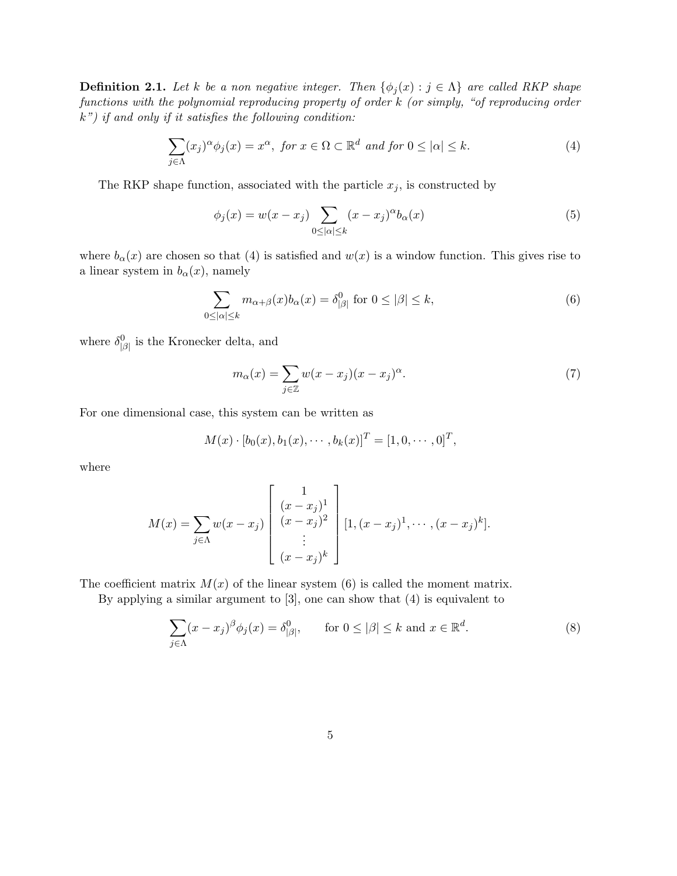**Definition 2.1.** Let k be a non negative integer. Then  $\{\phi_i(x) : j \in \Lambda\}$  are called RKP shape functions with the polynomial reproducing property of order k (or simply, "of reproducing order  $k$ ") if and only if it satisfies the following condition:

$$
\sum_{j \in \Lambda} (x_j)^{\alpha} \phi_j(x) = x^{\alpha}, \text{ for } x \in \Omega \subset \mathbb{R}^d \text{ and for } 0 \leq |\alpha| \leq k. \tag{4}
$$

The RKP shape function, associated with the particle  $x_j$ , is constructed by

$$
\phi_j(x) = w(x - x_j) \sum_{0 \leq |\alpha| \leq k} (x - x_j)^{\alpha} b_{\alpha}(x) \tag{5}
$$

where  $b_{\alpha}(x)$  are chosen so that (4) is satisfied and  $w(x)$  is a window function. This gives rise to a linear system in  $b_{\alpha}(x)$ , namely

$$
\sum_{0 \le |\alpha| \le k} m_{\alpha+\beta}(x) b_{\alpha}(x) = \delta^0_{|\beta|} \text{ for } 0 \le |\beta| \le k,
$$
\n(6)

where  $\delta^0_{\vert\beta\vert}$  is the Kronecker delta, and

$$
m_{\alpha}(x) = \sum_{j \in \mathbb{Z}} w(x - x_j)(x - x_j)^{\alpha}.
$$
 (7)

For one dimensional case, this system can be written as

$$
M(x) \cdot [b_0(x), b_1(x), \cdots, b_k(x)]^T = [1, 0, \cdots, 0]^T,
$$

where

$$
M(x) = \sum_{j \in \Lambda} w(x - x_j) \begin{bmatrix} 1 \\ (x - x_j)^1 \\ (x - x_j)^2 \\ \vdots \\ (x - x_j)^k \end{bmatrix} [1, (x - x_j)^1, \cdots, (x - x_j)^k].
$$

The coefficient matrix  $M(x)$  of the linear system (6) is called the moment matrix.

By applying a similar argument to [3], one can show that (4) is equivalent to

$$
\sum_{j \in \Lambda} (x - x_j)^{\beta} \phi_j(x) = \delta^0_{|\beta|}, \quad \text{for } 0 \le |\beta| \le k \text{ and } x \in \mathbb{R}^d. \tag{8}
$$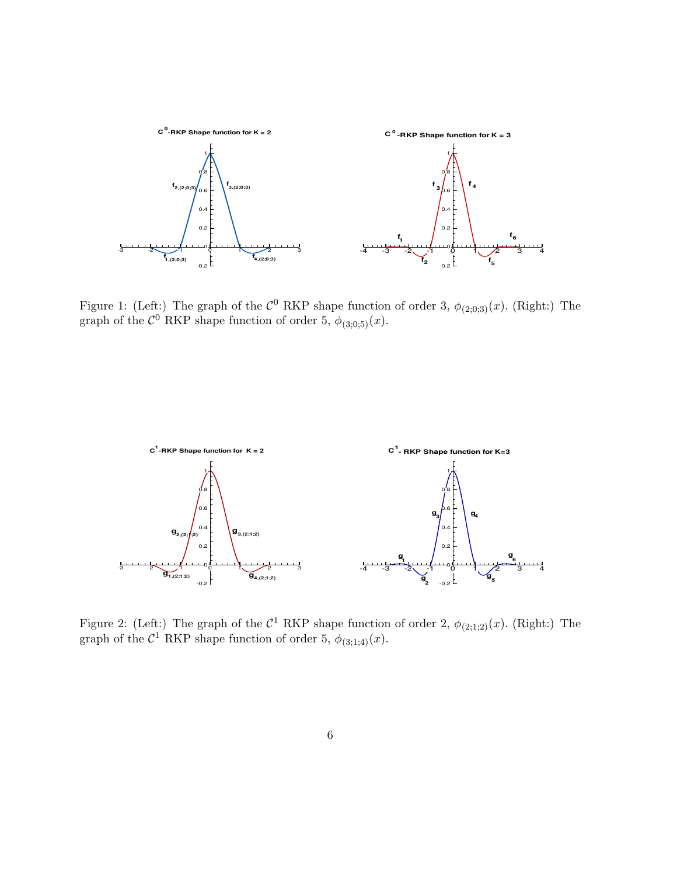

Figure 1: (Left:) The graph of the  $\mathcal{C}^0$  RKP shape function of order 3,  $\phi_{(2;0;3)}(x)$ . (Right:) The graph of the  $\mathcal{C}^0$  RKP shape function of order 5,  $\phi_{(3;0;5)}(x)$ .



Figure 2: (Left:) The graph of the  $C^1$  RKP shape function of order 2,  $\phi_{(2;1;2)}(x)$ . (Right:) The graph of the  $C^1$  RKP shape function of order 5,  $\phi_{(3,1;4)}(x)$ .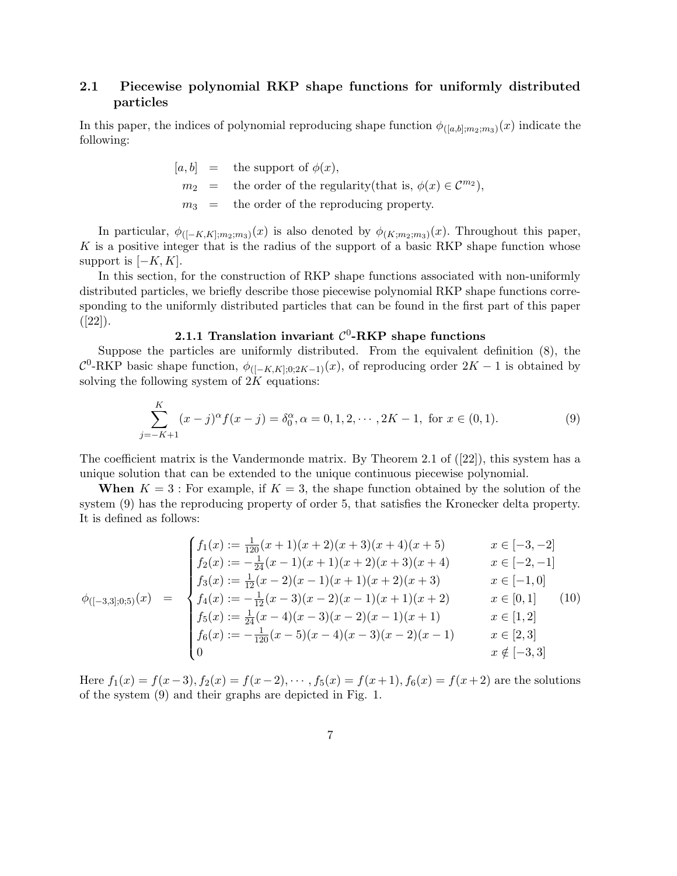### 2.1 Piecewise polynomial RKP shape functions for uniformly distributed particles

In this paper, the indices of polynomial reproducing shape function  $\phi_{([a,b];m_2;m_3)}(x)$  indicate the following:

\n- $$
[a, b] =
$$
 the support of  $\phi(x)$ ,
\n- $m_2 =$  the order of the regularity (that is,  $\phi(x) \in \mathcal{C}^{m_2}$ ),
\n- $m_3 =$  the order of the reproducing property.
\n

In particular,  $\phi_{([-K,K];m_2;m_3)}(x)$  is also denoted by  $\phi_{(K;m_2;m_3)}(x)$ . Throughout this paper, K is a positive integer that is the radius of the support of a basic RKP shape function whose support is  $[-K, K]$ .

In this section, for the construction of RKP shape functions associated with non-uniformly distributed particles, we briefly describe those piecewise polynomial RKP shape functions corresponding to the uniformly distributed particles that can be found in the first part of this paper  $([22]).$ 

# 2.1.1 Translation invariant  $\mathcal{C}^0$ -RKP shape functions

Suppose the particles are uniformly distributed. From the equivalent definition (8), the  $\mathcal{C}^0$ -RKP basic shape function,  $\phi_{([-K,K],0;2K-1)}(x)$ , of reproducing order  $2K-1$  is obtained by solving the following system of  $2K$  equations:

$$
\sum_{j=-K+1}^{K} (x-j)^{\alpha} f(x-j) = \delta_0^{\alpha}, \alpha = 0, 1, 2, \cdots, 2K-1, \text{ for } x \in (0,1).
$$
 (9)

The coefficient matrix is the Vandermonde matrix. By Theorem 2.1 of ([22]), this system has a unique solution that can be extended to the unique continuous piecewise polynomial.

When  $K = 3$ : For example, if  $K = 3$ , the shape function obtained by the solution of the system (9) has the reproducing property of order 5, that satisfies the Kronecker delta property. It is defined as follows:

$$
\phi_{([-3,3];0;5)}(x) = \begin{cases}\nf_1(x) := \frac{1}{120}(x+1)(x+2)(x+3)(x+4)(x+5) & x \in [-3,-2] \\
f_2(x) := -\frac{1}{24}(x-1)(x+1)(x+2)(x+3)(x+4) & x \in [-2,-1] \\
f_3(x) := \frac{1}{12}(x-2)(x-1)(x+1)(x+2)(x+3) & x \in [-1,0] \\
f_4(x) := -\frac{1}{12}(x-3)(x-2)(x-1)(x+1)(x+2) & x \in [0,1] \\
f_5(x) := \frac{1}{24}(x-4)(x-3)(x-2)(x-1)(x+1) & x \in [1,2] \\
f_6(x) := -\frac{1}{120}(x-5)(x-4)(x-3)(x-2)(x-1) & x \in [2,3] \\
0 & x \notin [-3,3]\n\end{cases}
$$
\n(10)

Here  $f_1(x) = f(x-3)$ ,  $f_2(x) = f(x-2)$ ,  $\dots$ ,  $f_5(x) = f(x+1)$ ,  $f_6(x) = f(x+2)$  are the solutions of the system (9) and their graphs are depicted in Fig. 1.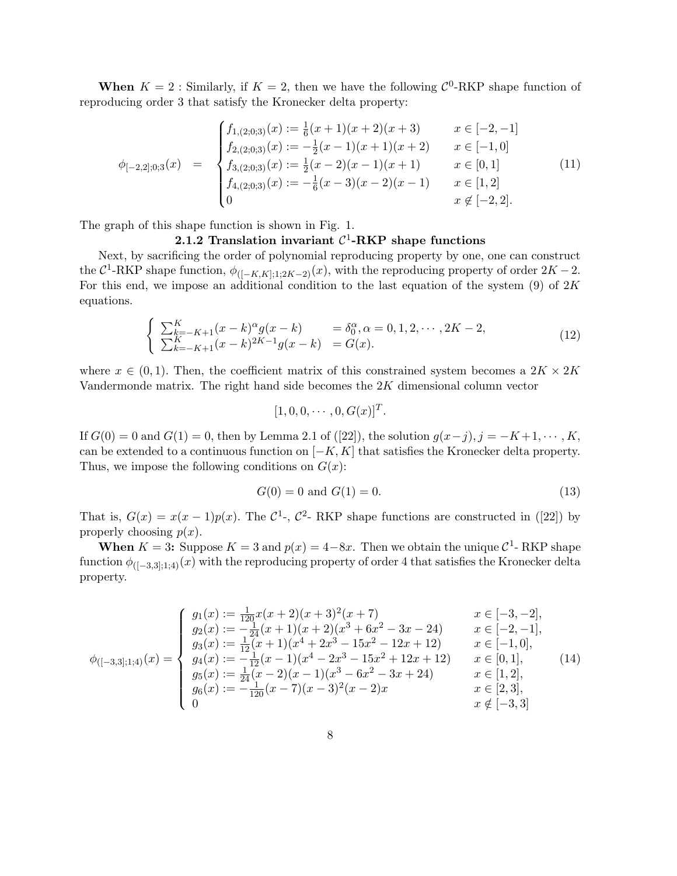**When**  $K = 2$ : Similarly, if  $K = 2$ , then we have the following  $\mathcal{C}^0$ -RKP shape function of reproducing order 3 that satisfy the Kronecker delta property:

$$
\phi_{[-2,2];0;3}(x) = \begin{cases}\nf_{1,(2;0;3)}(x) := \frac{1}{6}(x+1)(x+2)(x+3) & x \in [-2,-1] \\
f_{2,(2;0;3)}(x) := -\frac{1}{2}(x-1)(x+1)(x+2) & x \in [-1,0] \\
f_{3,(2;0;3)}(x) := \frac{1}{2}(x-2)(x-1)(x+1) & x \in [0,1] \\
f_{4,(2;0;3)}(x) := -\frac{1}{6}(x-3)(x-2)(x-1) & x \in [1,2] \\
0 & x \notin [-2,2].\n\end{cases}
$$
\n(11)

The graph of this shape function is shown in Fig. 1.

# 2.1.2 Translation invariant  $C^1$ -RKP shape functions

Next, by sacrificing the order of polynomial reproducing property by one, one can construct the  $C^1$ -RKP shape function,  $\phi_{([-K,K];1;2K-2)}(x)$ , with the reproducing property of order  $2K-2$ . For this end, we impose an additional condition to the last equation of the system  $(9)$  of  $2K$ equations.

$$
\begin{cases} \sum_{k=-K+1}^{K} (x-k)^{\alpha} g(x-k) = \delta_0^{\alpha}, \alpha = 0, 1, 2, \cdots, 2K-2, \\ \sum_{k=-K+1}^{K} (x-k)^{2K-1} g(x-k) = G(x). \end{cases}
$$
\n(12)

where  $x \in (0, 1)$ . Then, the coefficient matrix of this constrained system becomes a  $2K \times 2K$ Vandermonde matrix. The right hand side becomes the 2K dimensional column vector

$$
[1,0,0,\cdots,0,G(x)]^T.
$$

If  $G(0) = 0$  and  $G(1) = 0$ , then by Lemma 2.1 of ([22]), the solution  $g(x-j)$ ,  $j = -K+1, \dots, K$ , can be extended to a continuous function on  $[-K, K]$  that satisfies the Kronecker delta property. Thus, we impose the following conditions on  $G(x)$ :

$$
G(0) = 0 \text{ and } G(1) = 0. \tag{13}
$$

That is,  $G(x) = x(x-1)p(x)$ . The  $\mathcal{C}^1$ -,  $\mathcal{C}^2$ - RKP shape functions are constructed in ([22]) by properly choosing  $p(x)$ .

**When**  $K = 3$ : Suppose  $K = 3$  and  $p(x) = 4-8x$ . Then we obtain the unique  $\mathcal{C}^1$ - RKP shape function  $\phi_{([-3,3]:1;4)}(x)$  with the reproducing property of order 4 that satisfies the Kronecker delta property.

$$
\phi_{([-3,3];1;4)}(x) = \begin{cases}\ng_1(x) := \frac{1}{120}(x+2)(x+3)^2(x+7) & x \in [-3,-2], \\
g_2(x) := -\frac{1}{24}(x+1)(x+2)(x^3+6x^2-3x-24) & x \in [-2,-1], \\
g_3(x) := \frac{1}{12}(x+1)(x^4+2x^3-15x^2-12x+12) & x \in [-1,0], \\
g_4(x) := -\frac{1}{12}(x-1)(x^4-2x^3-15x^2+12x+12) & x \in [0,1], \\
g_5(x) := \frac{1}{24}(x-2)(x-1)(x^3-6x^2-3x+24) & x \in [1,2], \\
g_6(x) := -\frac{1}{120}(x-7)(x-3)^2(x-2)x & x \in [2,3], \\
0 & x \notin [-3,3]\n\end{cases}
$$
\n(14)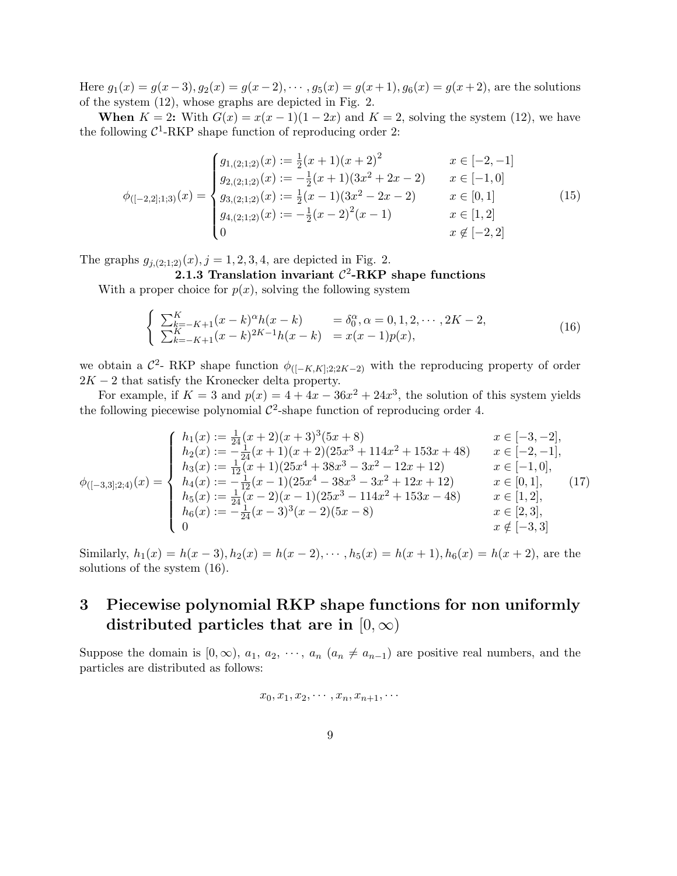Here  $g_1(x) = g(x-3), g_2(x) = g(x-2), \dots, g_5(x) = g(x+1), g_6(x) = g(x+2)$ , are the solutions of the system (12), whose graphs are depicted in Fig. 2.

When  $K = 2$ : With  $G(x) = x(x-1)(1-2x)$  and  $K = 2$ , solving the system (12), we have the following  $C^1$ -RKP shape function of reproducing order 2:

$$
\phi_{([-2,2];1;3)}(x) = \begin{cases}\ng_{1,(2;1;2)}(x) := \frac{1}{2}(x+1)(x+2)^2 & x \in [-2,-1] \\
g_{2,(2;1;2)}(x) := -\frac{1}{2}(x+1)(3x^2+2x-2) & x \in [-1,0] \\
g_{3,(2;1;2)}(x) := \frac{1}{2}(x-1)(3x^2-2x-2) & x \in [0,1] \\
g_{4,(2;1;2)}(x) := -\frac{1}{2}(x-2)^2(x-1) & x \in [1,2] \\
0 & x \notin [-2,2]\n\end{cases}
$$
\n(15)

The graphs  $g_{j,(2;1;2)}(x), j = 1, 2, 3, 4$ , are depicted in Fig. 2.

# 2.1.3 Translation invariant  $C^2$ -RKP shape functions

With a proper choice for  $p(x)$ , solving the following system

$$
\begin{cases} \sum_{k=-K+1}^{K} (x-k)^{\alpha} h(x-k) = \delta_0^{\alpha}, \alpha = 0, 1, 2, \cdots, 2K-2, \\ \sum_{k=-K+1}^{K} (x-k)^{2K-1} h(x-k) = x(x-1)p(x), \end{cases}
$$
(16)

we obtain a  $\mathcal{C}^2$ - RKP shape function  $\phi_{([-K,K];2;2K-2)}$  with the reproducing property of order  $2K - 2$  that satisfy the Kronecker delta property.

For example, if  $K = 3$  and  $p(x) = 4 + 4x - 36x^2 + 24x^3$ , the solution of this system yields the following piecewise polynomial  $\mathcal{C}^2$ -shape function of reproducing order 4.

$$
\phi_{([-3,3];2;4)}(x) = \begin{cases}\nh_1(x) := \frac{1}{24}(x+2)(x+3)^3(5x+8) & x \in [-3,-2], \\
h_2(x) := -\frac{1}{24}(x+1)(x+2)(25x^3+114x^2+153x+48) & x \in [-2,-1], \\
h_3(x) := \frac{1}{12}(x+1)(25x^4+38x^3-3x^2-12x+12) & x \in [-1,0], \\
h_4(x) := -\frac{1}{12}(x-1)(25x^4-38x^3-3x^2+12x+12) & x \in [0,1], \\
h_5(x) := \frac{1}{24}(x-2)(x-1)(25x^3-114x^2+153x-48) & x \in [1,2], \\
h_6(x) := -\frac{1}{24}(x-3)^3(x-2)(5x-8) & x \in [2,3], \\
0 & x \notin [-3,3]\n\end{cases}
$$
\n(17)

Similarly,  $h_1(x) = h(x-3), h_2(x) = h(x-2), \dots, h_5(x) = h(x+1), h_6(x) = h(x+2)$ , are the solutions of the system (16).

# 3 Piecewise polynomial RKP shape functions for non uniformly distributed particles that are in  $[0, \infty)$

Suppose the domain is  $[0, \infty)$ ,  $a_1, a_2, \cdots, a_n$   $(a_n \neq a_{n-1})$  are positive real numbers, and the particles are distributed as follows:

$$
x_0,x_1,x_2,\cdots,x_n,x_{n+1},\cdots
$$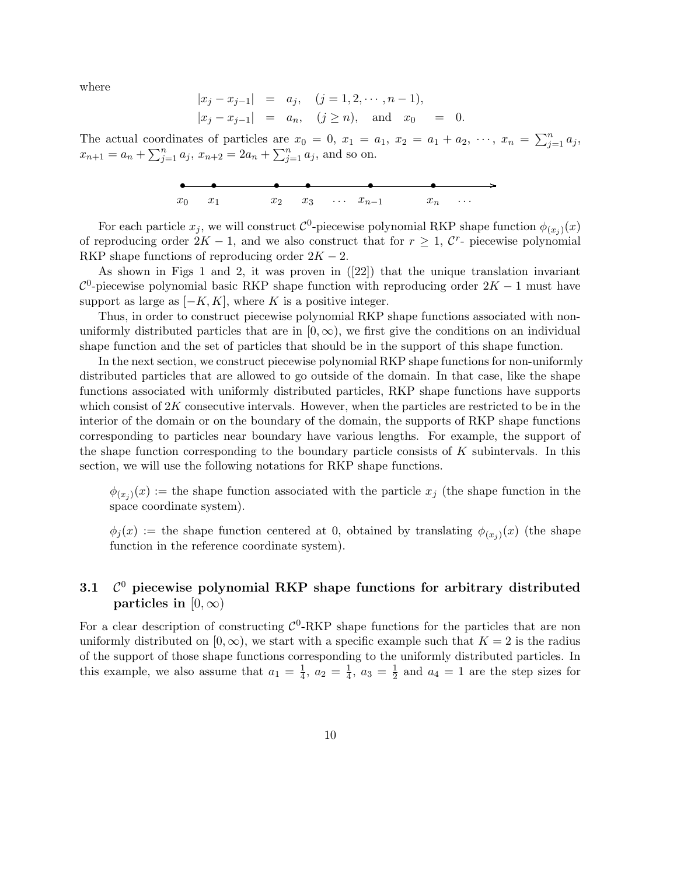where

$$
|x_j - x_{j-1}| = a_j, \quad (j = 1, 2, \dots, n-1),
$$
  
\n $|x_j - x_{j-1}| = a_n, \quad (j \ge n), \text{ and } x_0 = 0.$ 

The actual coordinates of particles are  $x_0 = 0$ ,  $x_1 = a_1$ ,  $x_2 = a_1 + a_2$ ,  $\cdots$ ,  $x_n = \sum_{j=1}^n a_j$ ,  $x_{n+1} = a_n + \sum_{j=1}^n a_j$ ,  $x_{n+2} = 2a_n + \sum_{j=1}^n a_j$ , and so on.



For each particle  $x_j$ , we will construct  $\mathcal{C}^0$ -piecewise polynomial RKP shape function  $\phi_{(x_j)}(x)$ of reproducing order  $2K - 1$ , and we also construct that for  $r \geq 1$ ,  $\mathcal{C}^r$ - piecewise polynomial RKP shape functions of reproducing order  $2K - 2$ .

As shown in Figs 1 and 2, it was proven in ([22]) that the unique translation invariant  $\mathcal{C}^0$ -piecewise polynomial basic RKP shape function with reproducing order  $2K - 1$  must have support as large as  $[-K, K]$ , where K is a positive integer.

Thus, in order to construct piecewise polynomial RKP shape functions associated with nonuniformly distributed particles that are in  $[0, \infty)$ , we first give the conditions on an individual shape function and the set of particles that should be in the support of this shape function.

In the next section, we construct piecewise polynomial RKP shape functions for non-uniformly distributed particles that are allowed to go outside of the domain. In that case, like the shape functions associated with uniformly distributed particles, RKP shape functions have supports which consist of  $2K$  consecutive intervals. However, when the particles are restricted to be in the interior of the domain or on the boundary of the domain, the supports of RKP shape functions corresponding to particles near boundary have various lengths. For example, the support of the shape function corresponding to the boundary particle consists of  $K$  subintervals. In this section, we will use the following notations for RKP shape functions.

 $\phi_{(x_j)}(x) :=$  the shape function associated with the particle  $x_j$  (the shape function in the space coordinate system).

 $\phi_j(x) :=$  the shape function centered at 0, obtained by translating  $\phi_{(x_j)}(x)$  (the shape function in the reference coordinate system).

#### $3.1$  $\mathcal{C}^0$  piecewise polynomial RKP shape functions for arbitrary distributed particles in  $[0, \infty)$

For a clear description of constructing  $\mathcal{C}^0$ -RKP shape functions for the particles that are non uniformly distributed on  $[0, \infty)$ , we start with a specific example such that  $K = 2$  is the radius of the support of those shape functions corresponding to the uniformly distributed particles. In this example, we also assume that  $a_1 = \frac{1}{4}$  $\frac{1}{4}$ ,  $a_2 = \frac{1}{4}$  $\frac{1}{4}$ ,  $a_3 = \frac{1}{2}$  $\frac{1}{2}$  and  $a_4 = 1$  are the step sizes for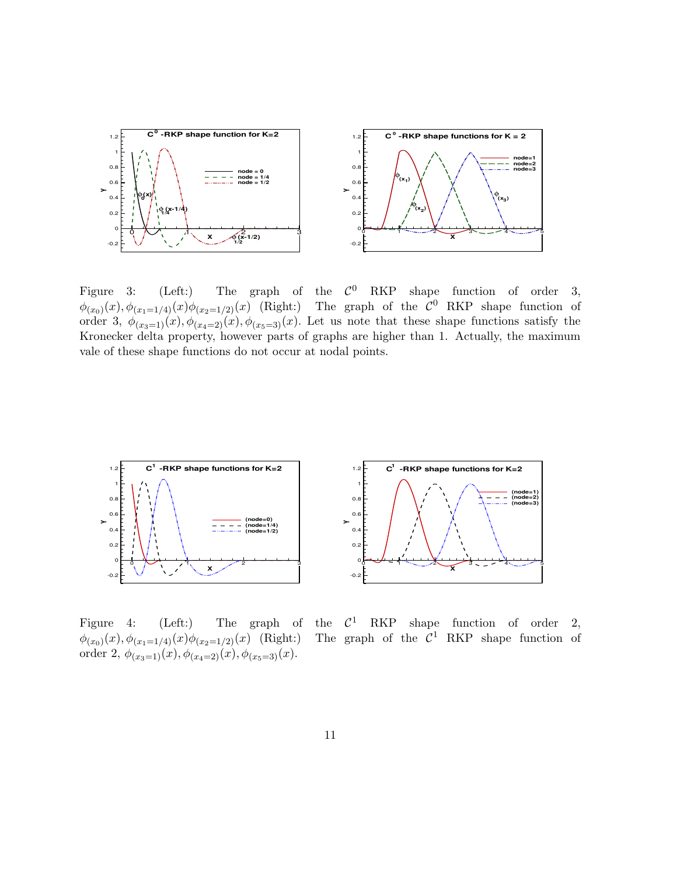

Figure 3: (Left:) The graph of the  $\mathcal C$ The graph of the  $\mathcal{C}^0$  RKP shape function of order 3,  $\phi_{(x_0)}(x), \phi_{(x_1=1/4)}(x)\phi_{(x_2=1/2)}(x)$  (Right:) The graph of the  $\mathcal{C}^0$  RKP shape function of order 3,  $\phi_{(x_3=1)}(x), \phi_{(x_4=2)}(x), \phi_{(x_5=3)}(x)$ . Let us note that these shape functions satisfy the Kronecker delta property, however parts of graphs are higher than 1. Actually, the maximum vale of these shape functions do not occur at nodal points.



 $\phi_{(x_0)}(x), \phi_{(x_1=1/4)}(x)\phi_{(x_2=1/2)}(x)$  (Right:) The graph of the C order 2,  $\phi_{(x_3=1)}(x)$ ,  $\phi_{(x_4=2)}(x)$ ,  $\phi_{(x_5=3)}(x)$ .

Figure 4: (Left:) The graph of the  $C^1$  RKP shape function of order 2, The graph of the  $C^1$  RKP shape function of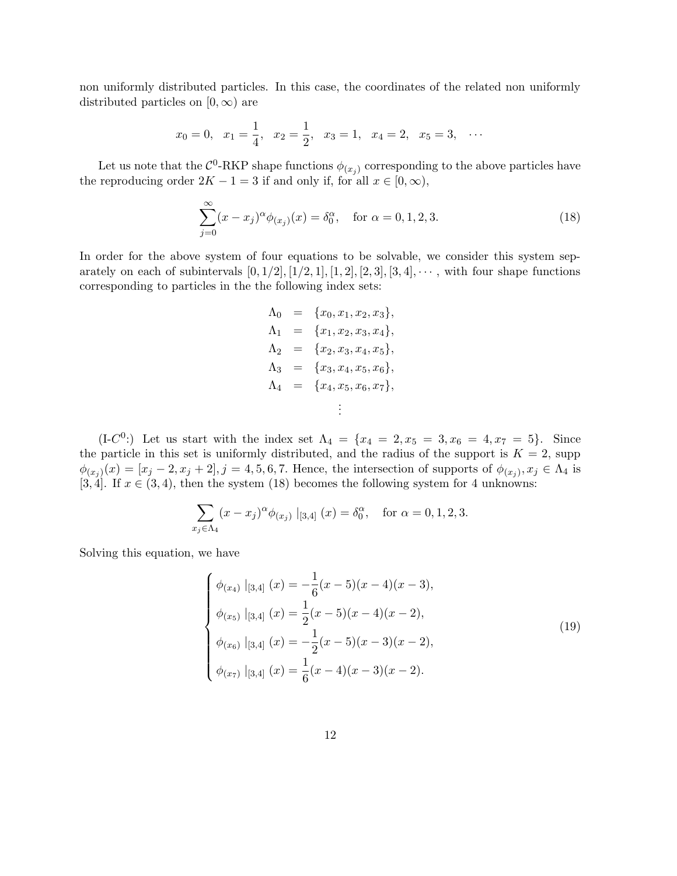non uniformly distributed particles. In this case, the coordinates of the related non uniformly distributed particles on  $[0, \infty)$  are

$$
x_0 = 0
$$
,  $x_1 = \frac{1}{4}$ ,  $x_2 = \frac{1}{2}$ ,  $x_3 = 1$ ,  $x_4 = 2$ ,  $x_5 = 3$ , ...

Let us note that the  $\mathcal{C}^0$ -RKP shape functions  $\phi_{(x_j)}$  corresponding to the above particles have the reproducing order  $2K - 1 = 3$  if and only if, for all  $x \in [0, \infty)$ ,

$$
\sum_{j=0}^{\infty} (x - x_j)^{\alpha} \phi_{(x_j)}(x) = \delta_0^{\alpha}, \quad \text{for } \alpha = 0, 1, 2, 3.
$$
 (18)

In order for the above system of four equations to be solvable, we consider this system separately on each of subintervals  $[0, 1/2], [1/2, 1], [1, 2], [2, 3], [3, 4], \cdots$ , with four shape functions corresponding to particles in the the following index sets:

$$
\Lambda_0 = \{x_0, x_1, x_2, x_3\},\,
$$
  
\n
$$
\Lambda_1 = \{x_1, x_2, x_3, x_4\},\,
$$
  
\n
$$
\Lambda_2 = \{x_2, x_3, x_4, x_5\},\,
$$
  
\n
$$
\Lambda_3 = \{x_3, x_4, x_5, x_6\},\,
$$
  
\n
$$
\Lambda_4 = \{x_4, x_5, x_6, x_7\},\,
$$
  
\n
$$
\vdots
$$

(I-C<sup>0</sup>:) Let us start with the index set  $\Lambda_4 = \{x_4 = 2, x_5 = 3, x_6 = 4, x_7 = 5\}$ . Since the particle in this set is uniformly distributed, and the radius of the support is  $K = 2$ , supp  $\phi_{(x_j)}(x) = [x_j - 2, x_j + 2], j = 4, 5, 6, 7.$  Hence, the intersection of supports of  $\phi_{(x_j)}, x_j \in \Lambda_4$  is [3, 4]. If  $x \in (3, 4)$ , then the system (18) becomes the following system for 4 unknowns:

$$
\sum_{x_j \in \Lambda_4} (x - x_j)^{\alpha} \phi_{(x_j)} |_{[3,4]} (x) = \delta_0^{\alpha}, \text{ for } \alpha = 0, 1, 2, 3.
$$

Solving this equation, we have

$$
\begin{cases}\n\phi_{(x_4)} |_{[3,4]} (x) = -\frac{1}{6}(x-5)(x-4)(x-3),\n\phi_{(x_5)} |_{[3,4]} (x) = \frac{1}{2}(x-5)(x-4)(x-2),\n\phi_{(x_6)} |_{[3,4]} (x) = -\frac{1}{2}(x-5)(x-3)(x-2),\n\phi_{(x_7)} |_{[3,4]} (x) = \frac{1}{6}(x-4)(x-3)(x-2).\n\end{cases}
$$
\n(19)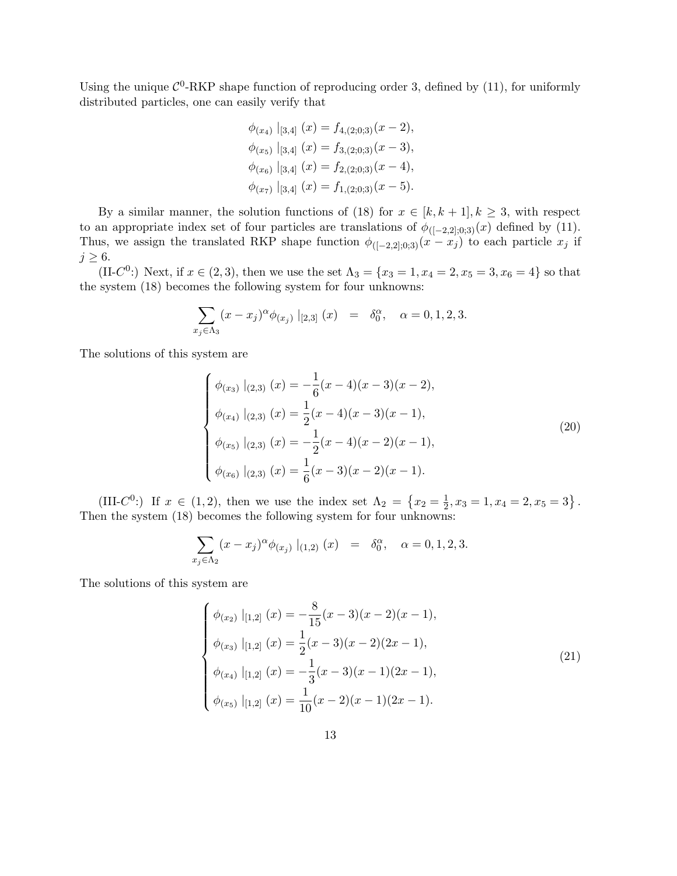Using the unique  $\mathcal{C}^0$ -RKP shape function of reproducing order 3, defined by (11), for uniformly distributed particles, one can easily verify that

$$
\phi_{(x_4)} |_{[3,4]} (x) = f_{4,(2;0;3)}(x-2),
$$
  
\n
$$
\phi_{(x_5)} |_{[3,4]} (x) = f_{3,(2;0;3)}(x-3),
$$
  
\n
$$
\phi_{(x_6)} |_{[3,4]} (x) = f_{2,(2;0;3)}(x-4),
$$
  
\n
$$
\phi_{(x_7)} |_{[3,4]} (x) = f_{1,(2;0;3)}(x-5).
$$

By a similar manner, the solution functions of (18) for  $x \in [k, k+1], k \geq 3$ , with respect to an appropriate index set of four particles are translations of  $\phi_{([-2,2];0;3)}(x)$  defined by (11). Thus, we assign the translated RKP shape function  $\phi_{([-2,2],0;3)}(x - x_j)$  to each particle  $x_j$  if  $j \geq 6$ .

(II-C<sup>0</sup>:) Next, if  $x \in (2,3)$ , then we use the set  $\Lambda_3 = \{x_3 = 1, x_4 = 2, x_5 = 3, x_6 = 4\}$  so that the system (18) becomes the following system for four unknowns:

$$
\sum_{x_j \in \Lambda_3} (x - x_j)^{\alpha} \phi_{(x_j)} |_{[2,3]} (x) = \delta_0^{\alpha}, \quad \alpha = 0, 1, 2, 3.
$$

The solutions of this system are

$$
\begin{cases}\n\phi_{(x_3)} |_{(2,3)} (x) = -\frac{1}{6}(x-4)(x-3)(x-2),\n\phi_{(x_4)} |_{(2,3)} (x) = \frac{1}{2}(x-4)(x-3)(x-1),\n\phi_{(x_5)} |_{(2,3)} (x) = -\frac{1}{2}(x-4)(x-2)(x-1),\n\phi_{(x_6)} |_{(2,3)} (x) = \frac{1}{6}(x-3)(x-2)(x-1).\n\end{cases}
$$
\n(20)

(III- $C^0$ :) If  $x \in (1,2)$ , then we use the index set  $\Lambda_2 = \{x_2 = \frac{1}{2}\}$  $\frac{1}{2}$ ,  $x_3 = 1$ ,  $x_4 = 2$ ,  $x_5 = 3$ . Then the system (18) becomes the following system for four unknowns:

$$
\sum_{x_j \in \Lambda_2} (x - x_j)^{\alpha} \phi_{(x_j)} |_{(1,2)} (x) = \delta_0^{\alpha}, \quad \alpha = 0, 1, 2, 3.
$$

The solutions of this system are

$$
\begin{cases}\n\phi_{(x_2)} |_{[1,2]} (x) = -\frac{8}{15}(x-3)(x-2)(x-1), \\
\phi_{(x_3)} |_{[1,2]} (x) = \frac{1}{2}(x-3)(x-2)(2x-1), \\
\phi_{(x_4)} |_{[1,2]} (x) = -\frac{1}{3}(x-3)(x-1)(2x-1), \\
\phi_{(x_5)} |_{[1,2]} (x) = \frac{1}{10}(x-2)(x-1)(2x-1).\n\end{cases}
$$
\n(21)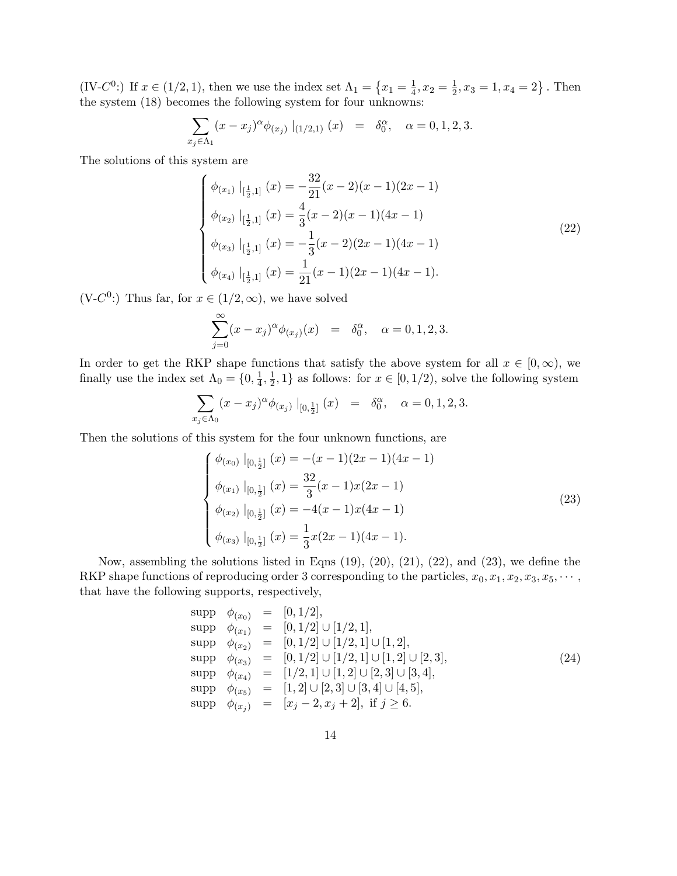(IV-C<sup>0</sup>:) If  $x \in (1/2, 1)$ , then we use the index set  $\Lambda_1 = \{x_1 = \frac{1}{4}\}$  $\frac{1}{4}$ ,  $x_2 = \frac{1}{2}$  $\frac{1}{2}$ ,  $x_3 = 1$ ,  $x_4 = 2$ . Then the system (18) becomes the following system for four unknowns:

$$
\sum_{x_j \in \Lambda_1} (x - x_j)^{\alpha} \phi_{(x_j)} |_{(1/2,1)} (x) = \delta_0^{\alpha}, \quad \alpha = 0, 1, 2, 3.
$$

The solutions of this system are

$$
\begin{cases}\n\phi_{(x_1)}\mid_{[\frac{1}{2},1]}(x) = -\frac{32}{21}(x-2)(x-1)(2x-1) \\
\phi_{(x_2)}\mid_{[\frac{1}{2},1]}(x) = \frac{4}{3}(x-2)(x-1)(4x-1) \\
\phi_{(x_3)}\mid_{[\frac{1}{2},1]}(x) = -\frac{1}{3}(x-2)(2x-1)(4x-1) \\
\phi_{(x_4)}\mid_{[\frac{1}{2},1]}(x) = \frac{1}{21}(x-1)(2x-1)(4x-1).\n\end{cases}
$$
\n(22)

 $(V-C<sup>0</sup>)$ : Thus far, for  $x \in (1/2,\infty)$ , we have solved

$$
\sum_{j=0}^{\infty} (x - x_j)^{\alpha} \phi_{(x_j)}(x) = \delta_0^{\alpha}, \quad \alpha = 0, 1, 2, 3.
$$

In order to get the RKP shape functions that satisfy the above system for all  $x \in [0, \infty)$ , we finally use the index set  $\Lambda_0 = \{0, \frac{1}{4}$  $\frac{1}{4}, \frac{1}{2}$  $\frac{1}{2}$ , 1} as follows: for  $x \in [0, 1/2)$ , solve the following system

$$
\sum_{x_j \in \Lambda_0} (x - x_j)^{\alpha} \phi_{(x_j)} |_{[0, \frac{1}{2}]} (x) = \delta_0^{\alpha}, \quad \alpha = 0, 1, 2, 3.
$$

Then the solutions of this system for the four unknown functions, are

$$
\begin{cases}\n\phi_{(x_0)} \mid_{[0,\frac{1}{2}]} (x) = -(x-1)(2x-1)(4x-1) \\
\phi_{(x_1)} \mid_{[0,\frac{1}{2}]} (x) = \frac{32}{3}(x-1)x(2x-1) \\
\phi_{(x_2)} \mid_{[0,\frac{1}{2}]} (x) = -4(x-1)x(4x-1) \\
\phi_{(x_3)} \mid_{[0,\frac{1}{2}]} (x) = \frac{1}{3}x(2x-1)(4x-1).\n\end{cases}
$$
\n(23)

Now, assembling the solutions listed in Eqns (19), (20), (21), (22), and (23), we define the RKP shape functions of reproducing order 3 corresponding to the particles,  $x_0, x_1, x_2, x_3, x_5, \cdots$ , that have the following supports, respectively,

$$
\begin{array}{rcl}\n\text{supp} & \phi_{(x_0)} & = & [0, 1/2], \\
\text{supp} & \phi_{(x_1)} & = & [0, 1/2] \cup [1/2, 1], \\
\text{supp} & \phi_{(x_2)} & = & [0, 1/2] \cup [1/2, 1] \cup [1, 2], \\
\text{supp} & \phi_{(x_3)} & = & [0, 1/2] \cup [1/2, 1] \cup [1, 2] \cup [2, 3], \\
\text{supp} & \phi_{(x_4)} & = & [1/2, 1] \cup [1, 2] \cup [2, 3] \cup [3, 4], \\
\text{supp} & \phi_{(x_5)} & = & [1, 2] \cup [2, 3] \cup [3, 4] \cup [4, 5], \\
\text{supp} & \phi_{(x_j)} & = & [x_j - 2, x_j + 2], \text{ if } j \geq 6.\n\end{array} \tag{24}
$$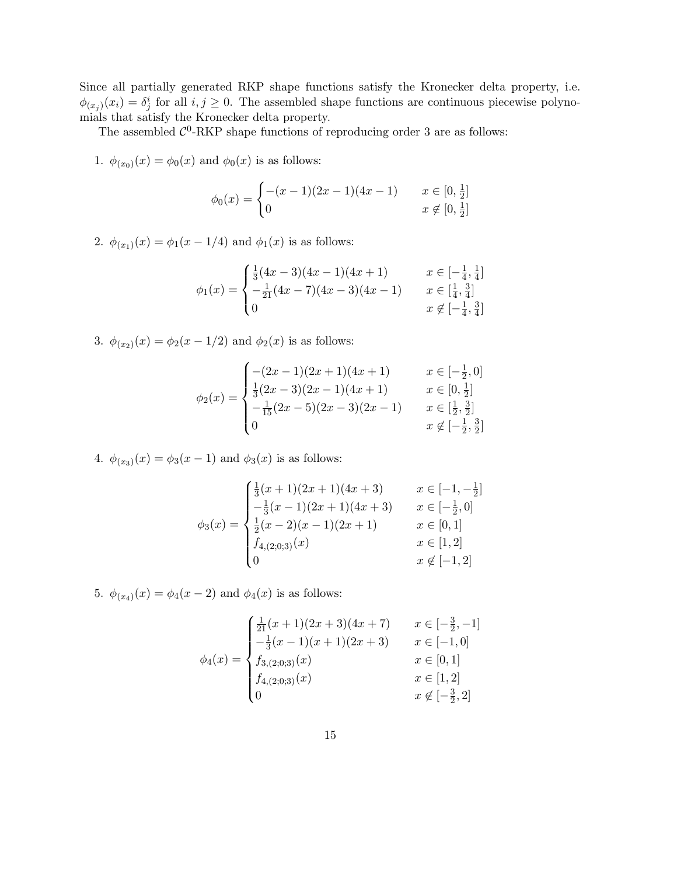Since all partially generated RKP shape functions satisfy the Kronecker delta property, i.e.  $\phi_{(x_j)}(x_i) = \delta_j^i$  for all  $i, j \geq 0$ . The assembled shape functions are continuous piecewise polynomials that satisfy the Kronecker delta property.

The assembled  $\mathcal{C}^0$ -RKP shape functions of reproducing order 3 are as follows:

1.  $\phi_{(x_0)}(x) = \phi_0(x)$  and  $\phi_0(x)$  is as follows:

$$
\phi_0(x) = \begin{cases}\n-(x-1)(2x-1)(4x-1) & x \in [0, \frac{1}{2}] \\
0 & x \notin [0, \frac{1}{2}]\n\end{cases}
$$

2.  $\phi_{(x_1)}(x) = \phi_1(x - 1/4)$  and  $\phi_1(x)$  is as follows:

$$
\phi_1(x) = \begin{cases} \frac{1}{3}(4x-3)(4x-1)(4x+1) & x \in [-\frac{1}{4}, \frac{1}{4}] \\ -\frac{1}{21}(4x-7)(4x-3)(4x-1) & x \in [\frac{1}{4}, \frac{3}{4}] \\ 0 & x \notin [-\frac{1}{4}, \frac{3}{4}] \end{cases}
$$

3.  $\phi_{(x_2)}(x) = \phi_2(x - 1/2)$  and  $\phi_2(x)$  is as follows:

$$
\phi_2(x) = \begin{cases}\n-(2x-1)(2x+1)(4x+1) & x \in [-\frac{1}{2}, 0] \\
\frac{1}{3}(2x-3)(2x-1)(4x+1) & x \in [0, \frac{1}{2}] \\
-\frac{1}{15}(2x-5)(2x-3)(2x-1) & x \in [\frac{1}{2}, \frac{3}{2}] \\
0 & x \notin [-\frac{1}{2}, \frac{3}{2}]\n\end{cases}
$$

4.  $\phi_{(x_3)}(x) = \phi_3(x-1)$  and  $\phi_3(x)$  is as follows:

$$
\phi_3(x) = \begin{cases}\n\frac{1}{3}(x+1)(2x+1)(4x+3) & x \in [-1, -\frac{1}{2}] \\
-\frac{1}{3}(x-1)(2x+1)(4x+3) & x \in [-\frac{1}{2}, 0] \\
\frac{1}{2}(x-2)(x-1)(2x+1) & x \in [0, 1] \\
f_{4,(2;0;3)}(x) & x \in [1, 2] \\
0 & x \notin [-1, 2]\n\end{cases}
$$

5.  $\phi_{(x_4)}(x) = \phi_4(x-2)$  and  $\phi_4(x)$  is as follows:

$$
\phi_4(x) = \begin{cases}\n\frac{1}{21}(x+1)(2x+3)(4x+7) & x \in [-\frac{3}{2}, -1] \\
-\frac{1}{3}(x-1)(x+1)(2x+3) & x \in [-1, 0] \\
f_{3,(2;0;3)}(x) & x \in [0, 1] \\
f_{4,(2;0;3)}(x) & x \in [1, 2] \\
0 & x \notin [-\frac{3}{2}, 2]\n\end{cases}
$$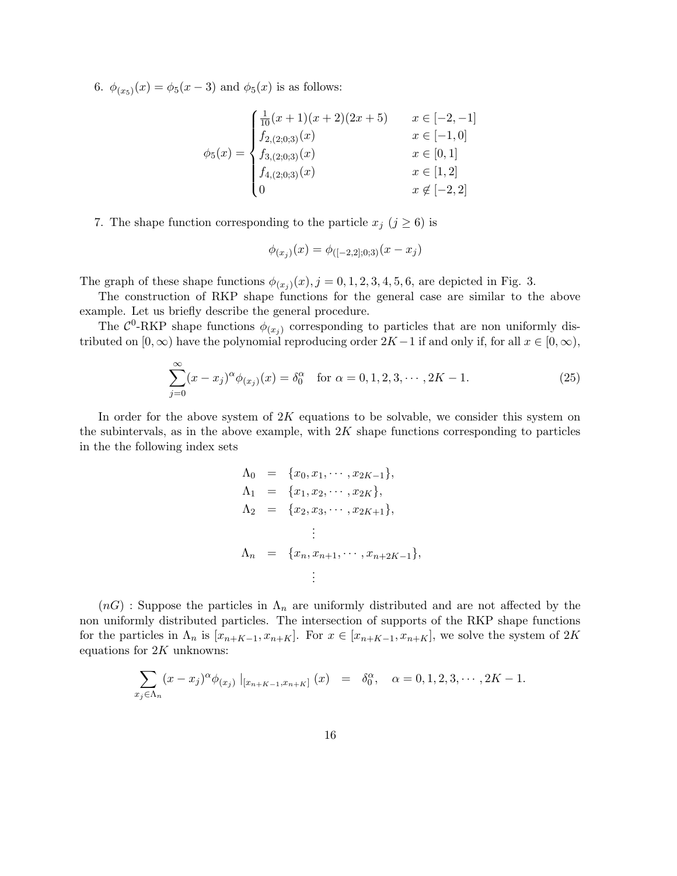6.  $\phi_{(x_5)}(x) = \phi_5(x-3)$  and  $\phi_5(x)$  is as follows:

$$
\phi_5(x) = \begin{cases}\n\frac{1}{10}(x+1)(x+2)(2x+5) & x \in [-2, -1] \\
f_{2,(2;0;3)}(x) & x \in [-1, 0] \\
f_{3,(2;0;3)}(x) & x \in [0, 1] \\
f_{4,(2;0;3)}(x) & x \in [1, 2] \\
0 & x \notin [-2, 2]\n\end{cases}
$$

### 7. The shape function corresponding to the particle  $x_j$   $(j \geq 6)$  is

$$
\phi_{(x_j)}(x) = \phi_{([-2,2];0,3)}(x - x_j)
$$

The graph of these shape functions  $\phi_{(x_j)}(x), j = 0, 1, 2, 3, 4, 5, 6$ , are depicted in Fig. 3.

The construction of RKP shape functions for the general case are similar to the above example. Let us briefly describe the general procedure.

The  $\mathcal{C}^0$ -RKP shape functions  $\phi_{(x_j)}$  corresponding to particles that are non uniformly distributed on  $[0, \infty)$  have the polynomial reproducing order  $2K - 1$  if and only if, for all  $x \in [0, \infty)$ ,

$$
\sum_{j=0}^{\infty} (x - x_j)^{\alpha} \phi_{(x_j)}(x) = \delta_0^{\alpha} \quad \text{for } \alpha = 0, 1, 2, 3, \cdots, 2K - 1.
$$
 (25)

In order for the above system of  $2K$  equations to be solvable, we consider this system on the subintervals, as in the above example, with  $2K$  shape functions corresponding to particles in the the following index sets

$$
\Lambda_0 = \{x_0, x_1, \dots, x_{2K-1}\},
$$
  
\n
$$
\Lambda_1 = \{x_1, x_2, \dots, x_{2K}\},
$$
  
\n
$$
\Lambda_2 = \{x_2, x_3, \dots, x_{2K+1}\},
$$
  
\n
$$
\vdots
$$
  
\n
$$
\Lambda_n = \{x_n, x_{n+1}, \dots, x_{n+2K-1}\},
$$
  
\n
$$
\vdots
$$

 $(nG)$ : Suppose the particles in  $\Lambda_n$  are uniformly distributed and are not affected by the non uniformly distributed particles. The intersection of supports of the RKP shape functions for the particles in  $\Lambda_n$  is  $[x_{n+K-1}, x_{n+K}]$ . For  $x \in [x_{n+K-1}, x_{n+K}]$ , we solve the system of 2K equations for  $2K$  unknowns:

$$
\sum_{x_j \in \Lambda_n} (x - x_j)^{\alpha} \phi_{(x_j)} |_{[x_{n+K-1}, x_{n+K}]} (x) = \delta_0^{\alpha}, \quad \alpha = 0, 1, 2, 3, \cdots, 2K - 1.
$$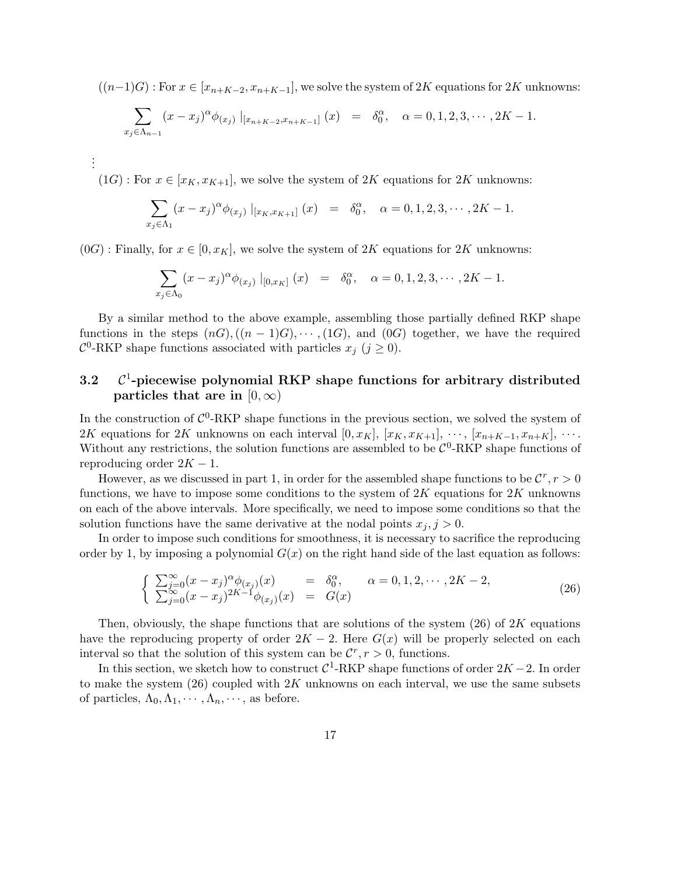$((n-1)G)$ : For  $x \in [x_{n+K-2}, x_{n+K-1}]$ , we solve the system of 2K equations for 2K unknowns:

$$
\sum_{x_j \in \Lambda_{n-1}} (x - x_j)^{\alpha} \phi_{(x_j)} |_{[x_{n+K-2}, x_{n+K-1}]} (x) = \delta_0^{\alpha}, \quad \alpha = 0, 1, 2, 3, \cdots, 2K - 1.
$$

 $(1G)$ : For  $x \in [x_K, x_{K+1}]$ , we solve the system of  $2K$  equations for  $2K$  unknowns:

. . .

$$
\sum_{x_j \in \Lambda_1} (x - x_j)^{\alpha} \phi_{(x_j)} |_{[x_K, x_{K+1}]} (x) = \delta_0^{\alpha}, \quad \alpha = 0, 1, 2, 3, \cdots, 2K - 1.
$$

 $(0G)$ : Finally, for  $x \in [0, x_K]$ , we solve the system of 2K equations for 2K unknowns:

$$
\sum_{x_j \in \Lambda_0} (x - x_j)^{\alpha} \phi_{(x_j)} |_{[0, x_K]} (x) = \delta_0^{\alpha}, \quad \alpha = 0, 1, 2, 3, \cdots, 2K - 1.
$$

By a similar method to the above example, assembling those partially defined RKP shape functions in the steps  $(nG)$ ,  $((n-1)G)$ ,  $\dots$ ,  $(1G)$ , and  $(0G)$  together, we have the required  $\mathcal{C}^0$ -RKP shape functions associated with particles  $x_j$  ( $j \geq 0$ ).

#### 3.2 C <sup>1</sup>-piecewise polynomial RKP shape functions for arbitrary distributed particles that are in  $[0,\infty)$

In the construction of  $\mathcal{C}^0$ -RKP shape functions in the previous section, we solved the system of 2K equations for 2K unknowns on each interval  $[0, x_K]$ ,  $[x_K, x_{K+1}]$ ,  $\dots$ ,  $[x_{n+K-1}, x_{n+K}]$ ,  $\dots$ . Without any restrictions, the solution functions are assembled to be  $C^0$ -RKP shape functions of reproducing order  $2K - 1$ .

However, as we discussed in part 1, in order for the assembled shape functions to be  $\mathcal{C}^r, r > 0$ functions, we have to impose some conditions to the system of  $2K$  equations for  $2K$  unknowns on each of the above intervals. More specifically, we need to impose some conditions so that the solution functions have the same derivative at the nodal points  $x_j$ ,  $j > 0$ .

In order to impose such conditions for smoothness, it is necessary to sacrifice the reproducing order by 1, by imposing a polynomial  $G(x)$  on the right hand side of the last equation as follows:

$$
\begin{cases}\n\sum_{j=0}^{\infty} (x - x_j)^{\alpha} \phi_{(x_j)}(x) = \delta_0^{\alpha}, & \alpha = 0, 1, 2, \cdots, 2K - 2, \\
\sum_{j=0}^{\infty} (x - x_j)^{2K-1} \phi_{(x_j)}(x) = G(x)\n\end{cases}
$$
\n(26)

Then, obviously, the shape functions that are solutions of the system (26) of 2K equations have the reproducing property of order  $2K - 2$ . Here  $G(x)$  will be properly selected on each interval so that the solution of this system can be  $\mathcal{C}^r$ ,  $r > 0$ , functions.

In this section, we sketch how to construct  $C^1$ -RKP shape functions of order  $2K - 2$ . In order to make the system  $(26)$  coupled with  $2K$  unknowns on each interval, we use the same subsets of particles,  $\Lambda_0, \Lambda_1, \cdots, \Lambda_n, \cdots$ , as before.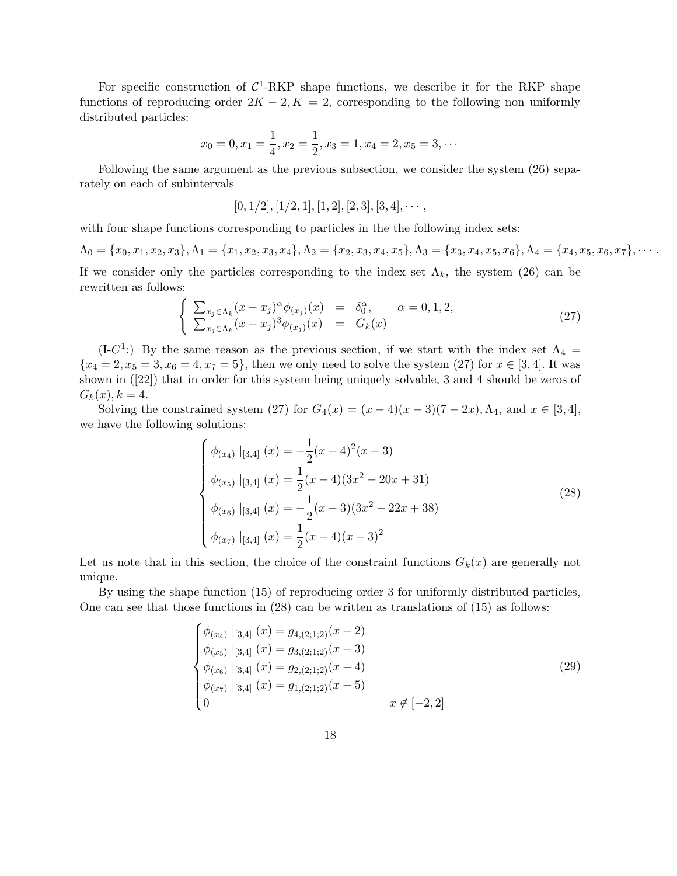For specific construction of  $C^1$ -RKP shape functions, we describe it for the RKP shape functions of reproducing order  $2K - 2$ ,  $K = 2$ , corresponding to the following non uniformly distributed particles:

$$
x_0 = 0, x_1 = \frac{1}{4}, x_2 = \frac{1}{2}, x_3 = 1, x_4 = 2, x_5 = 3, \cdots
$$

Following the same argument as the previous subsection, we consider the system (26) separately on each of subintervals

$$
[0,1/2], [1/2,1], [1,2], [2,3], [3,4], \cdots,
$$

with four shape functions corresponding to particles in the the following index sets:

$$
\Lambda_0 = \{x_0, x_1, x_2, x_3\}, \Lambda_1 = \{x_1, x_2, x_3, x_4\}, \Lambda_2 = \{x_2, x_3, x_4, x_5\}, \Lambda_3 = \{x_3, x_4, x_5, x_6\}, \Lambda_4 = \{x_4, x_5, x_6, x_7\}, \cdots
$$

If we consider only the particles corresponding to the index set  $\Lambda_k$ , the system (26) can be rewritten as follows:

$$
\begin{cases}\n\sum_{x_j \in \Lambda_k} (x - x_j)^{\alpha} \phi_{(x_j)}(x) = \delta_0^{\alpha}, & \alpha = 0, 1, 2, \\
\sum_{x_j \in \Lambda_k} (x - x_j)^3 \phi_{(x_j)}(x) = G_k(x)\n\end{cases}
$$
\n(27)

(I-C<sup>1</sup>:) By the same reason as the previous section, if we start with the index set  $\Lambda_4$  =  ${x_4 = 2, x_5 = 3, x_6 = 4, x_7 = 5}$ , then we only need to solve the system (27) for  $x \in [3, 4]$ . It was shown in ([22]) that in order for this system being uniquely solvable, 3 and 4 should be zeros of  $G_k(x), k = 4.$ 

Solving the constrained system (27) for  $G_4(x) = (x - 4)(x - 3)(7 - 2x)$ ,  $\Lambda_4$ , and  $x \in [3, 4]$ , we have the following solutions:

$$
\begin{cases}\n\phi_{(x_4)} |_{[3,4]} (x) = -\frac{1}{2}(x-4)^2(x-3) \\
\phi_{(x_5)} |_{[3,4]} (x) = \frac{1}{2}(x-4)(3x^2 - 20x + 31) \\
\phi_{(x_6)} |_{[3,4]} (x) = -\frac{1}{2}(x-3)(3x^2 - 22x + 38) \\
\phi_{(x_7)} |_{[3,4]} (x) = \frac{1}{2}(x-4)(x-3)^2\n\end{cases}
$$
\n(28)

Let us note that in this section, the choice of the constraint functions  $G_k(x)$  are generally not unique.

By using the shape function (15) of reproducing order 3 for uniformly distributed particles, One can see that those functions in (28) can be written as translations of (15) as follows:

$$
\begin{cases}\n\phi_{(x_4)} |_{[3,4]} (x) = g_{4,(2;1;2)}(x-2) \\
\phi_{(x_5)} |_{[3,4]} (x) = g_{3,(2;1;2)}(x-3) \\
\phi_{(x_6)} |_{[3,4]} (x) = g_{2,(2;1;2)}(x-4) \\
\phi_{(x_7)} |_{[3,4]} (x) = g_{1,(2;1;2)}(x-5) \\
0 & x \notin [-2,2]\n\end{cases}
$$
\n(29)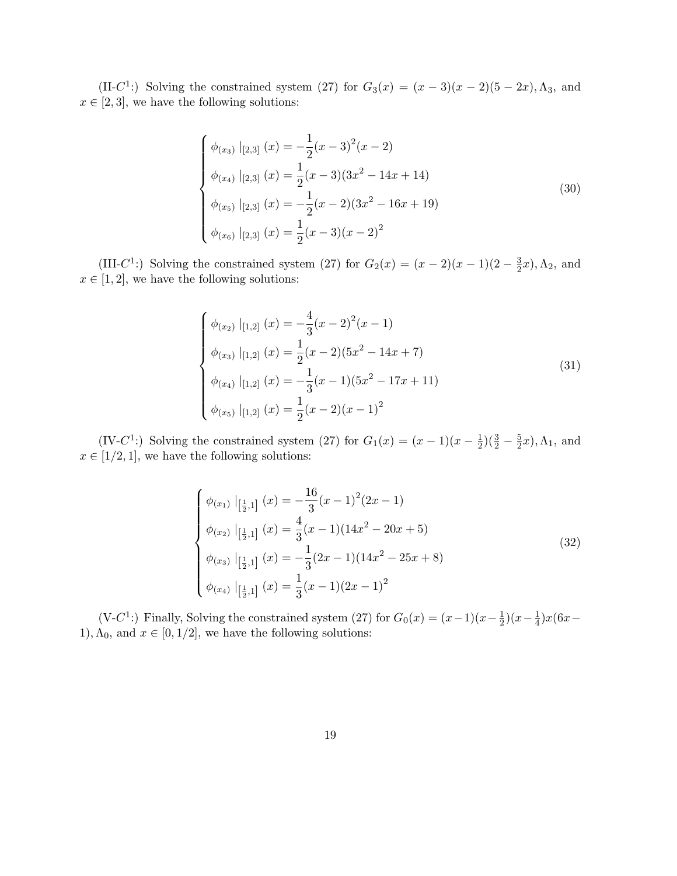(II-C<sup>1</sup>:) Solving the constrained system (27) for  $G_3(x) = (x-3)(x-2)(5-2x)$ ,  $\Lambda_3$ , and  $x \in [2, 3]$ , we have the following solutions:

$$
\begin{cases}\n\phi_{(x_3)} |_{[2,3]} (x) = -\frac{1}{2}(x-3)^2(x-2) \\
\phi_{(x_4)} |_{[2,3]} (x) = \frac{1}{2}(x-3)(3x^2 - 14x + 14) \\
\phi_{(x_5)} |_{[2,3]} (x) = -\frac{1}{2}(x-2)(3x^2 - 16x + 19) \\
\phi_{(x_6)} |_{[2,3]} (x) = \frac{1}{2}(x-3)(x-2)^2\n\end{cases}
$$
\n(30)

(III-C<sup>1</sup>:) Solving the constrained system (27) for  $G_2(x) = (x - 2)(x - 1)(2 - \frac{3}{2})$  $(\frac{3}{2}x), \Lambda_2$ , and  $x \in [1, 2]$ , we have the following solutions:

$$
\begin{cases}\n\phi_{(x_2)} |_{[1,2]} (x) = -\frac{4}{3} (x - 2)^2 (x - 1) \\
\phi_{(x_3)} |_{[1,2]} (x) = \frac{1}{2} (x - 2)(5x^2 - 14x + 7) \\
\phi_{(x_4)} |_{[1,2]} (x) = -\frac{1}{3} (x - 1)(5x^2 - 17x + 11) \\
\phi_{(x_5)} |_{[1,2]} (x) = \frac{1}{2} (x - 2)(x - 1)^2\n\end{cases}
$$
\n(31)

(IV-C<sup>1</sup>:) Solving the constrained system (27) for  $G_1(x) = (x-1)(x-\frac{1}{2})$  $(\frac{3}{2}) (\frac{3}{2} - \frac{5}{2})$  $(\frac{5}{2}x)$ ,  $\Lambda_1$ , and  $x \in [1/2, 1]$ , we have the following solutions:

$$
\begin{cases}\n\phi_{(x_1)}\mid_{\left[\frac{1}{2},1\right]} (x) = -\frac{16}{3}(x-1)^2(2x-1) \\
\phi_{(x_2)}\mid_{\left[\frac{1}{2},1\right]} (x) = \frac{4}{3}(x-1)(14x^2 - 20x + 5) \\
\phi_{(x_3)}\mid_{\left[\frac{1}{2},1\right]} (x) = -\frac{1}{3}(2x-1)(14x^2 - 25x + 8) \\
\phi_{(x_4)}\mid_{\left[\frac{1}{2},1\right]} (x) = \frac{1}{3}(x-1)(2x-1)^2\n\end{cases}
$$
\n(32)

(V-C<sup>1</sup>:) Finally, Solving the constrained system (27) for  $G_0(x) = (x-1)(x-\frac{1}{2})$  $\frac{1}{2}$ )(x- $\frac{1}{4}$  $rac{1}{4}$ ) $x(6x-$ 1),  $\Lambda_0$ , and  $x \in [0, 1/2]$ , we have the following solutions: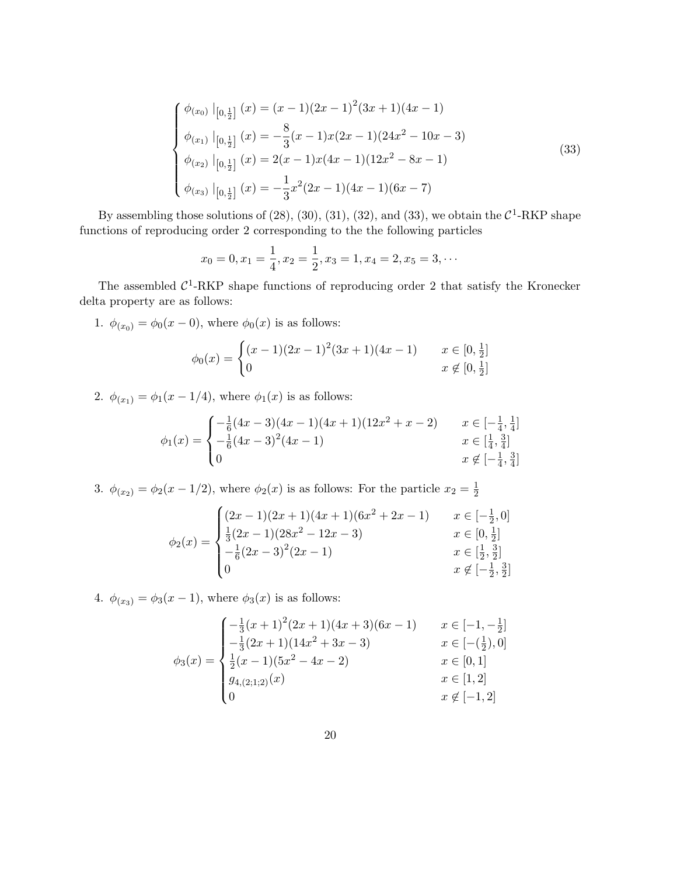$$
\begin{cases}\n\phi_{(x_0)} \mid_{[0,\frac{1}{2}]} (x) = (x-1)(2x-1)^2(3x+1)(4x-1) \\
\phi_{(x_1)} \mid_{[0,\frac{1}{2}]} (x) = -\frac{8}{3}(x-1)x(2x-1)(24x^2-10x-3) \\
\phi_{(x_2)} \mid_{[0,\frac{1}{2}]} (x) = 2(x-1)x(4x-1)(12x^2-8x-1) \\
\phi_{(x_3)} \mid_{[0,\frac{1}{2}]} (x) = -\frac{1}{3}x^2(2x-1)(4x-1)(6x-7)\n\end{cases}
$$
\n(33)

By assembling those solutions of  $(28)$ ,  $(30)$ ,  $(31)$ ,  $(32)$ , and  $(33)$ , we obtain the  $\mathcal{C}^1$ -RKP shape functions of reproducing order 2 corresponding to the the following particles

$$
x_0 = 0, x_1 = \frac{1}{4}, x_2 = \frac{1}{2}, x_3 = 1, x_4 = 2, x_5 = 3, \cdots
$$

The assembled  $C^1$ -RKP shape functions of reproducing order 2 that satisfy the Kronecker delta property are as follows:

1.  $\phi_{(x_0)} = \phi_0(x - 0)$ , where  $\phi_0(x)$  is as follows:

$$
\phi_0(x) = \begin{cases} (x-1)(2x-1)^2(3x+1)(4x-1) & x \in [0, \frac{1}{2}] \\ 0 & x \notin [0, \frac{1}{2}] \end{cases}
$$

2.  $\phi_{(x_1)} = \phi_1(x - 1/4)$ , where  $\phi_1(x)$  is as follows:

$$
\phi_1(x) = \begin{cases}\n-\frac{1}{6}(4x-3)(4x-1)(4x+1)(12x^2+x-2) & x \in [-\frac{1}{4}, \frac{1}{4}] \\
-\frac{1}{6}(4x-3)^2(4x-1) & x \in [\frac{1}{4}, \frac{3}{4}] \\
0 & x \notin [-\frac{1}{4}, \frac{3}{4}]\n\end{cases}
$$

3.  $\phi_{(x_2)} = \phi_2(x - 1/2)$ , where  $\phi_2(x)$  is as follows: For the particle  $x_2 = \frac{1}{2}$ 2

$$
\phi_2(x) = \begin{cases}\n(2x - 1)(2x + 1)(4x + 1)(6x^2 + 2x - 1) & x \in [-\frac{1}{2}, 0] \\
\frac{1}{3}(2x - 1)(28x^2 - 12x - 3) & x \in [0, \frac{1}{2}] \\
-\frac{1}{6}(2x - 3)^2(2x - 1) & x \in [\frac{1}{2}, \frac{3}{2}] \\
0 & x \notin [-\frac{1}{2}, \frac{3}{2}]\n\end{cases}
$$

4.  $\phi_{(x_3)} = \phi_3(x - 1)$ , where  $\phi_3(x)$  is as follows:

$$
\phi_3(x) = \begin{cases}\n-\frac{1}{3}(x+1)^2(2x+1)(4x+3)(6x-1) & x \in [-1, -\frac{1}{2}] \\
-\frac{1}{3}(2x+1)(14x^2+3x-3) & x \in [-(\frac{1}{2}), 0] \\
\frac{1}{2}(x-1)(5x^2-4x-2) & x \in [0, 1] \\
g_{4,(2;1;2)}(x) & x \in [1, 2] \\
0 & x \notin [-1, 2]\n\end{cases}
$$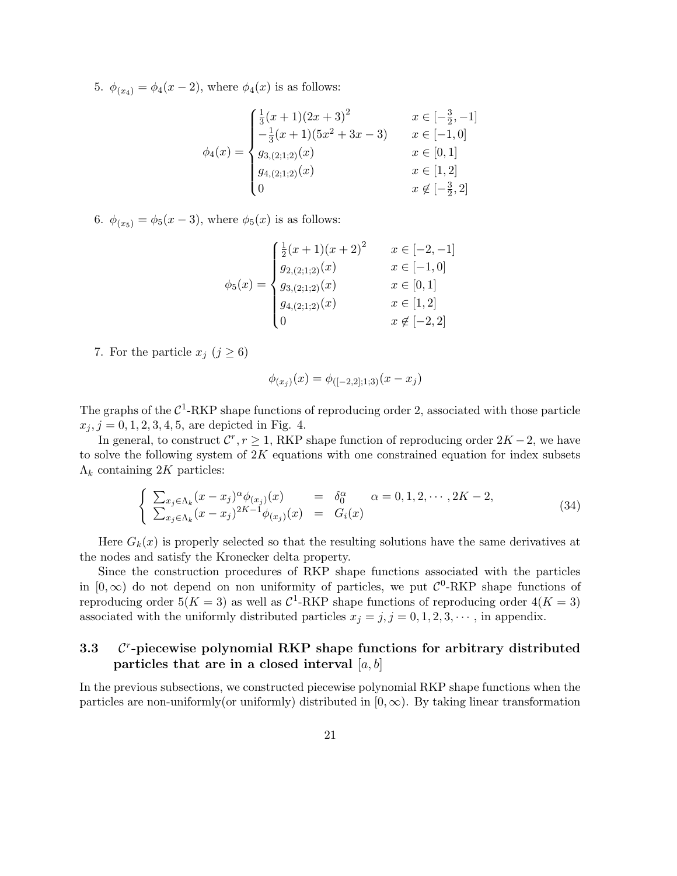5.  $\phi_{(x_4)} = \phi_4(x-2)$ , where  $\phi_4(x)$  is as follows:

$$
\phi_4(x) = \begin{cases}\n\frac{1}{3}(x+1)(2x+3)^2 & x \in [-\frac{3}{2}, -1] \\
-\frac{1}{3}(x+1)(5x^2+3x-3) & x \in [-1, 0] \\
g_{3,(2;1;2)}(x) & x \in [0, 1] \\
g_{4,(2;1;2)}(x) & x \in [1, 2] \\
0 & x \notin [-\frac{3}{2}, 2]\n\end{cases}
$$

6.  $\phi_{(x_5)} = \phi_5(x-3)$ , where  $\phi_5(x)$  is as follows:

$$
\phi_5(x) = \begin{cases}\n\frac{1}{2}(x+1)(x+2)^2 & x \in [-2, -1] \\
g_{2,(2;1;2)}(x) & x \in [-1, 0] \\
g_{3,(2;1;2)}(x) & x \in [0, 1] \\
g_{4,(2;1;2)}(x) & x \in [1, 2] \\
0 & x \notin [-2, 2]\n\end{cases}
$$

7. For the particle  $x_j$   $(j \geq 6)$ 

$$
\phi_{(x_j)}(x) = \phi_{([-2,2];1;3)}(x - x_j)
$$

The graphs of the  $C^1$ -RKP shape functions of reproducing order 2, associated with those particle  $x_j, j = 0, 1, 2, 3, 4, 5$ , are depicted in Fig. 4.

In general, to construct  $\mathcal{C}^r$ ,  $r \geq 1$ , RKP shape function of reproducing order  $2K - 2$ , we have to solve the following system of  $2K$  equations with one constrained equation for index subsets  $\Lambda_k$  containing 2K particles:

$$
\begin{cases}\n\sum_{x_j \in \Lambda_k} (x - x_j)^{\alpha} \phi_{(x_j)}(x) = \delta_0^{\alpha} \quad \alpha = 0, 1, 2, \cdots, 2K - 2, \\
\sum_{x_j \in \Lambda_k} (x - x_j)^{2K - 1} \phi_{(x_j)}(x) = G_i(x)\n\end{cases} \tag{34}
$$

Here  $G_k(x)$  is properly selected so that the resulting solutions have the same derivatives at the nodes and satisfy the Kronecker delta property.

Since the construction procedures of RKP shape functions associated with the particles in  $[0, \infty)$  do not depend on non uniformity of particles, we put  $\mathcal{C}^0$ -RKP shape functions of reproducing order  $5(K = 3)$  as well as  $C^1$ -RKP shape functions of reproducing order  $4(K = 3)$ associated with the uniformly distributed particles  $x_j = j, j = 0, 1, 2, 3, \cdots$ , in appendix.

#### 3.3 C r -piecewise polynomial RKP shape functions for arbitrary distributed particles that are in a closed interval  $[a, b]$

In the previous subsections, we constructed piecewise polynomial RKP shape functions when the particles are non-uniformly(or uniformly) distributed in  $[0, \infty)$ . By taking linear transformation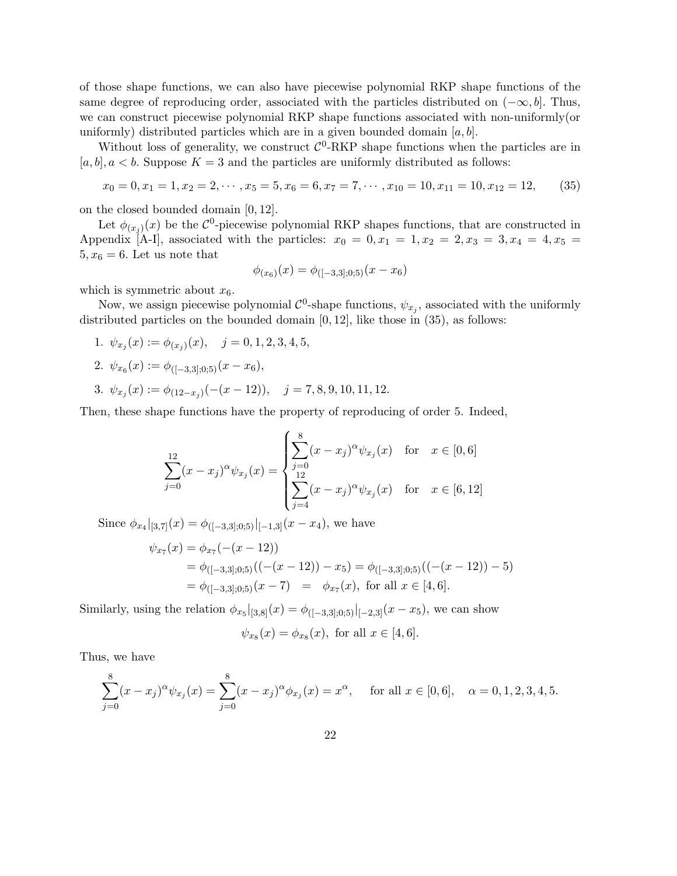of those shape functions, we can also have piecewise polynomial RKP shape functions of the same degree of reproducing order, associated with the particles distributed on  $(-\infty, b]$ . Thus, we can construct piecewise polynomial RKP shape functions associated with non-uniformly(or uniformly) distributed particles which are in a given bounded domain  $[a, b]$ .

Without loss of generality, we construct  $C^0$ -RKP shape functions when the particles are in  $[a, b], a < b$ . Suppose  $K = 3$  and the particles are uniformly distributed as follows:

$$
x_0 = 0, x_1 = 1, x_2 = 2, \cdots, x_5 = 5, x_6 = 6, x_7 = 7, \cdots, x_{10} = 10, x_{11} = 10, x_{12} = 12,
$$
 (35)

on the closed bounded domain [0, 12].

Let  $\phi_{(x_j)}(x)$  be the  $\mathcal{C}^0$ -piecewise polynomial RKP shapes functions, that are constructed in Appendix [A-I], associated with the particles:  $x_0 = 0, x_1 = 1, x_2 = 2, x_3 = 3, x_4 = 4, x_5 =$  $5, x_6 = 6$ . Let us note that

$$
\phi_{(x_6)}(x) = \phi_{([-3,3];0;5)}(x - x_6)
$$

which is symmetric about  $x_6$ .

Now, we assign piecewise polynomial  $\mathcal{C}^0$ -shape functions,  $\psi_{x_j}$ , associated with the uniformly distributed particles on the bounded domain  $[0, 12]$ , like those in  $(35)$ , as follows:

1.  $\psi_{x_j}(x) := \phi_{(x_j)}(x), \quad j = 0, 1, 2, 3, 4, 5,$ 

2. 
$$
\psi_{x_6}(x) := \phi_{([-3,3];0,5)}(x - x_6),
$$

3.  $\psi_{x_j}(x) := \phi_{(12-x_j)}(-(x-12)), \quad j = 7, 8, 9, 10, 11, 12.$ 

Then, these shape functions have the property of reproducing of order 5. Indeed,

$$
\sum_{j=0}^{12} (x - x_j)^{\alpha} \psi_{x_j}(x) = \begin{cases} \sum_{j=0}^{8} (x - x_j)^{\alpha} \psi_{x_j}(x) & \text{for } x \in [0, 6] \\ \sum_{j=4}^{12} (x - x_j)^{\alpha} \psi_{x_j}(x) & \text{for } x \in [6, 12] \end{cases}
$$

Since  $\phi_{x_4}|_{[3,7]}(x) = \phi_{([-3,3];0,5)}|_{[-1,3]}(x-x_4)$ , we have

$$
\psi_{x7}(x) = \phi_{x7}(-(x - 12))
$$
  
=  $\phi_{([-3,3];0,5)}((-x - 12)) - x_5) = \phi_{([-3,3];0,5)}((-x - 12)) - 5)$   
=  $\phi_{([-3,3];0,5)}(x - 7) = \phi_{x7}(x)$ , for all  $x \in [4, 6]$ .

Similarly, using the relation  $\phi_{x_5}|_{[3,8]}(x) = \phi_{([-3,3];0;5)}|_{[-2,3]}(x - x_5)$ , we can show

$$
\psi_{x_8}(x) = \phi_{x_8}(x)
$$
, for all  $x \in [4, 6]$ .

Thus, we have

$$
\sum_{j=0}^{8} (x - x_j)^{\alpha} \psi_{x_j}(x) = \sum_{j=0}^{8} (x - x_j)^{\alpha} \phi_{x_j}(x) = x^{\alpha}, \quad \text{for all } x \in [0, 6], \quad \alpha = 0, 1, 2, 3, 4, 5.
$$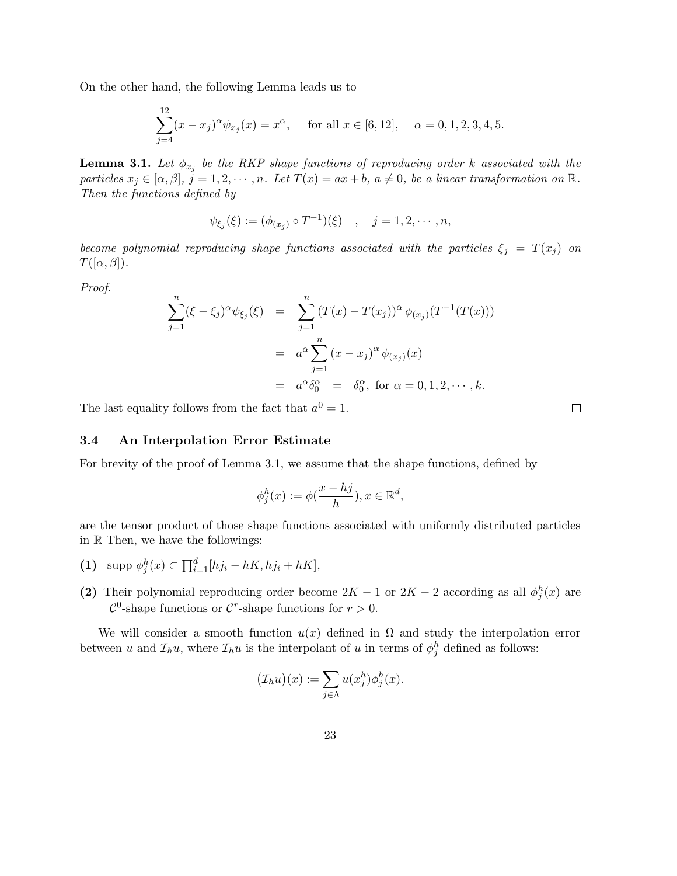On the other hand, the following Lemma leads us to

$$
\sum_{j=4}^{12} (x - x_j)^{\alpha} \psi_{x_j}(x) = x^{\alpha}, \quad \text{for all } x \in [6, 12], \quad \alpha = 0, 1, 2, 3, 4, 5.
$$

**Lemma 3.1.** Let  $\phi_{x_j}$  be the RKP shape functions of reproducing order k associated with the particles  $x_j \in [\alpha, \beta], j = 1, 2, \cdots, n$ . Let  $T(x) = ax + b$ ,  $a \neq 0$ , be a linear transformation on  $\mathbb{R}$ . Then the functions defined by

$$
\psi_{\xi_j}(\xi) := (\phi_{(x_j)} \circ T^{-1})(\xi) \quad , \quad j = 1, 2, \cdots, n,
$$

become polynomial reproducing shape functions associated with the particles  $\xi_j = T(x_j)$  on  $T([\alpha,\beta]).$ 

Proof.

$$
\sum_{j=1}^{n} (\xi - \xi_j)^{\alpha} \psi_{\xi_j}(\xi) = \sum_{j=1}^{n} (T(x) - T(x_j))^{\alpha} \phi_{(x_j)}(T^{-1}(T(x)))
$$
  
=  $a^{\alpha} \sum_{j=1}^{n} (x - x_j)^{\alpha} \phi_{(x_j)}(x)$   
=  $a^{\alpha} \delta_0^{\alpha} = \delta_0^{\alpha}$ , for  $\alpha = 0, 1, 2, \dots, k$ .

The last equality follows from the fact that  $a^0 = 1$ .

#### 3.4 An Interpolation Error Estimate

For brevity of the proof of Lemma 3.1, we assume that the shape functions, defined by

$$
\phi_j^h(x) := \phi(\frac{x - hj}{h}), x \in \mathbb{R}^d,
$$

are the tensor product of those shape functions associated with uniformly distributed particles in R Then, we have the followings:

- (1) supp  $\phi_j^h(x) \subset \prod_{i=1}^d [hj_i hK, hj_i + hK],$
- (2) Their polynomial reproducing order become  $2K 1$  or  $2K 2$  according as all  $\phi_j^h(x)$  are  $\mathcal{C}^0$ -shape functions or  $\mathcal{C}^r$ -shape functions for  $r > 0$ .

We will consider a smooth function  $u(x)$  defined in  $\Omega$  and study the interpolation error between u and  $\mathcal{I}_h u$ , where  $\mathcal{I}_h u$  is the interpolant of u in terms of  $\phi^h_j$  defined as follows:

$$
(\mathcal{I}_h u)(x) := \sum_{j \in \Lambda} u(x_j^h) \phi_j^h(x).
$$

 $\Box$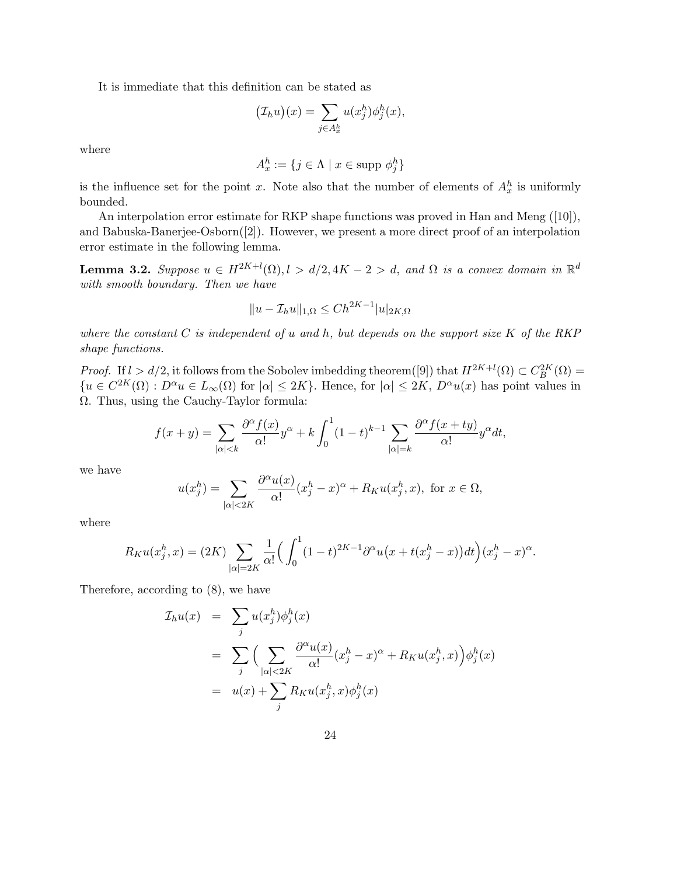It is immediate that this definition can be stated as

$$
(\mathcal{I}_h u)(x) = \sum_{j \in A_x^h} u(x_j^h) \phi_j^h(x),
$$

where

$$
A_x^h := \{ j \in \Lambda \mid x \in \text{supp } \phi_j^h \}
$$

is the influence set for the point x. Note also that the number of elements of  $A_x^h$  is uniformly bounded.

An interpolation error estimate for RKP shape functions was proved in Han and Meng ([10]), and Babuska-Banerjee-Osborn([2]). However, we present a more direct proof of an interpolation error estimate in the following lemma.

**Lemma 3.2.** Suppose  $u \in H^{2K+l}(\Omega), l > d/2, 4K-2 > d$ , and  $\Omega$  is a convex domain in  $\mathbb{R}^d$ with smooth boundary. Then we have

$$
||u - \mathcal{I}_h u||_{1,\Omega} \le Ch^{2K-1} |u|_{2K,\Omega}
$$

where the constant  $C$  is independent of u and h, but depends on the support size  $K$  of the RKP shape functions.

*Proof.* If  $l > d/2$ , it follows from the Sobolev imbedding theorem([9]) that  $H^{2K+l}(\Omega) \subset C_B^{2K}(\Omega) =$  ${u \in C^{2K}(\Omega) : D^{\alpha}u \in L_{\infty}(\Omega) \text{ for } |\alpha| \leq 2K}$ . Hence, for  $|\alpha| \leq 2K$ ,  $D^{\alpha}u(x)$  has point values in Ω. Thus, using the Cauchy-Taylor formula:

$$
f(x+y) = \sum_{|\alpha|
$$

we have

$$
u(x_j^h) = \sum_{|\alpha| < 2K} \frac{\partial^\alpha u(x)}{\alpha!} (x_j^h - x)^\alpha + R_K u(x_j^h, x), \text{ for } x \in \Omega,
$$

where

$$
R_K u(x_j^h, x) = (2K) \sum_{|\alpha|=2K} \frac{1}{\alpha!} \Big( \int_0^1 (1-t)^{2K-1} \partial^\alpha u \big( x + t(x_j^h - x) \big) dt \Big) (x_j^h - x)^\alpha.
$$

Therefore, according to (8), we have

$$
\mathcal{I}_h u(x) = \sum_j u(x_j^h) \phi_j^h(x)
$$
  
= 
$$
\sum_j \Big( \sum_{|\alpha| < 2K} \frac{\partial^{\alpha} u(x)}{\alpha!} (x_j^h - x)^{\alpha} + R_K u(x_j^h, x) \Big) \phi_j^h(x)
$$
  
= 
$$
u(x) + \sum_j R_K u(x_j^h, x) \phi_j^h(x)
$$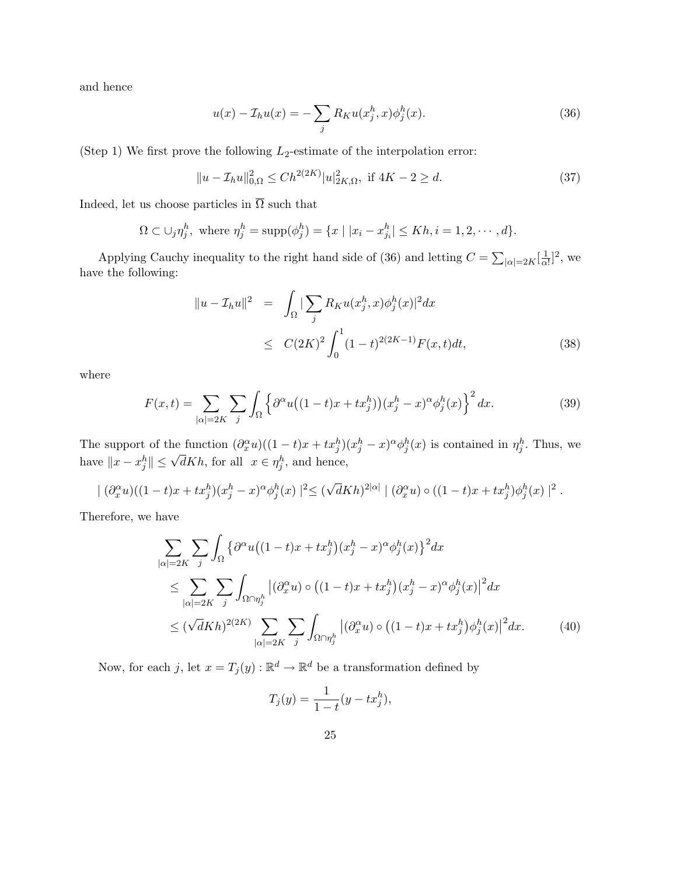and hence

$$
u(x) - \mathcal{I}_h u(x) = -\sum_j R_K u(x_j^h, x) \phi_j^h(x).
$$
\n(36)

(Step 1) We first prove the following  $L_2$ -estimate of the interpolation error:

$$
||u - \mathcal{I}_h u||_{0,\Omega}^2 \le C h^{2(2K)} |u|_{2K,\Omega}^2, \text{ if } 4K - 2 \ge d. \tag{37}
$$

Indeed, let us choose particles in  $\overline{\Omega}$  such that

$$
\Omega \subset \bigcup_j \eta_j^h
$$
, where  $\eta_j^h = \text{supp}(\phi_j^h) = \{x \mid |x_i - x_{j_i}^h| \le Kh, i = 1, 2, \dots, d\}.$ 

Applying Cauchy inequality to the right hand side of (36) and letting  $C = \sum_{|\alpha|=2K} \left[\frac{1}{\alpha}\right]$  $\frac{1}{\alpha!}$ ]<sup>2</sup>, we have the following:

$$
\|u - \mathcal{I}_h u\|^2 = \int_{\Omega} |\sum_j R_K u(x_j^h, x) \phi_j^h(x)|^2 dx
$$
  
\n
$$
\leq C(2K)^2 \int_0^1 (1-t)^{2(2K-1)} F(x, t) dt,
$$
\n(38)

where

$$
F(x,t) = \sum_{|\alpha|=2K} \sum_{j} \int_{\Omega} \left\{ \partial^{\alpha} u \big( (1-t)x + tx_j^h \big) \big( x_j^h - x \big)^{\alpha} \phi_j^h(x) \right\}^2 dx. \tag{39}
$$

The support of the function  $(\partial_x^{\alpha}u)((1-t)x + tx_j^h)(x_j^h - x)^{\alpha}\phi_j^h(x)$  is contained in  $\eta_j^h$ . Thus, we have  $||x - x_j^h|| \leq$  $\sqrt{d}Kh$ , for all  $x \in \eta_j^h$ , and hence,

$$
| (\partial_x^{\alpha} u)((1-t)x + tx_j^h)(x_j^h - x)^{\alpha} \phi_j^h(x) |^2 \leq (\sqrt{d}Kh)^{2|\alpha|} | (\partial_x^{\alpha} u) \circ ((1-t)x + tx_j^h)\phi_j^h(x) |^2.
$$

Therefore, we have

$$
\sum_{|\alpha|=2K} \sum_{j} \int_{\Omega} \left\{ \partial^{\alpha} u \big( (1-t)x + tx_j^h \big) (x_j^h - x)^{\alpha} \phi_j^h(x) \right\}^2 dx
$$
\n
$$
\leq \sum_{|\alpha|=2K} \sum_{j} \int_{\Omega \cap \eta_j^h} \left| (\partial_x^{\alpha} u) \circ \big( (1-t)x + tx_j^h \big) (x_j^h - x)^{\alpha} \phi_j^h(x) \right|^2 dx
$$
\n
$$
\leq (\sqrt{d}Kh)^{2(2K)} \sum_{|\alpha|=2K} \sum_{j} \int_{\Omega \cap \eta_j^h} \left| (\partial_x^{\alpha} u) \circ \big( (1-t)x + tx_j^h \big) \phi_j^h(x) \right|^2 dx. \tag{40}
$$

Now, for each j, let  $x = T_j(y) : \mathbb{R}^d \to \mathbb{R}^d$  be a transformation defined by

$$
T_j(y) = \frac{1}{1 - t}(y - tx_j^h),
$$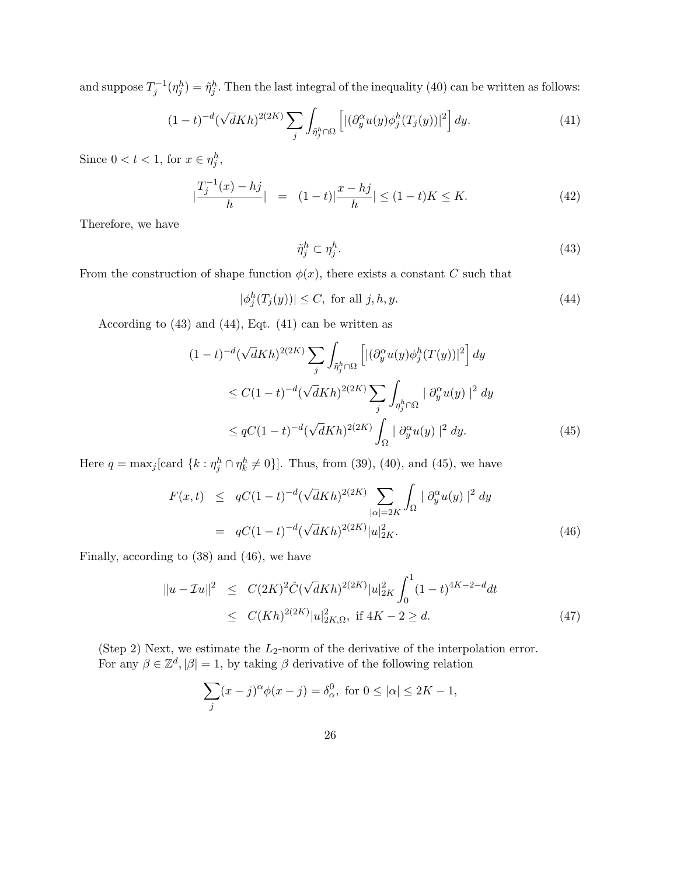and suppose  $T_j^{-1}(\eta_j^h) = \tilde{\eta}_j^h$ . Then the last integral of the inequality (40) can be written as follows:

$$
(1-t)^{-d}(\sqrt{d}Kh)^{2(2K)}\sum_{j}\int_{\tilde{\eta}_j^h\cap\Omega}\left[|(\partial_y^{\alpha}u(y)\phi_j^h(T_j(y))|^2\right]dy.\tag{41}
$$

Since  $0 < t < 1$ , for  $x \in \eta_j^h$ ,

$$
\left|\frac{T_j^{-1}(x) - hj}{h}\right| = (1 - t)|\frac{x - hj}{h}| \le (1 - t)K \le K. \tag{42}
$$

Therefore, we have

$$
\tilde{\eta}_j^h \subset \eta_j^h. \tag{43}
$$

From the construction of shape function  $\phi(x)$ , there exists a constant C such that

$$
|\phi_j^h(T_j(y))| \le C, \text{ for all } j, h, y. \tag{44}
$$

According to (43) and (44), Eqt. (41) can be written as

$$
(1-t)^{-d}(\sqrt{d}Kh)^{2(2K)}\sum_{j}\int_{\tilde{\eta}_{j}^{h}\cap\Omega}\left[\left|\left(\partial_{y}^{\alpha}u(y)\phi_{j}^{h}(T(y))\right|^{2}\right]dy\right]
$$
  

$$
\leq C(1-t)^{-d}(\sqrt{d}Kh)^{2(2K)}\sum_{j}\int_{\eta_{j}^{h}\cap\Omega}\left|\left(\partial_{y}^{\alpha}u(y)\right|^{2}dy\right|
$$
  

$$
\leq qC(1-t)^{-d}(\sqrt{d}Kh)^{2(2K)}\int_{\Omega}\left|\left(\partial_{y}^{\alpha}u(y)\right|^{2}dy.\right)
$$
(45)

Here  $q = \max_j [\text{card } \{k : \eta_j^h \cap \eta_k^h \neq 0\}]$ . Thus, from (39), (40), and (45), we have

$$
F(x,t) \leq qC(1-t)^{-d}(\sqrt{d}Kh)^{2(2K)} \sum_{|\alpha|=2K} \int_{\Omega} |\partial_y^{\alpha} u(y)|^2 dy
$$
  
=  $qC(1-t)^{-d}(\sqrt{d}Kh)^{2(2K)}|u|_{2K}^2.$  (46)

Finally, according to (38) and (46), we have

$$
\|u - \mathcal{I}u\|^2 \le C(2K)^2 \hat{C}(\sqrt{d}Kh)^{2(2K)} |u|_{2K}^2 \int_0^1 (1-t)^{4K-2-d} dt
$$
  
 
$$
\le C(Kh)^{2(2K)} |u|_{2K,\Omega}^2, \text{ if } 4K - 2 \ge d.
$$
 (47)

(Step 2) Next, we estimate the  $L_2$ -norm of the derivative of the interpolation error. For any  $\beta \in \mathbb{Z}^d$ ,  $|\beta|=1$ , by taking  $\beta$  derivative of the following relation

$$
\sum_{j} (x - j)^{\alpha} \phi(x - j) = \delta_{\alpha}^{0}, \text{ for } 0 \le |\alpha| \le 2K - 1,
$$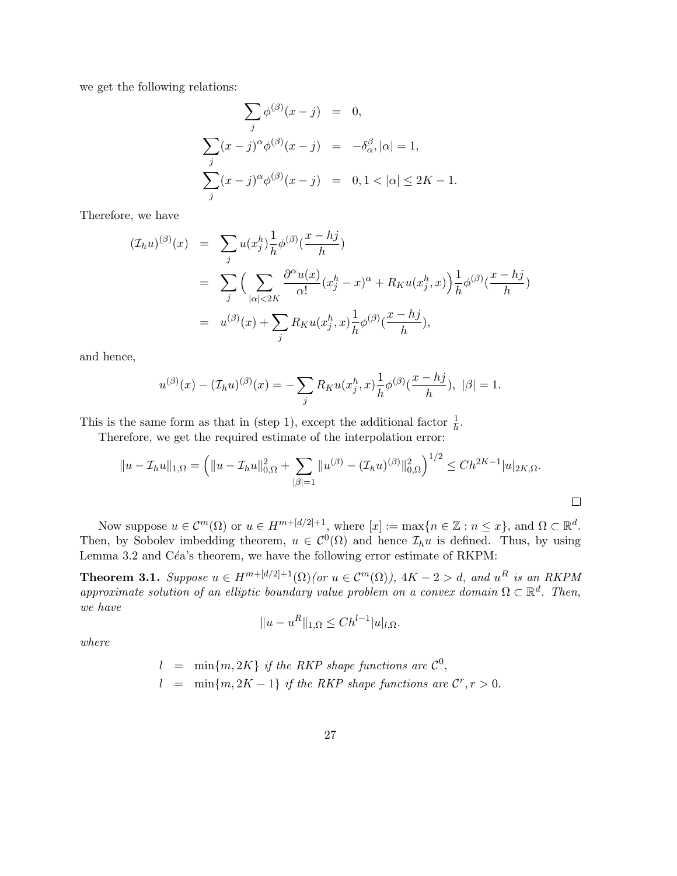we get the following relations:

$$
\sum_{j} \phi^{(\beta)}(x - j) = 0,
$$
  

$$
\sum_{j} (x - j)^{\alpha} \phi^{(\beta)}(x - j) = -\delta_{\alpha}^{\beta}, |\alpha| = 1,
$$
  

$$
\sum_{j} (x - j)^{\alpha} \phi^{(\beta)}(x - j) = 0, 1 < |\alpha| \le 2K - 1.
$$

Therefore, we have

$$
\begin{split} (\mathcal{I}_h u)^{(\beta)}(x) &= \sum_j u(x_j^h) \frac{1}{h} \phi^{(\beta)}(\frac{x - hj}{h}) \\ &= \sum_j \Big( \sum_{|\alpha| < 2K} \frac{\partial^{\alpha} u(x)}{\alpha!} (x_j^h - x)^{\alpha} + R_K u(x_j^h, x) \Big) \frac{1}{h} \phi^{(\beta)}(\frac{x - hj}{h}) \\ &= u^{(\beta)}(x) + \sum_j R_K u(x_j^h, x) \frac{1}{h} \phi^{(\beta)}(\frac{x - hj}{h}), \end{split}
$$

and hence,

$$
u^{(\beta)}(x) - (\mathcal{I}_h u)^{(\beta)}(x) = -\sum_j R_K u(x_j^h, x) \frac{1}{h} \phi^{(\beta)}(\frac{x - hj}{h}), \ |\beta| = 1.
$$

This is the same form as that in (step 1), except the additional factor  $\frac{1}{h}$ .

Therefore, we get the required estimate of the interpolation error:

$$
||u - \mathcal{I}_h u||_{1,\Omega} = \left( ||u - \mathcal{I}_h u||_{0,\Omega}^2 + \sum_{|\beta|=1} ||u^{(\beta)} - (\mathcal{I}_h u)^{(\beta)}||_{0,\Omega}^2 \right)^{1/2} \le Ch^{2K-1} |u|_{2K,\Omega}.
$$

Now suppose  $u \in C^m(\Omega)$  or  $u \in H^{m+[d/2]+1}$ , where  $[x] := \max\{n \in \mathbb{Z} : n \leq x\}$ , and  $\Omega \subset \mathbb{R}^d$ . Then, by Sobolev imbedding theorem,  $u \in C^0(\Omega)$  and hence  $\mathcal{I}_h u$  is defined. Thus, by using Lemma 3.2 and Céa's theorem, we have the following error estimate of RKPM:

**Theorem 3.1.** Suppose  $u \in H^{m+[d/2]+1}(\Omega)$  (or  $u \in C^m(\Omega)$ ),  $4K - 2 > d$ , and  $u^R$  is an RKPM approximate solution of an elliptic boundary value problem on a convex domain  $\Omega \subset \mathbb{R}^d$ . Then, we have

$$
||u - u^R||_{1,\Omega} \le Ch^{l-1}|u|_{l,\Omega}.
$$

where

$$
l = \min\{m, 2K\} \text{ if the RKP shape functions are } C^0,
$$
  

$$
l = \min\{m, 2K - 1\} \text{ if the RKP shape functions are } C^r, r > 0.
$$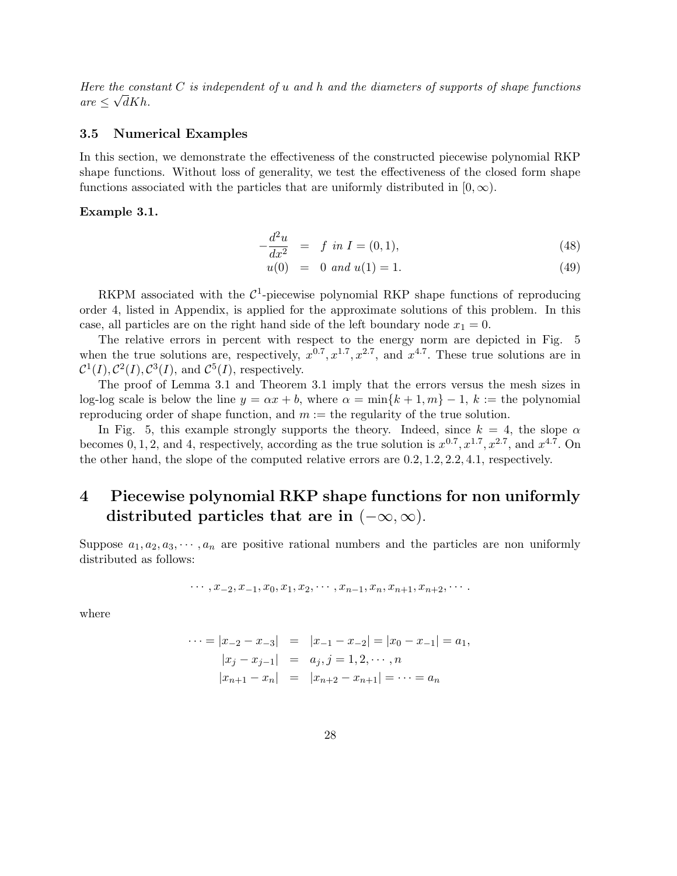Here the constant  $C$  is independent of u and h and the diameters of supports of shape functions  $are \leq \sqrt{d}Kh.$ 

#### 3.5 Numerical Examples

In this section, we demonstrate the effectiveness of the constructed piecewise polynomial RKP shape functions. Without loss of generality, we test the effectiveness of the closed form shape functions associated with the particles that are uniformly distributed in  $[0, \infty)$ .

#### Example 3.1.

$$
-\frac{d^2u}{dx^2} = f \text{ in } I = (0,1), \tag{48}
$$

$$
u(0) = 0 \text{ and } u(1) = 1. \tag{49}
$$

RKPM associated with the  $\mathcal{C}^1$ -piecewise polynomial RKP shape functions of reproducing order 4, listed in Appendix, is applied for the approximate solutions of this problem. In this case, all particles are on the right hand side of the left boundary node  $x_1 = 0$ .

The relative errors in percent with respect to the energy norm are depicted in Fig. 5 when the true solutions are, respectively,  $x^{0.7}, x^{1.7}, x^{2.7}$ , and  $x^{4.7}$ . These true solutions are in  $C^1(I), C^2(I), C^3(I)$ , and  $C^5(I)$ , respectively.

The proof of Lemma 3.1 and Theorem 3.1 imply that the errors versus the mesh sizes in log-log scale is below the line  $y = \alpha x + b$ , where  $\alpha = \min\{k+1, m\} - 1$ ,  $k :=$  the polynomial reproducing order of shape function, and  $m :=$  the regularity of the true solution.

In Fig. 5, this example strongly supports the theory. Indeed, since  $k = 4$ , the slope  $\alpha$ becomes 0, 1, 2, and 4, respectively, according as the true solution is  $x^{0.7}, x^{1.7}, x^{2.7}$ , and  $x^{4.7}$ . On the other hand, the slope of the computed relative errors are 0.2, 1.2, 2.2, 4.1, respectively.

# 4 Piecewise polynomial RKP shape functions for non uniformly distributed particles that are in  $(-\infty, \infty)$ .

Suppose  $a_1, a_2, a_3, \dots, a_n$  are positive rational numbers and the particles are non uniformly distributed as follows:

$$
\cdots, x_{-2}, x_{-1}, x_0, x_1, x_2, \cdots, x_{n-1}, x_n, x_{n+1}, x_{n+2}, \cdots
$$

where

$$
\cdots = |x_{-2} - x_{-3}| = |x_{-1} - x_{-2}| = |x_0 - x_{-1}| = a_1,
$$
  
\n
$$
|x_j - x_{j-1}| = a_j, j = 1, 2, \cdots, n
$$
  
\n
$$
|x_{n+1} - x_n| = |x_{n+2} - x_{n+1}| = \cdots = a_n
$$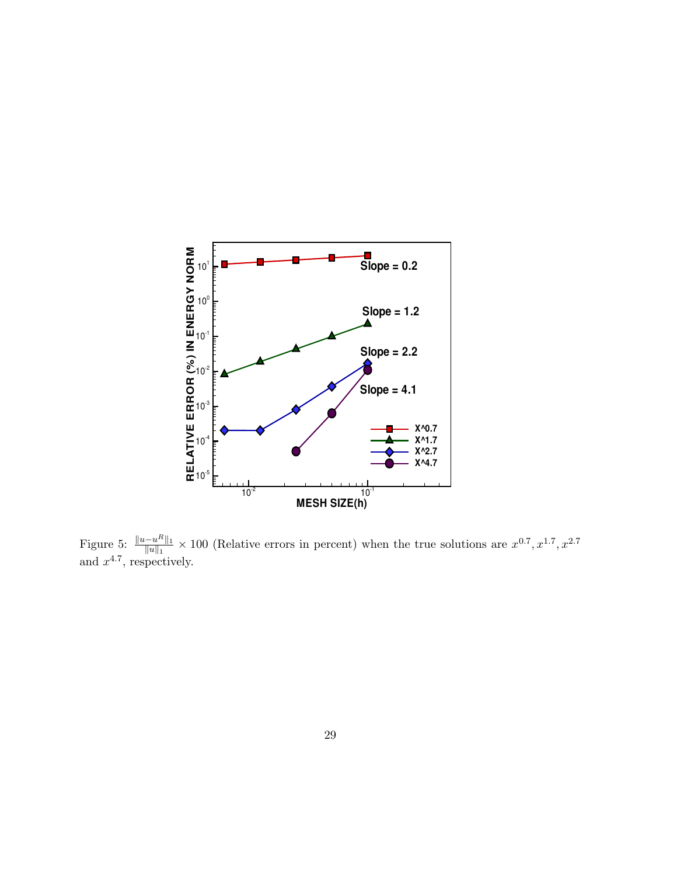

Figure 5:  $\frac{||u-u^R||_1}{||u||_1}$  $\frac{-u^{n}}{\|u\|_{1}} \times 100$  (Relative errors in percent) when the true solutions are  $x^{0.7}, x^{1.7}, x^{2.7}$ and  $x^{4.7}$ , respectively.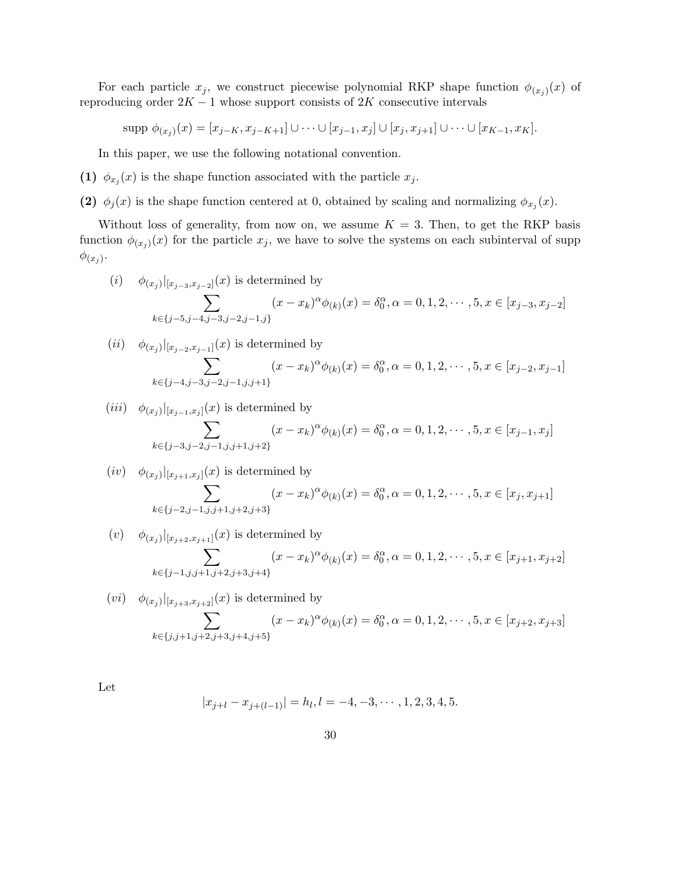For each particle  $x_j$ , we construct piecewise polynomial RKP shape function  $\phi_{(x_j)}(x)$  of reproducing order  $2K - 1$  whose support consists of  $2K$  consecutive intervals

 $\text{supp } \phi_{(x_j)}(x) = [x_{j-K}, x_{j-K+1}] \cup \cdots \cup [x_{j-1}, x_j] \cup [x_j, x_{j+1}] \cup \cdots \cup [x_{K-1}, x_K].$ 

In this paper, we use the following notational convention.

(1)  $\phi_{x_j}(x)$  is the shape function associated with the particle  $x_j$ .

(2)  $\phi_j(x)$  is the shape function centered at 0, obtained by scaling and normalizing  $\phi_{x_j}(x)$ .

Without loss of generality, from now on, we assume  $K = 3$ . Then, to get the RKP basis function  $\phi_{(x_j)}(x)$  for the particle  $x_j$ , we have to solve the systems on each subinterval of supp  $\phi_{(x_j)}$ .

(i) 
$$
\phi_{(x_j)}|_{[x_{j-3},x_{j-2}]}(x)
$$
 is determined by  
\n
$$
\sum_{k \in \{j-5, j-4, j-3, j-2, j-1, j\}} (x - x_k)^{\alpha} \phi_{(k)}(x) = \delta_0^{\alpha}, \alpha = 0, 1, 2, \dots, 5, x \in [x_{j-3}, x_{j-2}]
$$

(*ii*) 
$$
\phi_{(x_j)}|_{[x_{j-2},x_{j-1}]}(x)
$$
 is determined by  
\n
$$
\sum_{k \in \{j-4, j-3, j-2, j-1, j, j+1\}} (x - x_k)^{\alpha} \phi_{(k)}(x) = \delta_0^{\alpha}, \alpha = 0, 1, 2, \dots, 5, x \in [x_{j-2}, x_{j-1}]
$$

(*iii*) 
$$
\phi_{(x_j)}|_{[x_{j-1},x_j]}(x)
$$
 is determined by  
\n
$$
\sum_{k \in \{j-3, j-2, j-1, j, j+1, j+2\}} (x - x_k)^{\alpha} \phi_{(k)}(x) = \delta_0^{\alpha}, \alpha = 0, 1, 2, \dots, 5, x \in [x_{j-1}, x_j]
$$

(*iv*) 
$$
\phi_{(x_j)}|_{[x_{j+1},x_j]}(x)
$$
 is determined by  
\n
$$
\sum_{k \in \{j-2,j-1,j,j+1,j+2,j+3\}} (x - x_k)^{\alpha} \phi_{(k)}(x) = \delta_0^{\alpha}, \alpha = 0, 1, 2, \dots, 5, x \in [x_j, x_{j+1}]
$$

(v) 
$$
\phi_{(x_j)}|_{[x_{j+2},x_{j+1}]}(x)
$$
 is determined by  
\n
$$
\sum_{k \in \{j-1,j,j+1,j+2,j+3,j+4\}} (x - x_k)^{\alpha} \phi_{(k)}(x) = \delta_0^{\alpha}, \alpha = 0, 1, 2, \dots, 5, x \in [x_{j+1}, x_{j+2}]
$$

$$
(vi) \quad \phi_{(x_j)}|_{[x_{j+3},x_{j+2}]}(x) \text{ is determined by}
$$
\n
$$
\sum_{k \in \{j,j+1,j+2,j+3,j+4,j+5\}} (x - x_k)^{\alpha} \phi_{(k)}(x) = \delta_0^{\alpha}, \alpha = 0, 1, 2, \dots, 5, x \in [x_{j+2}, x_{j+3}]
$$

Let

$$
|x_{j+l} - x_{j+(l-1)}| = h_l, l = -4, -3, \cdots, 1, 2, 3, 4, 5.
$$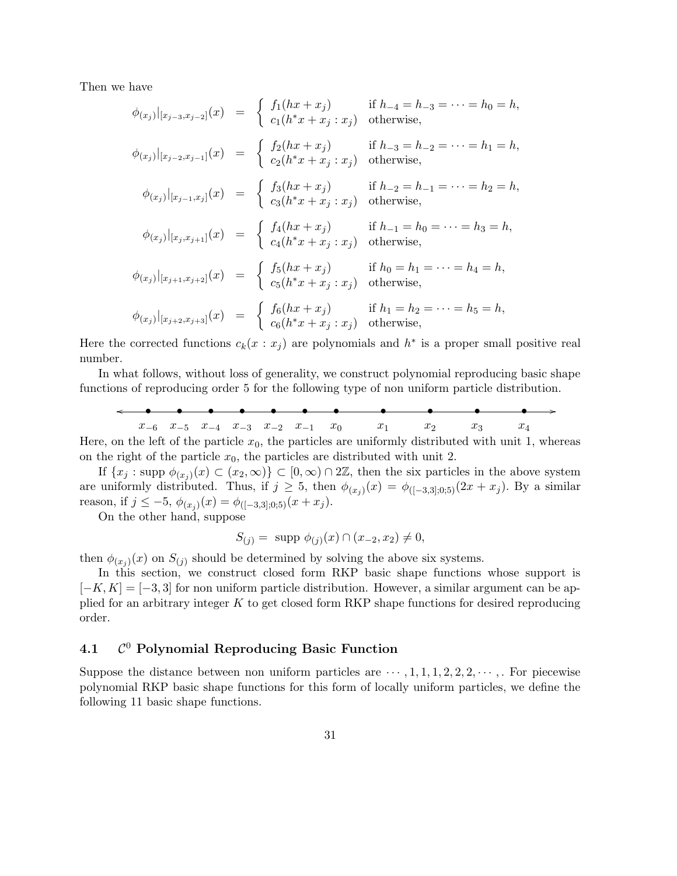Then we have

$$
\phi_{(x_j)}|_{[x_{j-3},x_{j-2}]}(x) = \begin{cases} f_1(hx + x_j) & \text{if } h_{-4} = h_{-3} = \dots = h_0 = h, \\ c_1(h^*x + x_j : x_j) & \text{otherwise,} \end{cases}
$$
  
\n
$$
\phi_{(x_j)}|_{[x_{j-2},x_{j-1}]}(x) = \begin{cases} f_2(hx + x_j) & \text{if } h_{-3} = h_{-2} = \dots = h_1 = h, \\ c_2(h^*x + x_j : x_j) & \text{otherwise,} \end{cases}
$$
  
\n
$$
\phi_{(x_j)}|_{[x_{j-1},x_j]}(x) = \begin{cases} f_3(hx + x_j) & \text{if } h_{-2} = h_{-1} = \dots = h_2 = h, \\ c_3(h^*x + x_j : x_j) & \text{otherwise,} \end{cases}
$$
  
\n
$$
\phi_{(x_j)}|_{[x_j,x_{j+1}]}(x) = \begin{cases} f_4(hx + x_j) & \text{if } h_{-1} = h_0 = \dots = h_3 = h, \\ c_4(h^*x + x_j : x_j) & \text{otherwise,} \end{cases}
$$
  
\n
$$
\phi_{(x_j)}|_{[x_{j+1},x_{j+2}]}(x) = \begin{cases} f_5(hx + x_j) & \text{if } h_0 = h_1 = \dots = h_4 = h, \\ c_5(h^*x + x_j : x_j) & \text{otherwise,} \end{cases}
$$
  
\n
$$
\phi_{(x_j)}|_{[x_{j+2},x_{j+3}]}(x) = \begin{cases} f_6(hx + x_j) & \text{if } h_1 = h_2 = \dots = h_5 = h, \\ c_6(h^*x + x_j : x_j) & \text{otherwise,} \end{cases}
$$

Here the corrected functions  $c_k(x : x_j)$  are polynomials and  $h^*$  is a proper small positive real number.

In what follows, without loss of generality, we construct polynomial reproducing basic shape functions of reproducing order 5 for the following type of non uniform particle distribution.

$$
x_{-6}
$$
  $x_{-5}$   $x_{-4}$   $x_{-3}$   $x_{-2}$   $x_{-1}$   $x_0$   $x_1$   $x_2$   $x_3$   $x_4$   
on the left of the particle  $x_0$  the particles are uniformly distributed with unit 1 when

Here, on the left of the particle  $x_0$ , the particles are uniformly distributed with unit 1, whereas on the right of the particle  $x_0$ , the particles are distributed with unit 2.

If  $\{x_j : \text{supp } \phi_{(x_j)}(x) \subset (x_2, \infty)\} \subset [0, \infty) \cap 2\mathbb{Z}$ , then the six particles in the above system are uniformly distributed. Thus, if  $j \geq 5$ , then  $\phi_{(x_j)}(x) = \phi_{([-3,3];0,5)}(2x + x_j)$ . By a similar reason, if  $j \leq -5$ ,  $\phi_{(x_j)}(x) = \phi_{([-3,3];0,5)}(x+x_j)$ .

On the other hand, suppose

$$
S_{(j)} = \text{ supp } \phi_{(j)}(x) \cap (x_{-2}, x_2) \neq 0,
$$

then  $\phi_{(x_j)}(x)$  on  $S_{(j)}$  should be determined by solving the above six systems.

In this section, we construct closed form RKP basic shape functions whose support is  $[-K, K] = [-3, 3]$  for non uniform particle distribution. However, a similar argument can be applied for an arbitrary integer  $K$  to get closed form RKP shape functions for desired reproducing order.

#### 4.1 C  $\mathcal{C}^0$  Polynomial Reproducing Basic Function

Suppose the distance between non uniform particles are  $\cdots$ , 1, 1, 1, 2, 2, 2,  $\cdots$ , . For piecewise polynomial RKP basic shape functions for this form of locally uniform particles, we define the following 11 basic shape functions.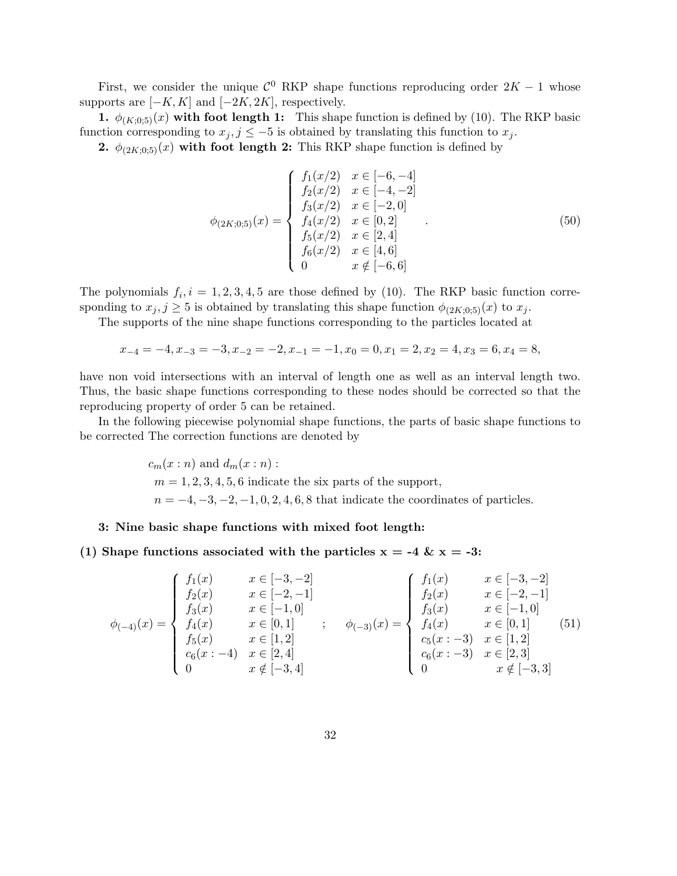First, we consider the unique  $\mathcal{C}^0$  RKP shape functions reproducing order  $2K - 1$  whose supports are  $[-K, K]$  and  $[-2K, 2K]$ , respectively.

1.  $\phi_{(K;0,5)}(x)$  with foot length 1: This shape function is defined by (10). The RKP basic function corresponding to  $x_j, j \leq -5$  is obtained by translating this function to  $x_j$ .

2.  $\phi_{(2K:0:5)}(x)$  with foot length 2: This RKP shape function is defined by

$$
\phi_{(2K;0;5)}(x) = \begin{cases}\nf_1(x/2) & x \in [-6, -4] \\
f_2(x/2) & x \in [-4, -2] \\
f_3(x/2) & x \in [-2, 0] \\
f_4(x/2) & x \in [0, 2] \\
f_5(x/2) & x \in [2, 4] \\
f_6(x/2) & x \in [4, 6] \\
0 & x \notin [-6, 6]\n\end{cases}
$$
\n(50)

The polynomials  $f_i, i = 1, 2, 3, 4, 5$  are those defined by (10). The RKP basic function corresponding to  $x_j, j \geq 5$  is obtained by translating this shape function  $\phi_{(2K;0;5)}(x)$  to  $x_j$ .

The supports of the nine shape functions corresponding to the particles located at

$$
x_{-4} = -4, x_{-3} = -3, x_{-2} = -2, x_{-1} = -1, x_0 = 0, x_1 = 2, x_2 = 4, x_3 = 6, x_4 = 8,
$$

have non void intersections with an interval of length one as well as an interval length two. Thus, the basic shape functions corresponding to these nodes should be corrected so that the reproducing property of order 5 can be retained.

In the following piecewise polynomial shape functions, the parts of basic shape functions to be corrected The correction functions are denoted by

> $c_m(x:n)$  and  $d_m(x:n)$ :  $m = 1, 2, 3, 4, 5, 6$  indicate the six parts of the support,  $n = -4, -3, -2, -1, 0, 2, 4, 6, 8$  that indicate the coordinates of particles.

#### 3: Nine basic shape functions with mixed foot length:

(1) Shape functions associated with the particles  $x = -4 \& x = -3$ :

$$
\phi_{(-4)}(x) = \begin{cases}\nf_1(x) & x \in [-3, -2] \\
f_2(x) & x \in [-2, -1] \\
f_3(x) & x \in [-1, 0] \\
f_4(x) & x \in [0, 1] \\
f_5(x) & x \in [1, 2] \\
c_6(x : -4) & x \notin [-3, 4]\n\end{cases}; \quad\n\phi_{(-3)}(x) = \begin{cases}\nf_1(x) & x \in [-3, -2] \\
f_2(x) & x \in [-2, -1] \\
f_3(x) & x \in [-2, -1] \\
f_4(x) & x \in [0, 1] \\
c_5(x : -3) & x \in [1, 2] \\
c_6(x : -3) & x \in [2, 3] \\
0 & x \notin [-3, 3]\n\end{cases}
$$
\n(51)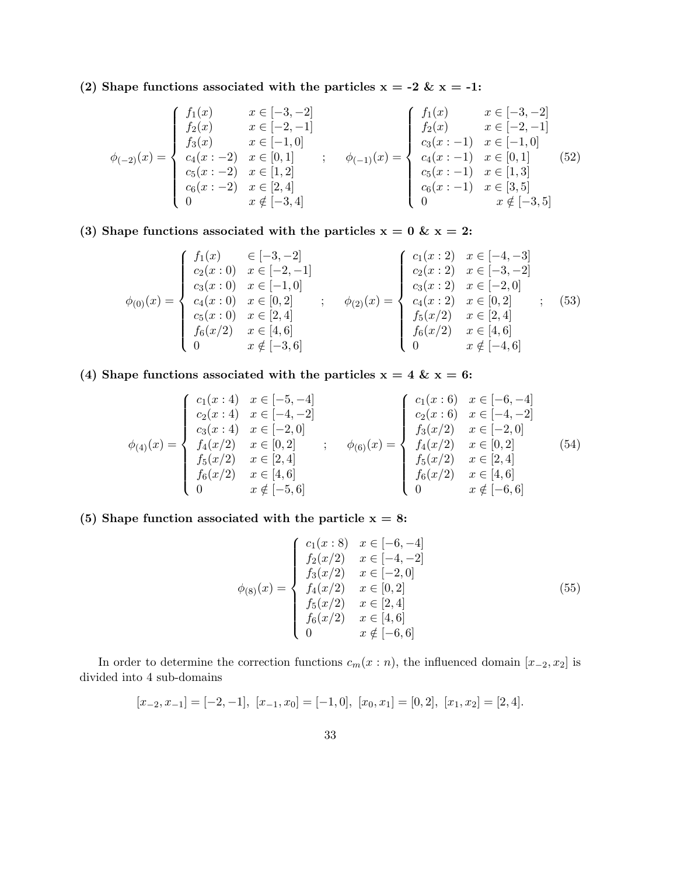(2) Shape functions associated with the particles  $x = -2$  &  $x = -1$ :

$$
\phi_{(-2)}(x) = \begin{cases}\nf_1(x) & x \in [-3, -2] \\
f_2(x) & x \in [-2, -1] \\
f_3(x) & x \in [-1, 0] \\
c_4(x:-2) & x \in [0, 1] \\
c_5(x:-2) & x \in [2, 4] \\
0 & x \notin [-3, 4]\n\end{cases}; \quad\n\phi_{(-1)}(x) = \begin{cases}\nf_1(x) & x \in [-3, -2] \\
f_2(x) & x \in [-2, -1] \\
c_3(x:-1) & x \in [-1, 0] \\
c_4(x:-1) & x \in [0, 1] \\
c_5(x:-1) & x \in [1, 3] \\
c_6(x:-1) & x \in [3, 5] \\
0 & x \notin [-3, 5]\n\end{cases}
$$
\n(52)

(3) Shape functions associated with the particles  $x = 0$  &  $x = 2$ :

$$
\phi_{(0)}(x) = \begin{cases}\nf_1(x) & \in [-3, -2] \\
c_2(x: 0) & x \in [-2, -1] \\
c_3(x: 0) & x \in [-1, 0] \\
c_4(x: 0) & x \in [0, 2] \\
c_5(x: 0) & x \in [2, 4] \\
f_6(x/2) & x \in [4, 6] \\
0 & x \notin [-3, 6]\n\end{cases};\n\phi_{(2)}(x) = \begin{cases}\nc_1(x: 2) & x \in [-4, -3] \\
c_2(x: 2) & x \in [-3, -2] \\
c_3(x: 2) & x \in [-2, 0] \\
c_4(x: 2) & x \in [0, 2] \\
f_5(x/2) & x \in [2, 4] \\
f_6(x/2) & x \in [4, 6] \\
0 & x \notin [-4, 6]\n\end{cases};\n(53)
$$

(4) Shape functions associated with the particles  $x = 4 \& x = 6$ :

$$
\phi_{(4)}(x) = \begin{cases}\nc_1(x:4) & x \in [-5, -4] \\
c_2(x:4) & x \in [-4, -2] \\
c_3(x:4) & x \in [-2, 0] \\
f_4(x/2) & x \in [0, 2] \\
f_5(x/2) & x \in [2, 4] \\
0 & x \notin [-5, 6]\n\end{cases};\n\phi_{(6)}(x) = \begin{cases}\nc_1(x:6) & x \in [-6, -4] \\
c_2(x:6) & x \in [-4, -2] \\
f_3(x/2) & x \in [-4, -2] \\
f_4(x/2) & x \in [-2, 0] \\
f_5(x/2) & x \in [0, 2] \\
f_6(x/2) & x \in [4, 6] \\
0 & x \notin [-6, 6]\n\end{cases}
$$
\n(54)

### (5) Shape function associated with the particle  $x = 8$ :

$$
\phi_{(8)}(x) = \begin{cases}\n c_1(x:8) & x \in [-6, -4] \\
 f_2(x/2) & x \in [-4, -2] \\
 f_3(x/2) & x \in [-2, 0] \\
 f_4(x/2) & x \in [0, 2] \\
 f_5(x/2) & x \in [2, 4] \\
 f_6(x/2) & x \in [4, 6] \\
 0 & x \notin [-6, 6]\n\end{cases} \tag{55}
$$

In order to determine the correction functions  $c_m(x : n)$ , the influenced domain  $[x_{-2}, x_2]$  is divided into 4 sub-domains

$$
[x_{-2}, x_{-1}] = [-2, -1], [x_{-1}, x_0] = [-1, 0], [x_0, x_1] = [0, 2], [x_1, x_2] = [2, 4].
$$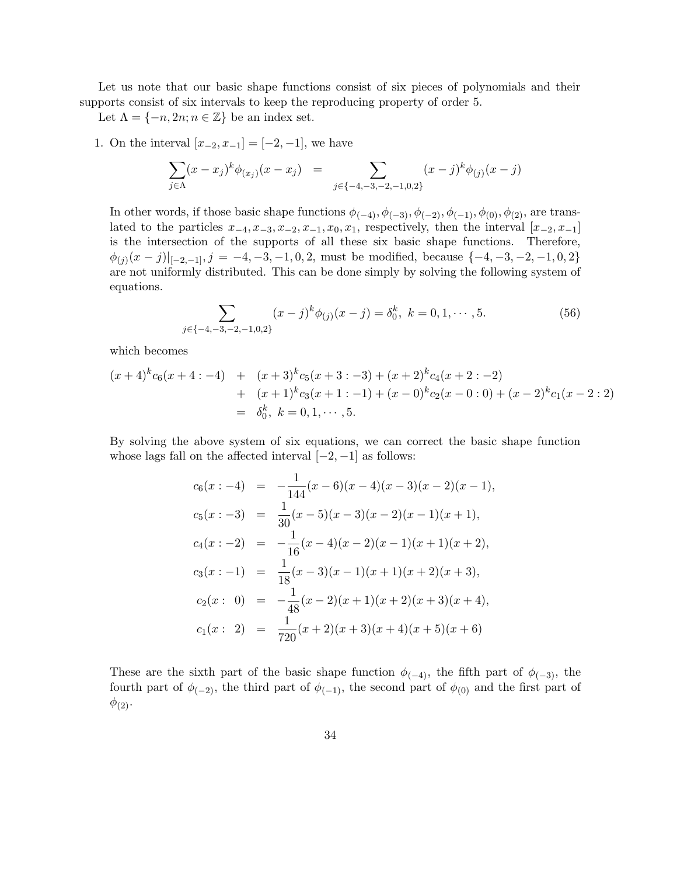Let us note that our basic shape functions consist of six pieces of polynomials and their supports consist of six intervals to keep the reproducing property of order 5.

Let  $\Lambda = \{-n, 2n; n \in \mathbb{Z}\}\$ be an index set.

1. On the interval  $[x_{-2}, x_{-1}] = [-2, -1]$ , we have

$$
\sum_{j \in \Lambda} (x - x_j)^k \phi_{(x_j)}(x - x_j) = \sum_{j \in \{-4, -3, -2, -1, 0, 2\}} (x - j)^k \phi_{(j)}(x - j)
$$

In other words, if those basic shape functions  $\phi_{(-4)}, \phi_{(-3)}, \phi_{(-2)}, \phi_{(-1)}, \phi_{(0)}, \phi_{(2)}$ , are translated to the particles  $x_{-4}, x_{-3}, x_{-2}, x_{-1}, x_0, x_1$ , respectively, then the interval  $[x_{-2}, x_{-1}]$ is the intersection of the supports of all these six basic shape functions. Therefore,  $\phi_{(j)}(x-j)|_{[-2,-1]}, j = -4, -3, -1, 0, 2, \text{ must be modified, because } \{-4, -3, -2, -1, 0, 2\}$ are not uniformly distributed. This can be done simply by solving the following system of equations.

$$
\sum_{j \in \{-4, -3, -2, -1, 0, 2\}} (x - j)^k \phi_{(j)}(x - j) = \delta_0^k, \ k = 0, 1, \cdots, 5.
$$
 (56)

which becomes

$$
(x+4)^{k}c_{6}(x+4:-4) + (x+3)^{k}c_{5}(x+3:-3) + (x+2)^{k}c_{4}(x+2:-2)
$$
  
+ 
$$
(x+1)^{k}c_{3}(x+1:-1) + (x-0)^{k}c_{2}(x-0:0) + (x-2)^{k}c_{1}(x-2:2)
$$
  
= 
$$
\delta_{0}^{k}, k = 0, 1, \cdots, 5.
$$

By solving the above system of six equations, we can correct the basic shape function whose lags fall on the affected interval  $[-2, -1]$  as follows:

$$
c_6(x:-4) = -\frac{1}{144}(x-6)(x-4)(x-3)(x-2)(x-1),
$$
  
\n
$$
c_5(x:-3) = \frac{1}{30}(x-5)(x-3)(x-2)(x-1)(x+1),
$$
  
\n
$$
c_4(x:-2) = -\frac{1}{16}(x-4)(x-2)(x-1)(x+1)(x+2),
$$
  
\n
$$
c_3(x:-1) = \frac{1}{18}(x-3)(x-1)(x+1)(x+2)(x+3),
$$
  
\n
$$
c_2(x: 0) = -\frac{1}{48}(x-2)(x+1)(x+2)(x+3)(x+4),
$$
  
\n
$$
c_1(x: 2) = \frac{1}{720}(x+2)(x+3)(x+4)(x+5)(x+6)
$$

These are the sixth part of the basic shape function  $\phi_{(-4)}$ , the fifth part of  $\phi_{(-3)}$ , the fourth part of  $\phi_{(-2)}$ , the third part of  $\phi_{(-1)}$ , the second part of  $\phi_{(0)}$  and the first part of  $\phi_{(2)}$ .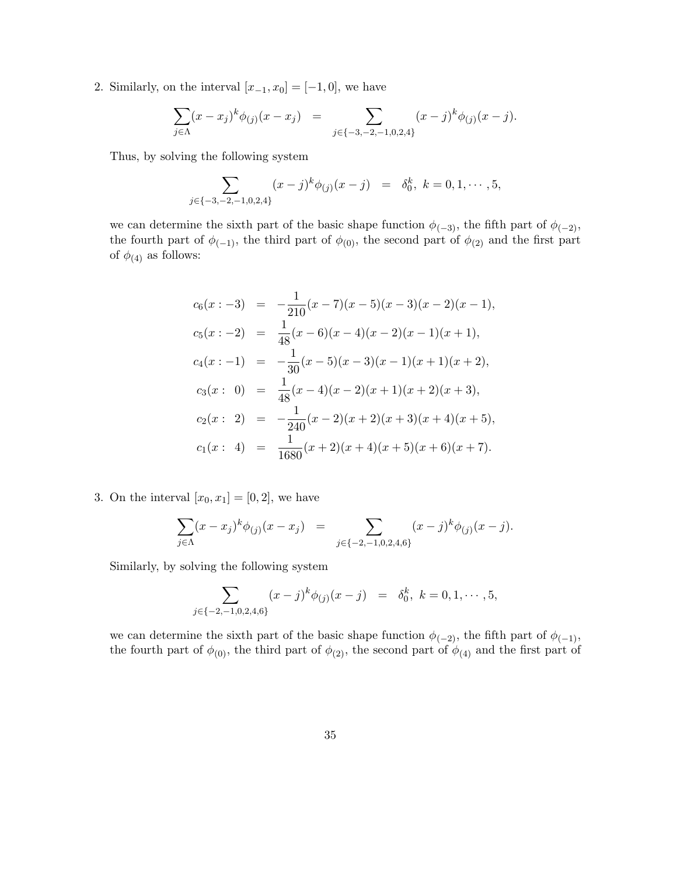2. Similarly, on the interval  $[x_{-1}, x_0] = [-1, 0]$ , we have

$$
\sum_{j \in \Lambda} (x - x_j)^k \phi_{(j)}(x - x_j) = \sum_{j \in \{-3, -2, -1, 0, 2, 4\}} (x - j)^k \phi_{(j)}(x - j).
$$

Thus, by solving the following system

$$
\sum_{j \in \{-3,-2,-1,0,2,4\}} (x-j)^k \phi_{(j)}(x-j) = \delta_0^k, \ k = 0, 1, \cdots, 5,
$$

we can determine the sixth part of the basic shape function  $\phi_{(-3)}$ , the fifth part of  $\phi_{(-2)}$ , the fourth part of  $\phi_{(-1)}$ , the third part of  $\phi_{(0)}$ , the second part of  $\phi_{(2)}$  and the first part of  $\phi_{(4)}$  as follows:

$$
c_6(x:-3) = -\frac{1}{210}(x-7)(x-5)(x-3)(x-2)(x-1),
$$
  
\n
$$
c_5(x:-2) = \frac{1}{48}(x-6)(x-4)(x-2)(x-1)(x+1),
$$
  
\n
$$
c_4(x:-1) = -\frac{1}{30}(x-5)(x-3)(x-1)(x+1)(x+2),
$$
  
\n
$$
c_3(x: 0) = \frac{1}{48}(x-4)(x-2)(x+1)(x+2)(x+3),
$$
  
\n
$$
c_2(x: 2) = -\frac{1}{240}(x-2)(x+2)(x+3)(x+4)(x+5),
$$
  
\n
$$
c_1(x: 4) = \frac{1}{1680}(x+2)(x+4)(x+5)(x+6)(x+7).
$$

3. On the interval  $[x_0, x_1] = [0, 2]$ , we have

$$
\sum_{j \in \Lambda} (x - x_j)^k \phi_{(j)}(x - x_j) = \sum_{j \in \{-2, -1, 0, 2, 4, 6\}} (x - j)^k \phi_{(j)}(x - j).
$$

Similarly, by solving the following system

$$
\sum_{j \in \{-2,-1,0,2,4,6\}} (x-j)^k \phi_{(j)}(x-j) = \delta_0^k, \ k = 0, 1, \cdots, 5,
$$

we can determine the sixth part of the basic shape function  $\phi_{(-2)}$ , the fifth part of  $\phi_{(-1)}$ , the fourth part of  $\phi_{(0)}$ , the third part of  $\phi_{(2)}$ , the second part of  $\phi_{(4)}$  and the first part of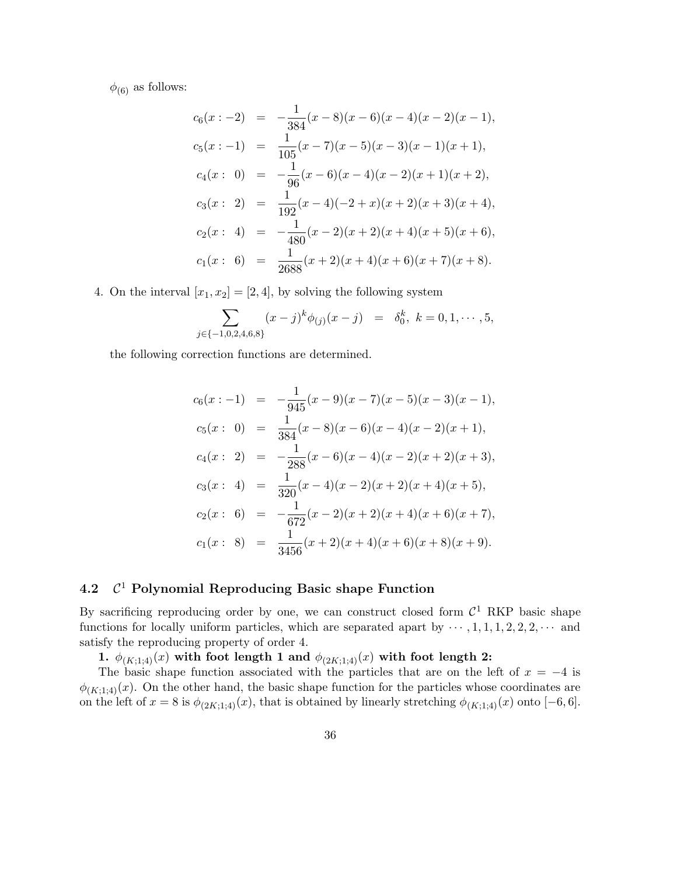$\phi_{(6)}$  as follows:

$$
c_6(x:-2) = -\frac{1}{384}(x-8)(x-6)(x-4)(x-2)(x-1),
$$
  
\n
$$
c_5(x:-1) = \frac{1}{105}(x-7)(x-5)(x-3)(x-1)(x+1),
$$
  
\n
$$
c_4(x: 0) = -\frac{1}{96}(x-6)(x-4)(x-2)(x+1)(x+2),
$$
  
\n
$$
c_3(x: 2) = \frac{1}{192}(x-4)(-2+x)(x+2)(x+3)(x+4),
$$
  
\n
$$
c_2(x: 4) = -\frac{1}{480}(x-2)(x+2)(x+4)(x+5)(x+6),
$$
  
\n
$$
c_1(x: 6) = \frac{1}{2688}(x+2)(x+4)(x+6)(x+7)(x+8).
$$

4. On the interval  $[x_1, x_2] = [2, 4]$ , by solving the following system

$$
\sum_{j \in \{-1,0,2,4,6,8\}} (x-j)^k \phi_{(j)}(x-j) = \delta_0^k, \ k = 0, 1, \cdots, 5,
$$

the following correction functions are determined.

$$
c_6(x:-1) = -\frac{1}{945}(x-9)(x-7)(x-5)(x-3)(x-1),
$$
  
\n
$$
c_5(x: 0) = \frac{1}{384}(x-8)(x-6)(x-4)(x-2)(x+1),
$$
  
\n
$$
c_4(x: 2) = -\frac{1}{288}(x-6)(x-4)(x-2)(x+2)(x+3),
$$
  
\n
$$
c_3(x: 4) = \frac{1}{320}(x-4)(x-2)(x+2)(x+4)(x+5),
$$
  
\n
$$
c_2(x: 6) = -\frac{1}{672}(x-2)(x+2)(x+4)(x+6)(x+7),
$$
  
\n
$$
c_1(x: 8) = \frac{1}{3456}(x+2)(x+4)(x+6)(x+8)(x+9).
$$

#### 4.2  $C<sup>1</sup>$  Polynomial Reproducing Basic shape Function

By sacrificing reproducing order by one, we can construct closed form  $\mathcal{C}^1$  RKP basic shape functions for locally uniform particles, which are separated apart by  $\cdots$ , 1, 1, 1, 2, 2, 2,  $\cdots$  and satisfy the reproducing property of order 4.

1.  $\phi_{(K;1;4)}(x)$  with foot length 1 and  $\phi_{(2K;1;4)}(x)$  with foot length 2:

The basic shape function associated with the particles that are on the left of  $x = -4$  is  $\phi_{(K;1,4)}(x)$ . On the other hand, the basic shape function for the particles whose coordinates are on the left of  $x = 8$  is  $\phi_{(2K;1,4)}(x)$ , that is obtained by linearly stretching  $\phi_{(K;1,4)}(x)$  onto  $[-6,6]$ .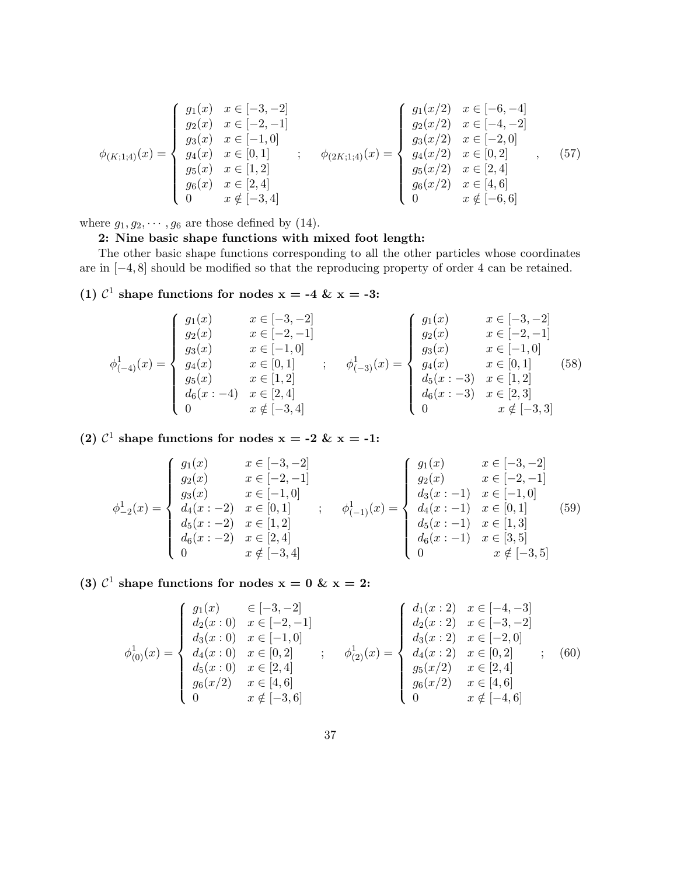$$
\phi_{(K;1;4)}(x) = \begin{cases}\ng_1(x) & x \in [-3, -2] \\
g_2(x) & x \in [-2, -1] \\
g_3(x) & x \in [-1, 0] \\
g_4(x) & x \in [0, 1] \\
g_5(x) & x \in [1, 2] \\
g_6(x) & x \in [2, 4] \\
0 & x \notin [-3, 4]\n\end{cases}; \quad \phi_{(2K;1;4)}(x) = \begin{cases}\ng_1(x/2) & x \in [-6, -4] \\
g_2(x/2) & x \in [-4, -2] \\
g_3(x/2) & x \in [-2, 0] \\
g_4(x/2) & x \in [0, 2] \\
g_5(x/2) & x \in [2, 4] \\
g_6(x/2) & x \in [4, 6] \\
0 & x \notin [-6, 6]\n\end{cases}
$$
\n(57)

where  $g_1, g_2, \dots, g_6$  are those defined by (14).

### 2: Nine basic shape functions with mixed foot length:

The other basic shape functions corresponding to all the other particles whose coordinates are in [−4, 8] should be modified so that the reproducing property of order 4 can be retained.

(1)  $\mathcal{C}^1$  shape functions for nodes  $x = -4$  &  $x = -3$ :

$$
\phi_{(-4)}^1(x) = \begin{cases}\ng_1(x) & x \in [-3, -2] \\
g_2(x) & x \in [-2, -1] \\
g_3(x) & x \in [-1, 0] \\
g_4(x) & x \in [0, 1] \\
g_5(x) & x \in [1, 2] \\
d_6(x:-4) & x \notin [-3, 4]\n\end{cases};\n\phi_{(-3)}^1(x) = \begin{cases}\ng_1(x) & x \in [-3, -2] \\
g_2(x) & x \in [-2, -1] \\
g_3(x) & x \in [-2, -1] \\
g_4(x) & x \in [0, 1] \\
d_5(x:-3) & x \in [1, 2] \\
d_6(x:-3) & x \in [2, 3] \\
0 & x \notin [-3, 3]\n\end{cases}
$$
\n(58)

(2)  $\mathcal{C}^1$  shape functions for nodes  $x = -2$  &  $x = -1$ :

$$
\phi_{-2}^1(x) = \begin{cases}\ng_1(x) & x \in [-3, -2] \\
g_2(x) & x \in [-2, -1] \\
g_3(x) & x \in [-1, 0] \\
d_4(x := 2) & x \in [0, 1] \\
d_5(x := -2) & x \in [1, 2] \\
0 & x \notin [-3, 4]\n\end{cases};\n\phi_{(-1)}^1(x) = \begin{cases}\ng_1(x) & x \in [-3, -2] \\
g_2(x) & x \in [-2, -1] \\
d_3(x := -1) & x \in [-1, 0] \\
d_4(x := -1) & x \in [0, 1] \\
d_5(x := -1) & x \in [1, 3] \\
d_6(x := -1) & x \in [3, 5] \\
0 & x \notin [-3, 5]\n\end{cases}
$$
\n
$$
(59)
$$

(3)  $\mathcal{C}^1$  shape functions for nodes  $x = 0$  &  $x = 2$ :

$$
\phi_{(0)}^1(x) = \begin{cases}\ng_1(x) & \in [-3, -2] \\
d_2(x: 0) & x \in [-2, -1] \\
d_3(x: 0) & x \in [-1, 0] \\
d_4(x: 0) & x \in [0, 2] \\
d_5(x: 0) & x \in [2, 4] \\
g_6(x/2) & x \in [4, 6] \\
0 & x \notin [-3, 6]\n\end{cases};\n\phi_{(2)}^1(x) = \begin{cases}\nd_1(x: 2) & x \in [-4, -3] \\
d_2(x: 2) & x \in [-3, -2] \\
d_3(x: 2) & x \in [-2, 0] \\
d_4(x: 2) & x \in [0, 2] \\
g_5(x/2) & x \in [2, 4] \\
g_6(x/2) & x \in [4, 6] \\
0 & x \notin [-4, 6]\n\end{cases};\n\tag{60}
$$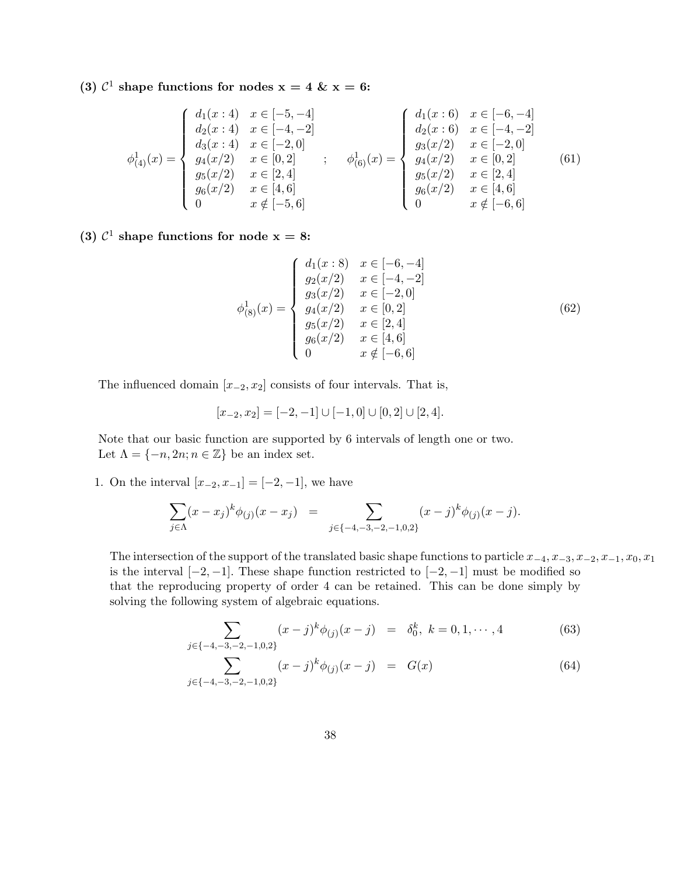(3)  $\mathcal{C}^1$  shape functions for nodes  $x = 4$  &  $x = 6$ :

$$
\phi_{(4)}^1(x) = \begin{cases}\n d_1(x:4) & x \in [-5,-4] \\
 d_2(x:4) & x \in [-4,-2] \\
 d_3(x:4) & x \in [-2,0] \\
 g_4(x/2) & x \in [0,2] \\
 g_5(x/2) & x \in [2,4] \\
 0 & x \notin [-5,6]\n\end{cases};\n\quad\n\phi_{(6)}^1(x) = \begin{cases}\n d_1(x:6) & x \in [-6,-4] \\
 d_2(x:6) & x \in [-4,-2] \\
 g_3(x/2) & x \in [-2,0] \\
 g_4(x/2) & x \in [0,2] \\
 g_5(x/2) & x \in [2,4] \\
 g_6(x/2) & x \in [4,6] \\
 0 & x \notin [-6,6]\n\end{cases}
$$
\n
$$
(61)
$$

(3)  $\mathcal{C}^1$  shape functions for node  $x = 8$ :

$$
\phi_{(8)}^1(x) = \begin{cases}\n d_1(x:8) & x \in [-6, -4] \\
 g_2(x/2) & x \in [-4, -2] \\
 g_3(x/2) & x \in [-2, 0] \\
 g_4(x/2) & x \in [0, 2] \\
 g_5(x/2) & x \in [2, 4] \\
 g_6(x/2) & x \in [4, 6] \\
 0 & x \notin [-6, 6]\n\end{cases} \tag{62}
$$

The influenced domain  $[x_{-2}, x_2]$  consists of four intervals. That is,

$$
[x_{-2}, x_2] = [-2, -1] \cup [-1, 0] \cup [0, 2] \cup [2, 4].
$$

Note that our basic function are supported by 6 intervals of length one or two. Let  $\Lambda = \{-n, 2n; n \in \mathbb{Z}\}\$ be an index set.

1. On the interval  $[x_{-2}, x_{-1}] = [-2, -1]$ , we have

$$
\sum_{j \in \Lambda} (x - x_j)^k \phi_{(j)}(x - x_j) = \sum_{j \in \{-4, -3, -2, -1, 0, 2\}} (x - j)^k \phi_{(j)}(x - j).
$$

The intersection of the support of the translated basic shape functions to particle  $x_{-4}, x_{-3}, x_{-2}, x_{-1}, x_0, x_1$ is the interval  $[-2, -1]$ . These shape function restricted to  $[-2, -1]$  must be modified so that the reproducing property of order 4 can be retained. This can be done simply by solving the following system of algebraic equations.

$$
\sum_{j \in \{-4, -3, -2, -1, 0, 2\}} (x - j)^k \phi_{(j)}(x - j) = \delta_0^k, \ k = 0, 1, \cdots, 4
$$
 (63)

$$
\sum_{j \in \{-4, -3, -2, -1, 0, 2\}} (x - j)^k \phi_{(j)}(x - j) = G(x) \tag{64}
$$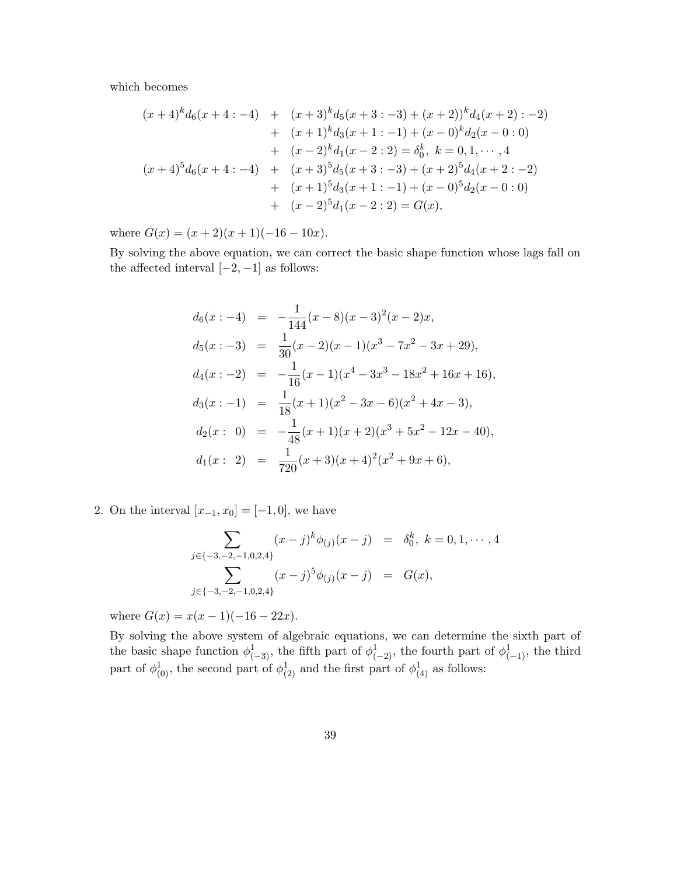which becomes

$$
(x+4)^{k}d_{6}(x+4:-4) + (x+3)^{k}d_{5}(x+3:-3) + (x+2))^{k}d_{4}(x+2): -2)
$$
  
+ 
$$
(x+1)^{k}d_{3}(x+1:-1) + (x-0)^{k}d_{2}(x-0:0)
$$
  
+ 
$$
(x-2)^{k}d_{1}(x-2:2) = \delta_{0}^{k}, k = 0, 1, \cdots, 4
$$
  

$$
(x+4)^{5}d_{6}(x+4:-4) + (x+3)^{5}d_{5}(x+3:-3) + (x+2)^{5}d_{4}(x+2:-2)
$$
  
+ 
$$
(x+1)^{5}d_{3}(x+1:-1) + (x-0)^{5}d_{2}(x-0:0)
$$
  
+ 
$$
(x-2)^{5}d_{1}(x-2:2) = G(x),
$$

where  $G(x) = (x+2)(x+1)(-16-10x)$ .

By solving the above equation, we can correct the basic shape function whose lags fall on the affected interval  $[-2, -1]$  as follows:

$$
d_6(x:-4) = -\frac{1}{144}(x-8)(x-3)^2(x-2)x,
$$
  
\n
$$
d_5(x:-3) = \frac{1}{30}(x-2)(x-1)(x^3-7x^2-3x+29),
$$
  
\n
$$
d_4(x:-2) = -\frac{1}{16}(x-1)(x^4-3x^3-18x^2+16x+16),
$$
  
\n
$$
d_3(x:-1) = \frac{1}{18}(x+1)(x^2-3x-6)(x^2+4x-3),
$$
  
\n
$$
d_2(x: 0) = -\frac{1}{48}(x+1)(x+2)(x^3+5x^2-12x-40),
$$
  
\n
$$
d_1(x: 2) = \frac{1}{720}(x+3)(x+4)^2(x^2+9x+6),
$$

2. On the interval  $[x_{-1}, x_0] = [-1, 0]$ , we have

$$
\sum_{j \in \{-3,-2,-1,0,2,4\}} (x-j)^k \phi_{(j)}(x-j) = \delta_0^k, \ k = 0, 1, \cdots, 4
$$

$$
\sum_{j \in \{-3,-2,-1,0,2,4\}} (x-j)^5 \phi_{(j)}(x-j) = G(x),
$$

where  $G(x) = x(x-1)(-16-22x)$ .

By solving the above system of algebraic equations, we can determine the sixth part of the basic shape function  $\phi^1_{(-3)}$ , the fifth part of  $\phi^1_{(-2)}$ , the fourth part of  $\phi^1_{(-1)}$ , the third part of  $\phi_{(0)}^1$ , the second part of  $\phi_{(2)}^1$  and the first part of  $\phi_{(4)}^1$  as follows: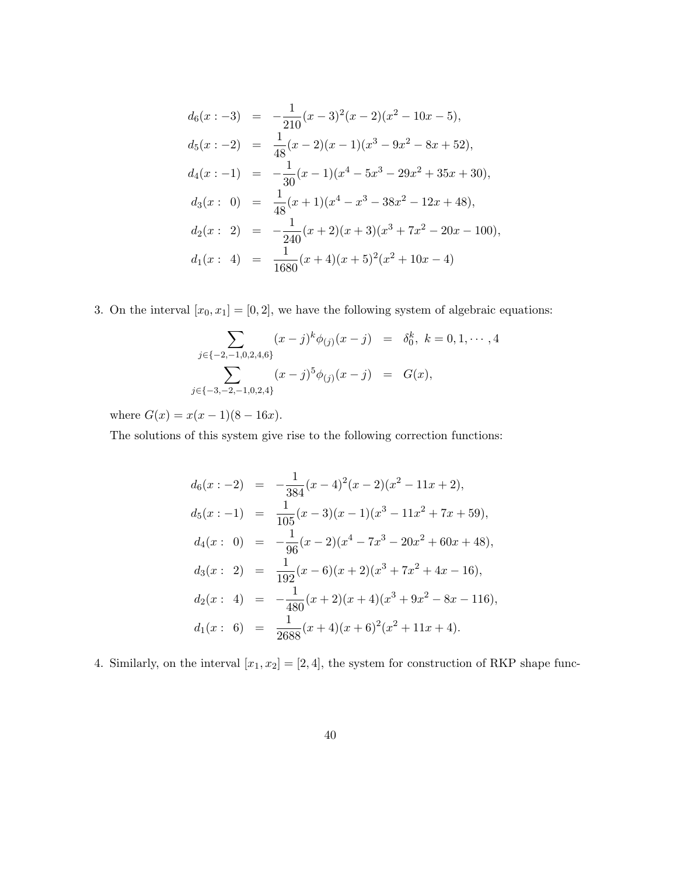$$
d_6(x:-3) = -\frac{1}{210}(x-3)^2(x-2)(x^2-10x-5),
$$
  
\n
$$
d_5(x:-2) = \frac{1}{48}(x-2)(x-1)(x^3-9x^2-8x+52),
$$
  
\n
$$
d_4(x:-1) = -\frac{1}{30}(x-1)(x^4-5x^3-29x^2+35x+30),
$$
  
\n
$$
d_3(x: 0) = \frac{1}{48}(x+1)(x^4-x^3-38x^2-12x+48),
$$
  
\n
$$
d_2(x: 2) = -\frac{1}{240}(x+2)(x+3)(x^3+7x^2-20x-100),
$$
  
\n
$$
d_1(x: 4) = \frac{1}{1680}(x+4)(x+5)^2(x^2+10x-4)
$$

3. On the interval  $[x_0, x_1] = [0, 2]$ , we have the following system of algebraic equations:

$$
\sum_{j \in \{-2, -1, 0, 2, 4, 6\}} (x - j)^k \phi_{(j)}(x - j) = \delta_0^k, \ k = 0, 1, \cdots, 4
$$

$$
\sum_{j \in \{-3, -2, -1, 0, 2, 4\}} (x - j)^5 \phi_{(j)}(x - j) = G(x),
$$

where  $G(x) = x(x - 1)(8 - 16x)$ .

The solutions of this system give rise to the following correction functions:

$$
d_6(x:-2) = -\frac{1}{384}(x-4)^2(x-2)(x^2-11x+2),
$$
  
\n
$$
d_5(x:-1) = \frac{1}{105}(x-3)(x-1)(x^3-11x^2+7x+59),
$$
  
\n
$$
d_4(x: 0) = -\frac{1}{96}(x-2)(x^4-7x^3-20x^2+60x+48),
$$
  
\n
$$
d_3(x: 2) = \frac{1}{192}(x-6)(x+2)(x^3+7x^2+4x-16),
$$
  
\n
$$
d_2(x: 4) = -\frac{1}{480}(x+2)(x+4)(x^3+9x^2-8x-116),
$$
  
\n
$$
d_1(x: 6) = \frac{1}{2688}(x+4)(x+6)^2(x^2+11x+4).
$$

4. Similarly, on the interval  $[x_1, x_2] = [2, 4]$ , the system for construction of RKP shape func-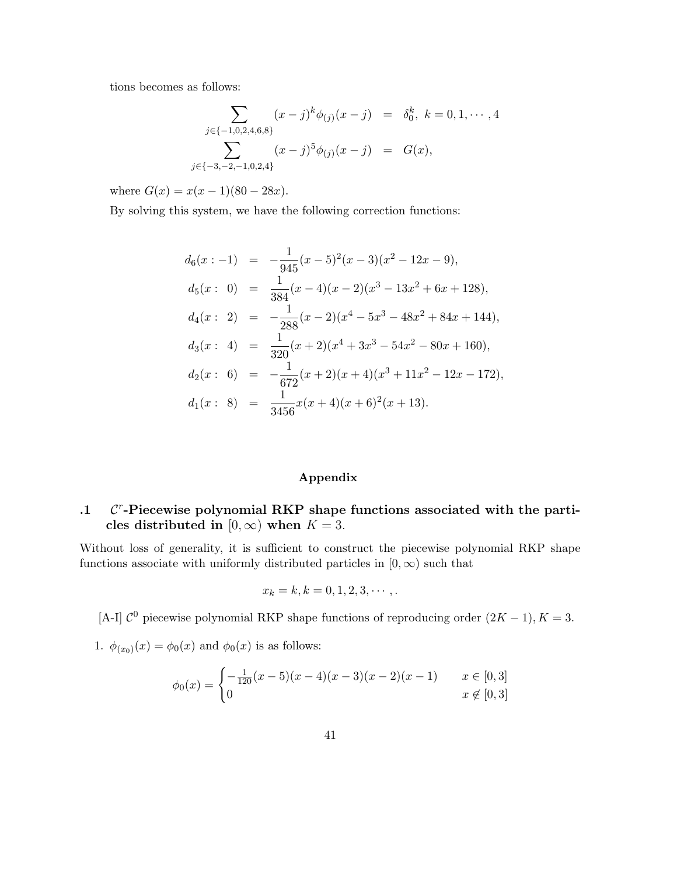tions becomes as follows:

$$
\sum_{j \in \{-1,0,2,4,6,8\}} (x-j)^k \phi_{(j)}(x-j) = \delta_0^k, \ k = 0, 1, \cdots, 4
$$

$$
\sum_{j \in \{-3,-2,-1,0,2,4\}} (x-j)^5 \phi_{(j)}(x-j) = G(x),
$$

where  $G(x) = x(x - 1)(80 - 28x)$ .

By solving this system, we have the following correction functions:

$$
d_6(x:-1) = -\frac{1}{945}(x-5)^2(x-3)(x^2-12x-9),
$$
  
\n
$$
d_5(x: 0) = \frac{1}{384}(x-4)(x-2)(x^3-13x^2+6x+128),
$$
  
\n
$$
d_4(x: 2) = -\frac{1}{288}(x-2)(x^4-5x^3-48x^2+84x+144),
$$
  
\n
$$
d_3(x: 4) = \frac{1}{320}(x+2)(x^4+3x^3-54x^2-80x+160),
$$
  
\n
$$
d_2(x: 6) = -\frac{1}{672}(x+2)(x+4)(x^3+11x^2-12x-172),
$$
  
\n
$$
d_1(x: 8) = \frac{1}{3456}x(x+4)(x+6)^2(x+13).
$$

### Appendix

#### $\cdot$ **1** r -Piecewise polynomial RKP shape functions associated with the particles distributed in  $[0, \infty)$  when  $K = 3$ .

Without loss of generality, it is sufficient to construct the piecewise polynomial RKP shape functions associate with uniformly distributed particles in  $[0, \infty)$  such that

$$
x_k = k, k = 0, 1, 2, 3, \cdots,
$$

[A-I]  $\mathcal{C}^0$  piecewise polynomial RKP shape functions of reproducing order  $(2K - 1)$ ,  $K = 3$ .

1.  $\phi_{(x_0)}(x) = \phi_0(x)$  and  $\phi_0(x)$  is as follows:

$$
\phi_0(x) = \begin{cases}\n-\frac{1}{120}(x-5)(x-4)(x-3)(x-2)(x-1) & x \in [0,3] \\
0 & x \notin [0,3]\n\end{cases}
$$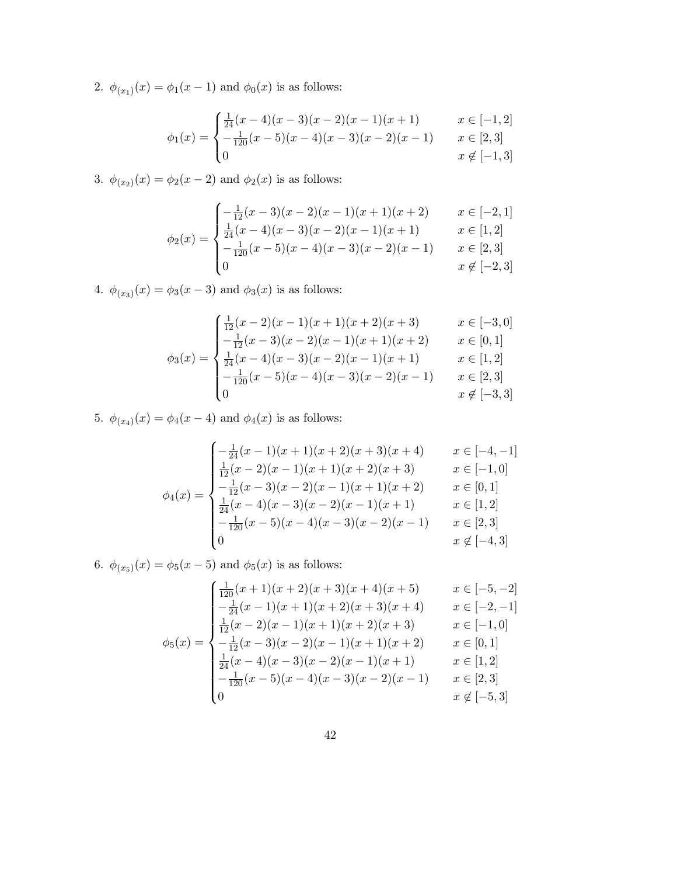2.  $\phi_{(x_1)}(x) = \phi_1(x-1)$  and  $\phi_0(x)$  is as follows:

$$
\int \frac{1}{24}(x-4)(x-3)(x-2)(x-1)(x+1) \qquad x \in [-1,2]
$$
  
=  $\int \frac{1}{24}(x-5)(x-4)(x-3)(x-2)(x-1) \qquad x \in [2,3]$ 

$$
\phi_1(x) = \begin{cases}\n-\frac{1}{120}(x-5)(x-4)(x-3)(x-2)(x-1) & x \in [2,3] \\
0 & x \notin [-1,3]\n\end{cases}
$$

3.  $\phi_{(x_2)}(x) = \phi_2(x-2)$  and  $\phi_2(x)$  is as follows:

$$
\begin{cases}\n-\frac{1}{12}(x-3)(x-2)(x-1)(x+1)(x+2) & x \in [-2,1] \\
\frac{1}{24}(x-4)(x-3)(x-2)(x-1)(x+1) & x \in [1,2]\n\end{cases}
$$

$$
\phi_2(x) = \begin{cases} \frac{1}{24}(x-4)(x-3)(x-2)(x-1)(x+1) & x \in [1,2] \\ -\frac{1}{120}(x-5)(x-4)(x-3)(x-2)(x-1) & x \in [2,3] \\ 0 & x \notin [-2,3] \end{cases}
$$

4.  $\phi_{(x_3)}(x) = \phi_3(x-3)$  and  $\phi_3(x)$  is as follows:

$$
\begin{cases} \frac{1}{12}(x-2)(x-1)(x+1)(x+2)(x+3) & x \in [-3,0] \\ -\frac{1}{12}(x-3)(x-2)(x-1)(x+1)(x+2) & x \in [0,1] \end{cases}
$$

$$
\phi_3(x) = \begin{cases}\n\frac{12(x-3)(x-2)(x+2)(x+2)(x+3)}{-\frac{1}{24}(x-3)(x-2)(x-1)(x+1)(x+2)} & x \in [0,1] \\
\frac{1}{24}(x-4)(x-3)(x-2)(x-1)(x+1) & x \in [1,2] \\
-\frac{1}{120}(x-5)(x-4)(x-3)(x-2)(x-1) & x \in [2,3] \\
0 & x \notin [-3,3]\n\end{cases}
$$

5.  $\phi_{(x_4)}(x) = \phi_4(x-4)$  and  $\phi_4(x)$  is as follows:

$$
\phi_4(x) = \begin{cases}\n-\frac{1}{24}(x-1)(x+1)(x+2)(x+3)(x+4) & x \in [-4, -1] \\
\frac{1}{12}(x-2)(x-1)(x+1)(x+2)(x+3) & x \in [-1, 0] \\
-\frac{1}{12}(x-3)(x-2)(x-1)(x+1)(x+2) & x \in [0, 1] \\
\frac{1}{24}(x-4)(x-3)(x-2)(x-1)(x+1) & x \in [1, 2] \\
-\frac{1}{120}(x-5)(x-4)(x-3)(x-2)(x-1) & x \in [2, 3] \\
0 & x \notin [-4, 3]\n\end{cases}
$$

6.  $\phi_{(x_5)}(x) = \phi_5(x-5)$  and  $\phi_5(x)$  is as follows:

$$
\phi_5(x) = \begin{cases}\n\frac{1}{120}(x+1)(x+2)(x+3)(x+4)(x+5) & x \in [-5, -2] \\
-\frac{1}{24}(x-1)(x+1)(x+2)(x+3)(x+4) & x \in [-2, -1] \\
\frac{1}{12}(x-2)(x-1)(x+1)(x+2)(x+3) & x \in [-1, 0] \\
-\frac{1}{12}(x-3)(x-2)(x-1)(x+1)(x+2) & x \in [0, 1] \\
\frac{1}{24}(x-4)(x-3)(x-2)(x-1)(x+1) & x \in [1, 2] \\
-\frac{1}{120}(x-5)(x-4)(x-3)(x-2)(x-1) & x \in [2, 3] \\
0 & x \notin [-5, 3]\n\end{cases}
$$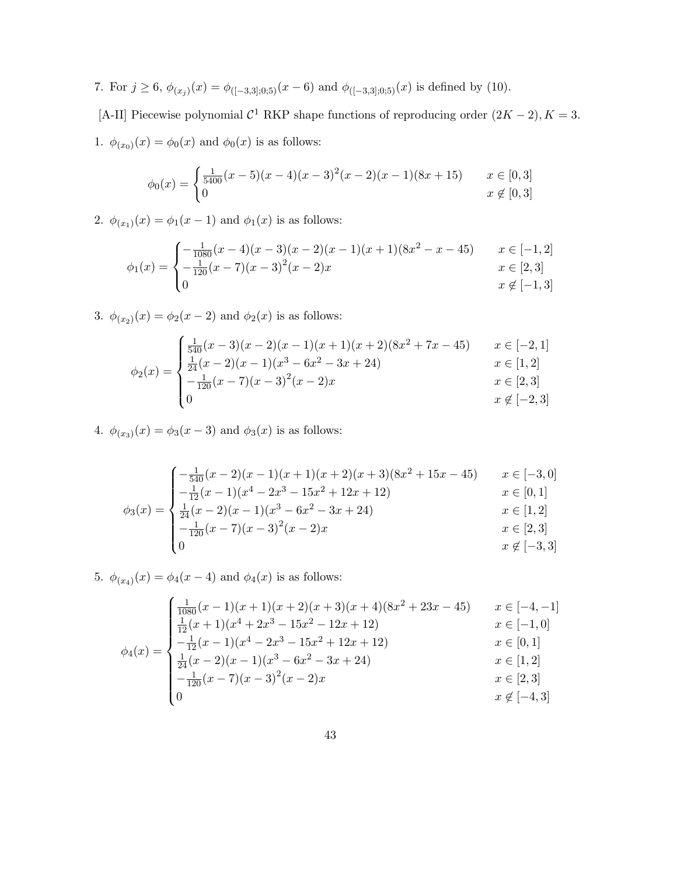7. For  $j \ge 6$ ,  $\phi_{(x_j)}(x) = \phi_{([-3,3];0;5)}(x-6)$  and  $\phi_{([-3,3];0;5)}(x)$  is defined by (10).

[A-II] Piecewise polynomial  $C^1$  RKP shape functions of reproducing order  $(2K - 2)$ ,  $K = 3$ . 1.  $\phi_{(x_0)}(x) = \phi_0(x)$  and  $\phi_0(x)$  is as follows:

$$
\phi_0(x) = \begin{cases} \frac{1}{5400}(x-5)(x-4)(x-3)^2(x-2)(x-1)(8x+15) & x \in [0,3] \\ 0 & x \notin [0,3] \end{cases}
$$

2.  $\phi_{(x_1)}(x) = \phi_1(x-1)$  and  $\phi_1(x)$  is as follows:

$$
\phi_1(x) = \begin{cases}\n-\frac{1}{1080}(x-4)(x-3)(x-2)(x-1)(x+1)(8x^2-x-45) & x \in [-1,2] \\
-\frac{1}{120}(x-7)(x-3)^2(x-2)x & x \in [2,3] \\
0 & x \notin [-1,3]\n\end{cases}
$$

3.  $\phi_{(x_2)}(x) = \phi_2(x-2)$  and  $\phi_2(x)$  is as follows:

$$
\phi_2(x) = \begin{cases}\n\frac{1}{540}(x-3)(x-2)(x-1)(x+1)(x+2)(8x^2+7x-45) & x \in [-2,1] \\
\frac{1}{24}(x-2)(x-1)(x^3-6x^2-3x+24) & x \in [1,2] \\
-\frac{1}{120}(x-7)(x-3)^2(x-2)x & x \in [2,3] \\
0 & x \notin [-2,3]\n\end{cases}
$$

4.  $\phi_{(x_3)}(x) = \phi_3(x-3)$  and  $\phi_3(x)$  is as follows:

$$
\phi_3(x) = \begin{cases}\n-\frac{1}{540}(x-2)(x-1)(x+1)(x+2)(x+3)(8x^2+15x-45) & x \in [-3,0] \\
-\frac{1}{12}(x-1)(x^4-2x^3-15x^2+12x+12) & x \in [0,1] \\
\frac{1}{24}(x-2)(x-1)(x^3-6x^2-3x+24) & x \in [1,2] \\
-\frac{1}{120}(x-7)(x-3)^2(x-2)x & x \in [2,3] \\
0 & x \notin [-3,3]\n\end{cases}
$$

5.  $\phi_{(x_4)}(x) = \phi_4(x-4)$  and  $\phi_4(x)$  is as follows:

$$
\phi_4(x) = \begin{cases}\n\frac{1}{1080}(x-1)(x+1)(x+2)(x+3)(x+4)(8x^2+23x-45) & x \in [-4, -1] \\
\frac{1}{12}(x+1)(x^4+2x^3-15x^2-12x+12) & x \in [-1, 0] \\
-\frac{1}{12}(x-1)(x^4-2x^3-15x^2+12x+12) & x \in [0, 1] \\
\frac{1}{24}(x-2)(x-1)(x^3-6x^2-3x+24) & x \in [1, 2] \\
-\frac{1}{120}(x-7)(x-3)^2(x-2)x & x \in [2, 3] \\
0 & x \notin [-4, 3]\n\end{cases}
$$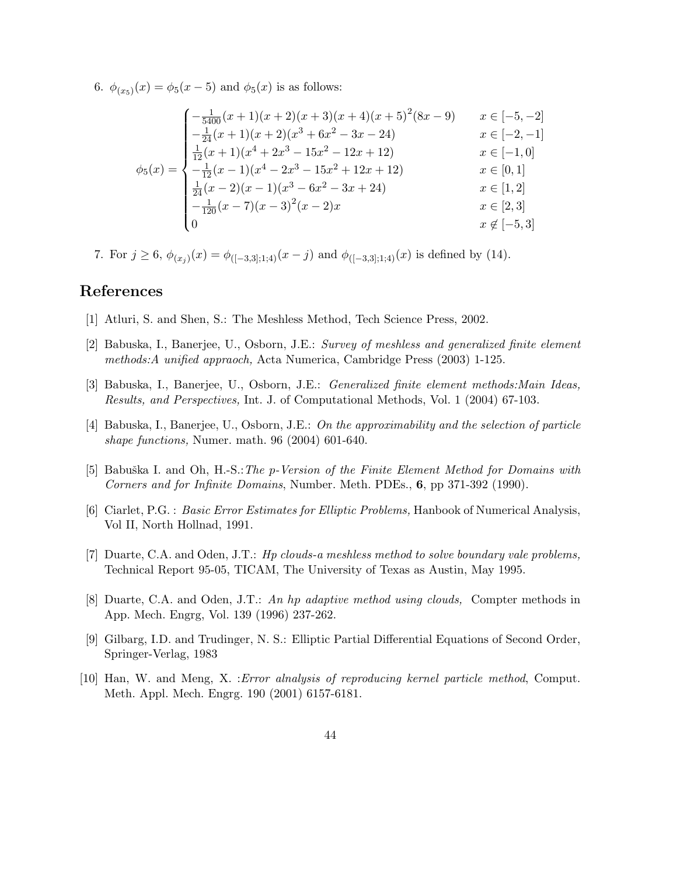6.  $\phi_{(x_5)}(x) = \phi_5(x-5)$  and  $\phi_5(x)$  is as follows:

$$
\phi_5(x) = \begin{cases}\n-\frac{1}{5400}(x+1)(x+2)(x+3)(x+4)(x+5)^2(8x-9) & x \in [-5, -2] \\
-\frac{1}{24}(x+1)(x+2)(x^3+6x^2-3x-24) & x \in [-2, -1] \\
\frac{1}{12}(x+1)(x^4+2x^3-15x^2-12x+12) & x \in [-1, 0] \\
-\frac{1}{12}(x-1)(x^4-2x^3-15x^2+12x+12) & x \in [0, 1] \\
\frac{1}{24}(x-2)(x-1)(x^3-6x^2-3x+24) & x \in [1, 2] \\
-\frac{1}{120}(x-7)(x-3)^2(x-2)x & x \in [2, 3] \\
0 & x \notin [-5, 3]\n\end{cases}
$$

7. For  $j \geq 6$ ,  $\phi_{(x_j)}(x) = \phi_{([-3,3];1;4)}(x-j)$  and  $\phi_{([-3,3];1;4)}(x)$  is defined by (14).

# References

- [1] Atluri, S. and Shen, S.: The Meshless Method, Tech Science Press, 2002.
- [2] Babuska, I., Banerjee, U., Osborn, J.E.: Survey of meshless and generalized finite element methods:A unified appraoch, Acta Numerica, Cambridge Press (2003) 1-125.
- [3] Babuska, I., Banerjee, U., Osborn, J.E.: Generalized finite element methods:Main Ideas, Results, and Perspectives, Int. J. of Computational Methods, Vol. 1 (2004) 67-103.
- [4] Babuska, I., Banerjee, U., Osborn, J.E.: On the approximability and the selection of particle shape functions, Numer. math. 96 (2004) 601-640.
- [5] Babuška I. and Oh, H.-S.: The p-Version of the Finite Element Method for Domains with Corners and for Infinite Domains, Number. Meth. PDEs., 6, pp 371-392 (1990).
- [6] Ciarlet, P.G. : Basic Error Estimates for Elliptic Problems, Hanbook of Numerical Analysis, Vol II, North Hollnad, 1991.
- [7] Duarte, C.A. and Oden, J.T.: Hp clouds-a meshless method to solve boundary vale problems, Technical Report 95-05, TICAM, The University of Texas as Austin, May 1995.
- [8] Duarte, C.A. and Oden, J.T.: An hp adaptive method using clouds, Compter methods in App. Mech. Engrg, Vol. 139 (1996) 237-262.
- [9] Gilbarg, I.D. and Trudinger, N. S.: Elliptic Partial Differential Equations of Second Order, Springer-Verlag, 1983
- [10] Han, W. and Meng, X. :Error alnalysis of reproducing kernel particle method, Comput. Meth. Appl. Mech. Engrg. 190 (2001) 6157-6181.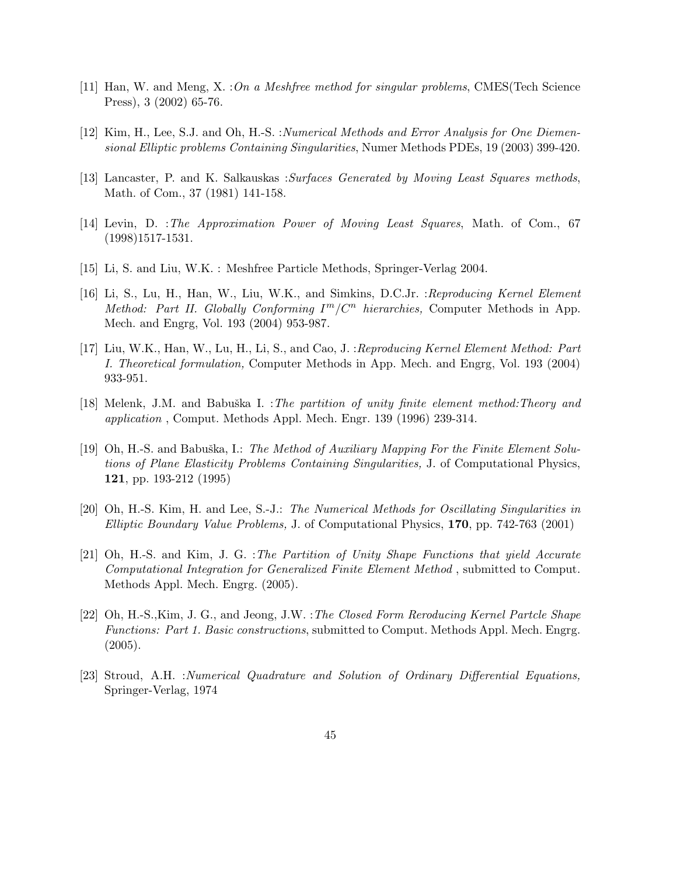- [11] Han, W. and Meng, X. : On a Meshfree method for singular problems, CMES(Tech Science Press), 3 (2002) 65-76.
- [12] Kim, H., Lee, S.J. and Oh, H.-S. : Numerical Methods and Error Analysis for One Diemensional Elliptic problems Containing Singularities, Numer Methods PDEs, 19 (2003) 399-420.
- [13] Lancaster, P. and K. Salkauskas :Surfaces Generated by Moving Least Squares methods, Math. of Com., 37 (1981) 141-158.
- [14] Levin, D. :The Approximation Power of Moving Least Squares, Math. of Com., 67 (1998)1517-1531.
- [15] Li, S. and Liu, W.K. : Meshfree Particle Methods, Springer-Verlag 2004.
- [16] Li, S., Lu, H., Han, W., Liu, W.K., and Simkins, D.C.Jr. :Reproducing Kernel Element Method: Part II. Globally Conforming  $I^m/C^n$  hierarchies, Computer Methods in App. Mech. and Engrg, Vol. 193 (2004) 953-987.
- [17] Liu, W.K., Han, W., Lu, H., Li, S., and Cao, J. :Reproducing Kernel Element Method: Part I. Theoretical formulation, Computer Methods in App. Mech. and Engrg, Vol. 193 (2004) 933-951.
- [18] Melenk, J.M. and Babuška I. :*The partition of unity finite element method:Theory and* application , Comput. Methods Appl. Mech. Engr. 139 (1996) 239-314.
- [19] Oh, H.-S. and Babuška, I.: The Method of Auxiliary Mapping For the Finite Element Solutions of Plane Elasticity Problems Containing Singularities, J. of Computational Physics, 121, pp. 193-212 (1995)
- [20] Oh, H.-S. Kim, H. and Lee, S.-J.: The Numerical Methods for Oscillating Singularities in Elliptic Boundary Value Problems, J. of Computational Physics, 170, pp. 742-763 (2001)
- [21] Oh, H.-S. and Kim, J. G. :The Partition of Unity Shape Functions that yield Accurate Computational Integration for Generalized Finite Element Method , submitted to Comput. Methods Appl. Mech. Engrg. (2005).
- [22] Oh, H.-S.,Kim, J. G., and Jeong, J.W. :The Closed Form Reroducing Kernel Partcle Shape Functions: Part 1. Basic constructions, submitted to Comput. Methods Appl. Mech. Engrg.  $(2005).$
- [23] Stroud, A.H. :Numerical Quadrature and Solution of Ordinary Differential Equations, Springer-Verlag, 1974